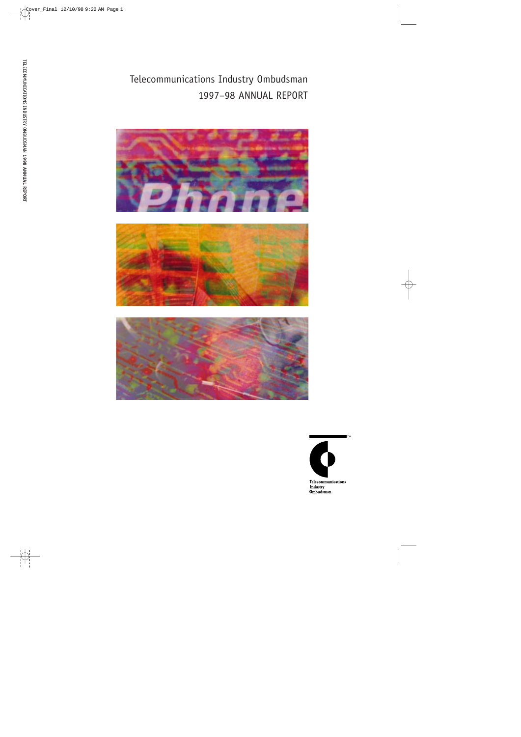Telecommunications Industry Ombudsman 1997–98 ANNUAL REPORT







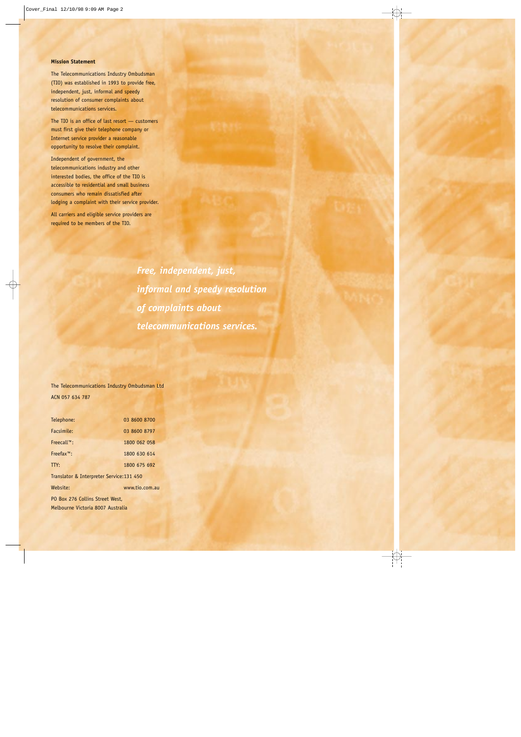#### **Mission Statement**

The Telecommunications Industry Ombudsman (TIO) was established in 1993 to provide free, independent, just, informal and speedy resolution of consumer complaints about telecommunications services.

The TIO is an office of last resort — customers must first give their telephone company or Internet service provider a reasonable opportunity to resolve their complaint.

Independent of government, the telecommunications industry and other interested bodies, the office of the TIO is accessible to residential and small business consumers who remain dissatisfied after lodging a complaint with their service provider.

All carriers and eligible service providers are required to be members of the TIO.

> *Free, independent, just, informal and speedy resolution of complaints about telecommunications services.*

The Telecommunications Industry Ombudsman Ltd ACN 057 634 787

| Telephone:                                | 03 8600 8700   |  |  |  |
|-------------------------------------------|----------------|--|--|--|
| Facsimile:                                | 03 8600 8797   |  |  |  |
| $Freecallm:$                              | 1800 062 058   |  |  |  |
| $Freefax^m$ :                             | 1800 630 614   |  |  |  |
| TTY:                                      | 1800 675 692   |  |  |  |
| Translator & Interpreter Service: 131 450 |                |  |  |  |
| Website:                                  | www.tio.com.au |  |  |  |
| PO Box 276 Collins Street West.           |                |  |  |  |
| Melbourne Victoria 8007 Australia         |                |  |  |  |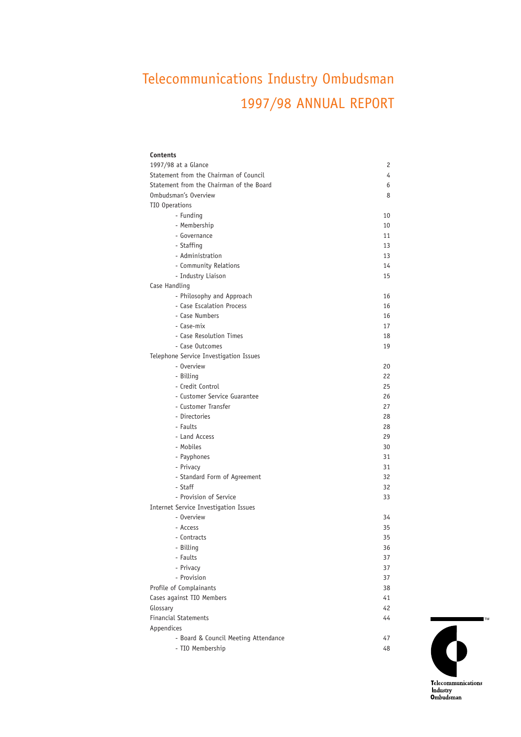# Telecommunications Industry Ombudsman 1997/98 ANNUAL REPORT

| Contents                                 |    |
|------------------------------------------|----|
| 1997/98 at a Glance                      | 2  |
| Statement from the Chairman of Council   | 4  |
| Statement from the Chairman of the Board | 6  |
| Ombudsman's Overview                     | 8  |
| TIO Operations                           |    |
| - Funding                                | 10 |
| - Membership                             | 10 |
| - Governance                             | 11 |
| - Staffing                               | 13 |
| - Administration                         | 13 |
| - Community Relations                    | 14 |
| - Industry Liaison                       | 15 |
| Case Handling                            |    |
| - Philosophy and Approach                | 16 |
| - Case Escalation Process                | 16 |
| - Case Numbers                           | 16 |
| - Case-mix                               | 17 |
| - Case Resolution Times                  | 18 |
| - Case Outcomes                          | 19 |
| Telephone Service Investigation Issues   |    |
| - Overview                               | 20 |
| - Billing                                | 22 |
| - Credit Control                         | 25 |
| - Customer Service Guarantee             | 26 |
| - Customer Transfer                      | 27 |
| - Directories                            | 28 |
| - Faults                                 | 28 |
| - Land Access                            | 29 |
| - Mobiles                                | 30 |
| - Payphones                              | 31 |
| - Privacy                                | 31 |
| - Standard Form of Agreement             | 32 |
| - Staff                                  | 32 |
| - Provision of Service                   | 33 |
| Internet Service Investigation Issues    |    |
| - Overview                               | 34 |
| - Access                                 | 35 |
| - Contracts                              | 35 |
| - Billing                                | 36 |
| - Faults                                 | 37 |
| - Privacy                                | 37 |
| - Provision                              | 37 |
| Profile of Complainants                  | 38 |
| Cases against TIO Members                | 41 |
| Glossary                                 | 42 |
| <b>Financial Statements</b>              | 44 |
| Appendices                               |    |
| - Board & Council Meeting Attendance     | 47 |
| - TIO Membership                         | 48 |

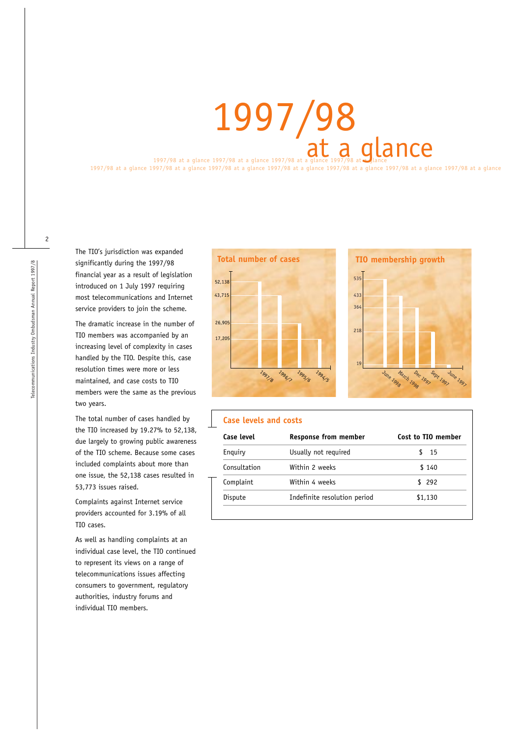1997/98 at a glance 1997/98 at a glance 1997/98 at a glance 1997/98 at 2

1997/98 at a glance 1997/98 at a glance 1997/98 at a glance 1997/98 at a glance 1997/98 at a glance 1997/98 at a glance 1997/98 at a glance

The TIO's jurisdiction was expanded significantly during the 1997/98 financial year as a result of legislation introduced on 1 July 1997 requiring most telecommunications and Internet service providers to join the scheme.

The dramatic increase in the number of TIO members was accompanied by an increasing level of complexity in cases handled by the TIO. Despite this, case resolution times were more or less maintained, and case costs to TIO members were the same as the previous two years.

The total number of cases handled by the TIO increased by 19.27% to 52,138, due largely to growing public awareness of the TIO scheme. Because some cases included complaints about more than one issue, the 52,138 cases resulted in 53,773 issues raised.

Complaints against Internet service providers accounted for 3.19% of all TIO cases.

As well as handling complaints at an individual case level, the TIO continued to represent its views on a range of telecommunications issues affecting consumers to government, regulatory authorities, industry forums and individual TIO members.





#### **Case levels and costs**

| Case level   | <b>Response from member</b>  | Cost to TIO member |  |  |
|--------------|------------------------------|--------------------|--|--|
| Enguiry      | Usually not required         | 15                 |  |  |
| Consultation | Within 2 weeks               | \$140              |  |  |
| Complaint    | Within 4 weeks               | \$292              |  |  |
| Dispute      | Indefinite resolution period | \$1,130            |  |  |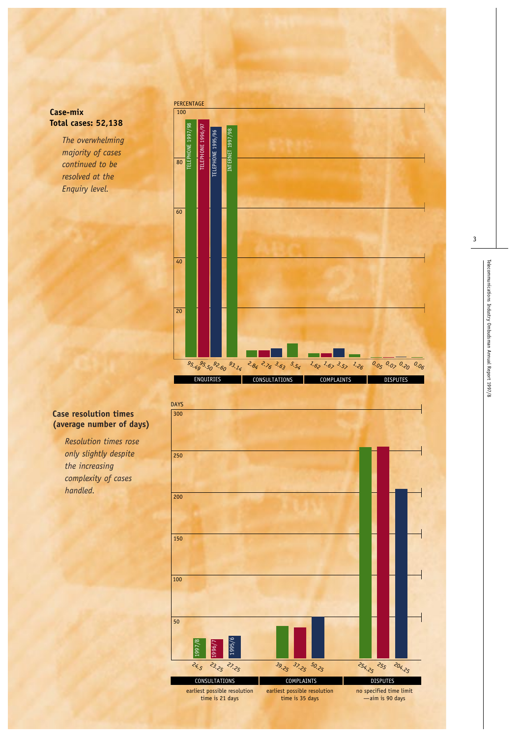# **Case-mix Total cases: 52,138**

*The overwhelming majority of cases continued to be resolved at the Enquiry level.*



# **Case resolution times (average number of days)**

*Resolution times rose only slightly despite the increasing complexity of cases handled.*

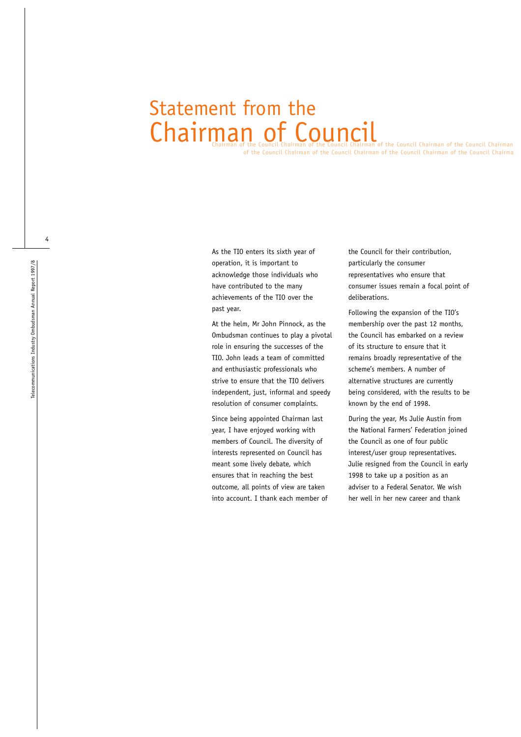# Chairman of the Council Chairman of the Council Chairman of the Council Chairman of the Council Chairman Statement from the Chairman of Council

of the Council Chairman of the Council Chairman of the Council Chairman of the Council Chairma

As the TIO enters its sixth year of operation, it is important to acknowledge those individuals who have contributed to the many achievements of the TIO over the past year.

At the helm, Mr John Pinnock, as the Ombudsman continues to play a pivotal role in ensuring the successes of the TIO. John leads a team of committed and enthusiastic professionals who strive to ensure that the TIO delivers independent, just, informal and speedy resolution of consumer complaints.

Since being appointed Chairman last year, I have enjoyed working with members of Council. The diversity of interests represented on Council has meant some lively debate, which ensures that in reaching the best outcome, all points of view are taken into account. I thank each member of the Council for their contribution, particularly the consumer representatives who ensure that consumer issues remain a focal point of deliberations.

Following the expansion of the TIO's membership over the past 12 months, the Council has embarked on a review of its structure to ensure that it remains broadly representative of the scheme's members. A number of alternative structures are currently being considered, with the results to be known by the end of 1998.

During the year, Ms Julie Austin from the National Farmers' Federation joined the Council as one of four public interest/user group representatives. Julie resigned from the Council in early 1998 to take up a position as an adviser to a Federal Senator. We wish her well in her new career and thank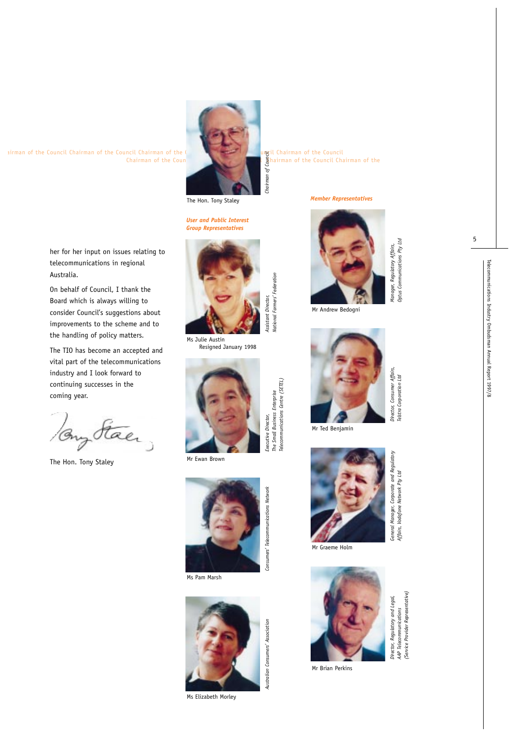5

her for her input on issues relating to telecommunications in regional

On behalf of Council, I thank the Board which is always willing to consider Council's suggestions about improvements to the scheme and to the handling of policy matters. The TIO has become an accepted and vital part of the telecommunications industry and I look forward to continuing successes in the

Australia.

coming year.

The Hon. Tony Staley

Buy Staer,



hairman of the Council Chairman of the

The Hon. Tony Staley

*User and Public Interest Group Representatives*



*National Farmers' Federation*

National Farmers' Federation

*The Small Business Enterprise Telecommunications Centre (SETEL)*

elecommunications Centre (SETEL)

*Chairman of Council*

Ms Julie Austin Resigned January 1998



Mr Ewan Brown



Ms Pam Marsh



Ms Elizabeth Morley

#### *Member Representatives*



*Manager, Regulatory Affairs, Optus Communications Pty Ltd*

Optus Communications Pty Ltd

Mr Andrew Bedogni



Mr Ted Benjamin



Mr Graeme Holm



Mr Brian Perkins

elstra Corporation Ltd *Telstra Corporation Ltd General Manager, Corporate and Regulatory* General Manager, Corporate and Regulatory Affairs, Vodafone Network Pty Ltd *Affairs, Vodafone Network Pty Ltd*



*Director, Regulatory and Legal,*  Director, Regulatory and Legal, *AAP Telecommunications*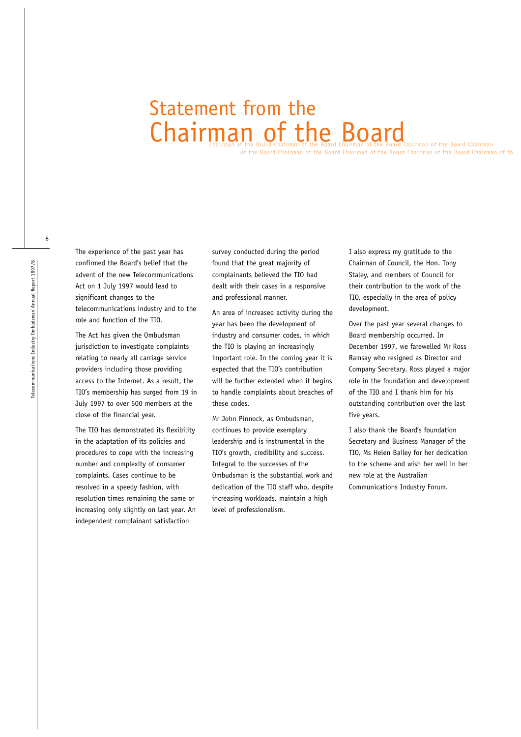# Chairman of the Board Chairman of the Board Chairman of the Board Chairman of the Board Chairman of the Board Chairman Statement from the

of the Board Chairman of the Board Chairman of the Board Chairman of the Board Chairman of th

The experience of the past year has confirmed the Board's belief that the advent of the new Telecommunications Act on 1 July 1997 would lead to significant changes to the telecommunications industry and to the role and function of the TIO.

The Act has given the Ombudsman jurisdiction to investigate complaints relating to nearly all carriage service providers including those providing access to the Internet. As a result, the TIO's membership has surged from 19 in July 1997 to over 500 members at the close of the financial year.

The TIO has demonstrated its flexibility in the adaptation of its policies and procedures to cope with the increasing number and complexity of consumer complaints. Cases continue to be resolved in a speedy fashion, with resolution times remaining the same or increasing only slightly on last year. An independent complainant satisfaction

survey conducted during the period found that the great majority of complainants believed the TIO had dealt with their cases in a responsive and professional manner.

An area of increased activity during the year has been the development of industry and consumer codes, in which the TIO is playing an increasingly important role. In the coming year it is expected that the TIO's contribution will be further extended when it begins to handle complaints about breaches of these codes.

Mr John Pinnock, as Ombudsman, continues to provide exemplary leadership and is instrumental in the TIO's growth, credibility and success. Integral to the successes of the Ombudsman is the substantial work and dedication of the TIO staff who, despite increasing workloads, maintain a high level of professionalism.

I also express my gratitude to the Chairman of Council, the Hon. Tony Staley, and members of Council for their contribution to the work of the TIO, especially in the area of policy development.

Over the past year several changes to Board membership occurred. In December 1997, we farewelled Mr Ross Ramsay who resigned as Director and Company Secretary. Ross played a major role in the foundation and development of the TIO and I thank him for his outstanding contribution over the last five years.

I also thank the Board's foundation Secretary and Business Manager of the TIO, Ms Helen Bailey for her dedication to the scheme and wish her well in her new role at the Australian Communications Industry Forum.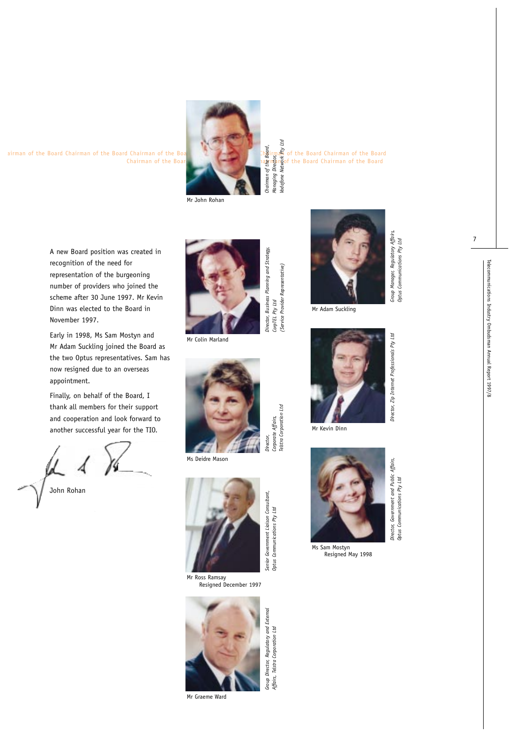

Chairman of the Board Chairman of the Board Chairman of the Board Chairman of the Board *Managing Director, Vodafone Network Pty Ltd*

A new Board position was created in recognition of the need for representation of the burgeoning number of providers who joined the scheme after 30 June 1997. Mr Kevin Dinn was elected to the Board in November 1997.

Early in 1998, Ms Sam Mostyn and Mr Adam Suckling joined the Board as the two Optus representatives. Sam has now resigned due to an overseas appointment.

Finally, on behalf of the Board, I thank all members for their support and cooperation and look forward to another successful year for the TIO.

John Rohan



*CorpTEL Pty Ltd*

CorpTEL Pty Ltd

*Corporate Affairs, Telstra Corporation Ltd*

Corporate Affairs,<br>Telstra Corporation Ltd

*Affairs, Telstra Corporation Ltd*

*(Service Provider Representative)*

'Service Provider Representative)

Mr Colin Marland



Ms Deidre Mason



Mr Ross Ramsay Resigned December 1997



Mr Graeme Ward



*Group Manager, Regulatory Affairs, Optus Communications Pty Ltd*

Optus Communications Pty Ltd

*Director, Zip Internet Professionals Pty Ltd*

*Director, Government and Public Affairs, Optus Communications Pty Ltd*

Optus Communications Pty Ltd

Mr Adam Suckling



Mr Kevin Dinn



Ms Sam Mostyn Resigned May 1998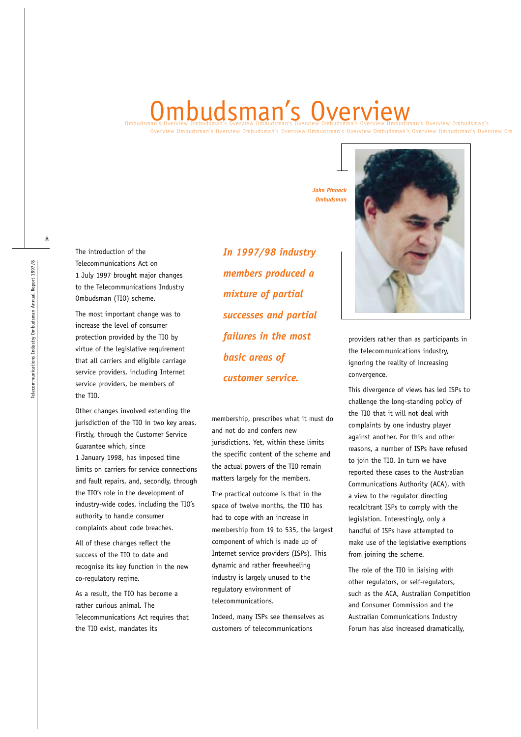# Ombudsman's Overview Ombudsman's Overview Ombudsman's Overview Ombudsman's Overview Ombudsman's Overview Ombudsman's

Overview Ombudsman's Overview Ombudsman's Overview Ombudsman's Overview Ombudsman's Overview Ombudsman's Overview Omb

The introduction of the Telecommunications Act on 1 July 1997 brought major changes to the Telecommunications Industry Ombudsman (TIO) scheme.

The most important change was to increase the level of consumer protection provided by the TIO by virtue of the legislative requirement that all carriers and eligible carriage service providers, including Internet service providers, be members of the TIO.

Other changes involved extending the jurisdiction of the TIO in two key areas. Firstly, through the Customer Service Guarantee which, since 1 January 1998, has imposed time limits on carriers for service connections and fault repairs, and, secondly, through the TIO's role in the development of industry-wide codes, including the TIO's authority to handle consumer complaints about code breaches.

All of these changes reflect the success of the TIO to date and recognise its key function in the new co-regulatory regime.

As a result, the TIO has become a rather curious animal. The Telecommunications Act requires that the TIO exist, mandates its

*In 1997/98 industry members produced a mixture of partial successes and partial failures in the most basic areas of customer service.*

membership, prescribes what it must do and not do and confers new jurisdictions. Yet, within these limits the specific content of the scheme and the actual powers of the TIO remain matters largely for the members.

The practical outcome is that in the space of twelve months, the TIO has had to cope with an increase in membership from 19 to 535, the largest component of which is made up of Internet service providers (ISPs). This dynamic and rather freewheeling industry is largely unused to the regulatory environment of telecommunications.

Indeed, many ISPs see themselves as customers of telecommunications

*John Pinnock Ombudsman*



providers rather than as participants in the telecommunications industry, ignoring the reality of increasing convergence.

This divergence of views has led ISPs to challenge the long-standing policy of the TIO that it will not deal with complaints by one industry player against another. For this and other reasons, a number of ISPs have refused to join the TIO. In turn we have reported these cases to the Australian Communications Authority (ACA), with a view to the regulator directing recalcitrant ISPs to comply with the legislation. Interestingly, only a handful of ISPs have attempted to make use of the legislative exemptions from joining the scheme.

The role of the TIO in liaising with other regulators, or self-regulators, such as the ACA, Australian Competition and Consumer Commission and the Australian Communications Industry Forum has also increased dramatically,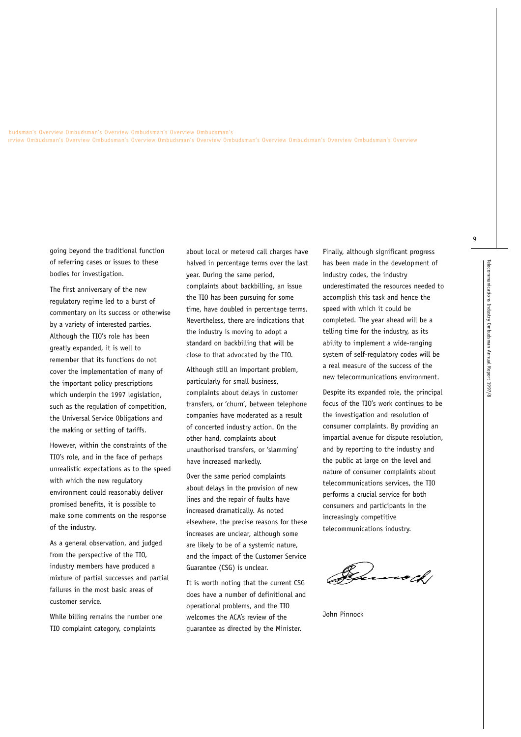mbudsman's Overview Ombudsman's Overview Ombudsman's Overview Ombudsman's erview Ombudsman's Overview Ombudsman's Overview Ombudsman's Overview Ombudsman's Overview Ombudsman's Overview Ombudsman's Overview

> going beyond the traditional function of referring cases or issues to these bodies for investigation.

The first anniversary of the new regulatory regime led to a burst of commentary on its success or otherwise by a variety of interested parties. Although the TIO's role has been greatly expanded, it is well to remember that its functions do not cover the implementation of many of the important policy prescriptions which underpin the 1997 legislation, such as the regulation of competition, the Universal Service Obligations and the making or setting of tariffs.

However, within the constraints of the TIO's role, and in the face of perhaps unrealistic expectations as to the speed with which the new regulatory environment could reasonably deliver promised benefits, it is possible to make some comments on the response of the industry.

As a general observation, and judged from the perspective of the TIO, industry members have produced a mixture of partial successes and partial failures in the most basic areas of customer service.

While billing remains the number one TIO complaint category, complaints

about local or metered call charges have halved in percentage terms over the last year. During the same period, complaints about backbilling, an issue the TIO has been pursuing for some time, have doubled in percentage terms. Nevertheless, there are indications that the industry is moving to adopt a standard on backbilling that will be close to that advocated by the TIO.

Although still an important problem, particularly for small business, complaints about delays in customer transfers, or 'churn', between telephone companies have moderated as a result of concerted industry action. On the other hand, complaints about unauthorised transfers, or 'slamming' have increased markedly.

Over the same period complaints about delays in the provision of new lines and the repair of faults have increased dramatically. As noted elsewhere, the precise reasons for these increases are unclear, although some are likely to be of a systemic nature, and the impact of the Customer Service Guarantee (CSG) is unclear.

It is worth noting that the current CSG does have a number of definitional and operational problems, and the TIO welcomes the ACA's review of the guarantee as directed by the Minister.

Finally, although significant progress has been made in the development of industry codes, the industry underestimated the resources needed to accomplish this task and hence the speed with which it could be completed. The year ahead will be a telling time for the industry, as its ability to implement a wide-ranging system of self-regulatory codes will be a real measure of the success of the new telecommunications environment.

Despite its expanded role, the principal focus of the TIO's work continues to be the investigation and resolution of consumer complaints. By providing an impartial avenue for dispute resolution, and by reporting to the industry and the public at large on the level and nature of consumer complaints about telecommunications services, the TIO performs a crucial service for both consumers and participants in the increasingly competitive telecommunications industry.

Junoth!

John Pinnock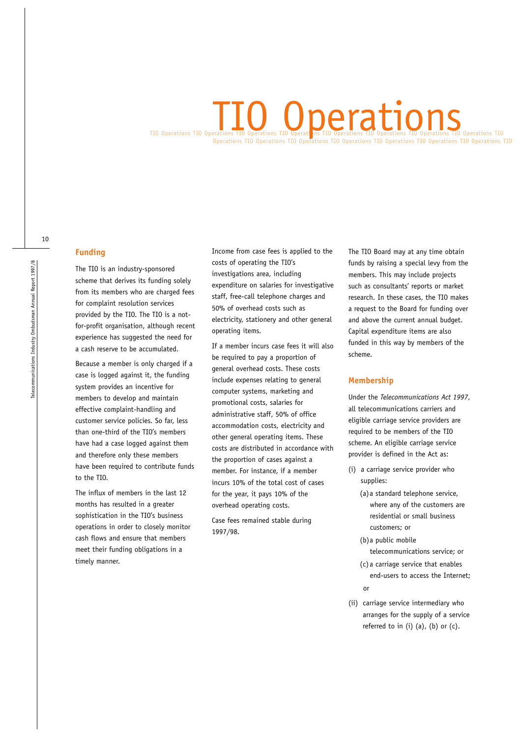# TIO Operations TIO Operations TIO Operations TIO Operations TIO Operations TIO Operations TIO Operations TIO Operations TIO Operations TIO Operations TIO Operations TIO Operations TIO Operations TIO Operations TIO Operations TIO **O** Operations

#### **Funding**

The TIO is an industry-sponsored scheme that derives its funding solely from its members who are charged fees for complaint resolution services provided by the TIO. The TIO is a notfor-profit organisation, although recent experience has suggested the need for a cash reserve to be accumulated.

Because a member is only charged if a case is logged against it, the funding system provides an incentive for members to develop and maintain effective complaint-handling and customer service policies. So far, less than one-third of the TIO's members have had a case logged against them and therefore only these members have been required to contribute funds to the TIO.

The influx of members in the last 12 months has resulted in a greater sophistication in the TIO's business operations in order to closely monitor cash flows and ensure that members meet their funding obligations in a timely manner.

Income from case fees is applied to the costs of operating the TIO's investigations area, including expenditure on salaries for investigative staff, free-call telephone charges and 50% of overhead costs such as electricity, stationery and other general operating items.

If a member incurs case fees it will also be required to pay a proportion of general overhead costs. These costs include expenses relating to general computer systems, marketing and promotional costs, salaries for administrative staff, 50% of office accommodation costs, electricity and other general operating items. These costs are distributed in accordance with the proportion of cases against a member. For instance, if a member incurs 10% of the total cost of cases for the year, it pays 10% of the overhead operating costs.

Case fees remained stable during 1997/98.

The TIO Board may at any time obtain funds by raising a special levy from the members. This may include projects such as consultants' reports or market research. In these cases, the TIO makes a request to the Board for funding over and above the current annual budget. Capital expenditure items are also funded in this way by members of the scheme.

#### **Membership**

Under the *Telecommunications Act 1997*, all telecommunications carriers and eligible carriage service providers are required to be members of the TIO scheme. An eligible carriage service provider is defined in the Act as:

- (i) a carriage service provider who supplies:
	- (a)a standard telephone service, where any of the customers are residential or small business customers; or
	- (b)a public mobile telecommunications service; or
	- (c)a carriage service that enables end-users to access the Internet; or

(ii) carriage service intermediary who arranges for the supply of a service referred to in (i) (a), (b) or (c).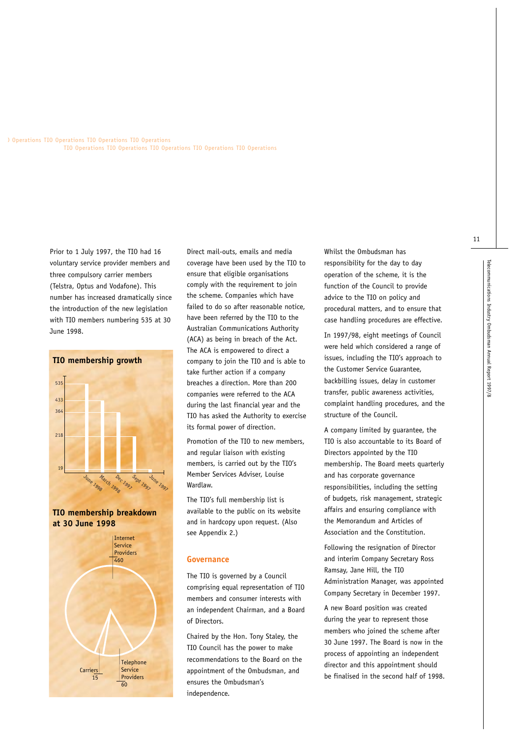Operations TIO Operations TIO Operations TIO Operations TIO Operations TIO Operations TIO Operations TIO Operations TIO Operations

> Prior to 1 July 1997, the TIO had 16 voluntary service provider members and three compulsory carrier members (Telstra, Optus and Vodafone). This number has increased dramatically since the introduction of the new legislation with TIO members numbering 535 at 30 June 1998.



**TIO membership breakdown at 30 June 1998**



Direct mail-outs, emails and media coverage have been used by the TIO to ensure that eligible organisations comply with the requirement to join the scheme. Companies which have failed to do so after reasonable notice, have been referred by the TIO to the Australian Communications Authority (ACA) as being in breach of the Act. The ACA is empowered to direct a company to join the TIO and is able to take further action if a company breaches a direction. More than 200 companies were referred to the ACA during the last financial year and the TIO has asked the Authority to exercise its formal power of direction.

Promotion of the TIO to new members, and regular liaison with existing members, is carried out by the TIO's Member Services Adviser, Louise Wardlaw.

The TIO's full membership list is available to the public on its website and in hardcopy upon request. (Also see Appendix 2.)

#### **Governance**

The TIO is governed by a Council comprising equal representation of TIO members and consumer interests with an independent Chairman, and a Board of Directors.

Chaired by the Hon. Tony Staley, the TIO Council has the power to make recommendations to the Board on the appointment of the Ombudsman, and ensures the Ombudsman's independence.

Whilst the Ombudsman has responsibility for the day to day operation of the scheme, it is the function of the Council to provide advice to the TIO on policy and procedural matters, and to ensure that case handling procedures are effective.

In 1997/98, eight meetings of Council were held which considered a range of issues, including the TIO's approach to the Customer Service Guarantee, backbilling issues, delay in customer transfer, public awareness activities, complaint handling procedures, and the structure of the Council.

A company limited by guarantee, the TIO is also accountable to its Board of Directors appointed by the TIO membership. The Board meets quarterly and has corporate governance responsibilities, including the setting of budgets, risk management, strategic affairs and ensuring compliance with the Memorandum and Articles of Association and the Constitution.

Following the resignation of Director and interim Company Secretary Ross Ramsay, Jane Hill, the TIO Administration Manager, was appointed Company Secretary in December 1997.

A new Board position was created during the year to represent those members who joined the scheme after 30 June 1997. The Board is now in the process of appointing an independent director and this appointment should be finalised in the second half of 1998.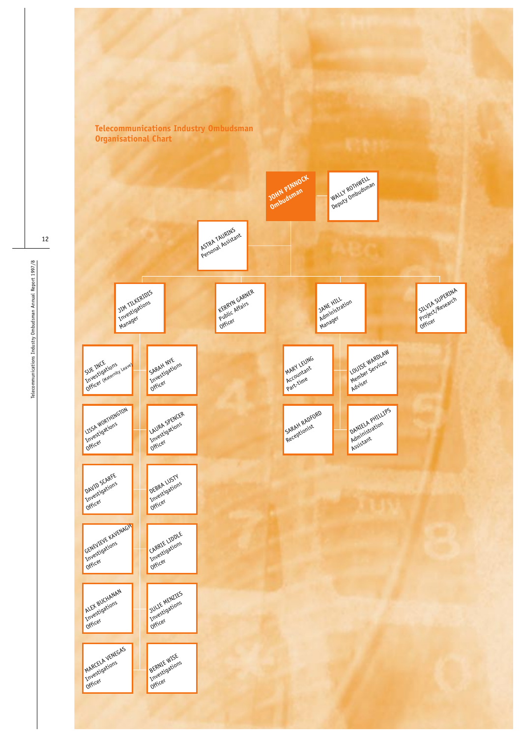

Telecommunications Industry Ombudsman Annual Report 1997/8 Telecommunications Industry Ombudsman Annual Report 1997/8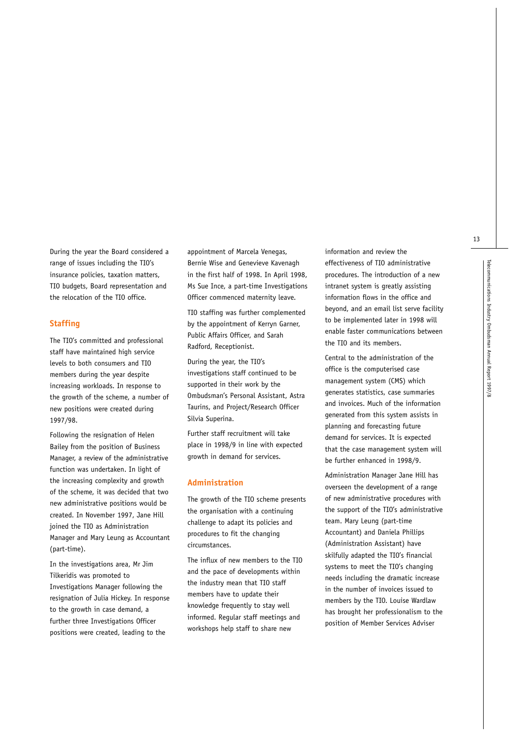During the year the Board considered a range of issues including the TIO's insurance policies, taxation matters, TIO budgets, Board representation and the relocation of the TIO office.

#### **Staffing**

The TIO's committed and professional staff have maintained high service levels to both consumers and TIO members during the year despite increasing workloads. In response to the growth of the scheme, a number of new positions were created during 1997/98.

Following the resignation of Helen Bailey from the position of Business Manager, a review of the administrative function was undertaken. In light of the increasing complexity and growth of the scheme, it was decided that two new administrative positions would be created. In November 1997, Jane Hill joined the TIO as Administration Manager and Mary Leung as Accountant (part-time).

In the investigations area, Mr Jim Tilkeridis was promoted to Investigations Manager following the resignation of Julia Hickey. In response to the growth in case demand, a further three Investigations Officer positions were created, leading to the

appointment of Marcela Venegas, Bernie Wise and Genevieve Kavenagh in the first half of 1998. In April 1998, Ms Sue Ince, a part-time Investigations Officer commenced maternity leave.

TIO staffing was further complemented by the appointment of Kerryn Garner, Public Affairs Officer, and Sarah Radford, Receptionist.

During the year, the TIO's investigations staff continued to be supported in their work by the Ombudsman's Personal Assistant, Astra Taurins, and Project/Research Officer Silvia Superina.

Further staff recruitment will take place in 1998/9 in line with expected growth in demand for services.

#### **Administration**

The growth of the TIO scheme presents the organisation with a continuing challenge to adapt its policies and procedures to fit the changing circumstances.

The influx of new members to the TIO and the pace of developments within the industry mean that TIO staff members have to update their knowledge frequently to stay well informed. Regular staff meetings and workshops help staff to share new

information and review the effectiveness of TIO administrative procedures. The introduction of a new intranet system is greatly assisting information flows in the office and beyond, and an email list serve facility to be implemented later in 1998 will enable faster communications between the TIO and its members.

Central to the administration of the office is the computerised case management system (CMS) which generates statistics, case summaries and invoices. Much of the information generated from this system assists in planning and forecasting future demand for services. It is expected that the case management system will be further enhanced in 1998/9.

Administration Manager Jane Hill has overseen the development of a range of new administrative procedures with the support of the TIO's administrative team. Mary Leung (part-time Accountant) and Daniela Phillips (Administration Assistant) have skilfully adapted the TIO's financial systems to meet the TIO's changing needs including the dramatic increase in the number of invoices issued to members by the TIO. Louise Wardlaw has brought her professionalism to the position of Member Services Adviser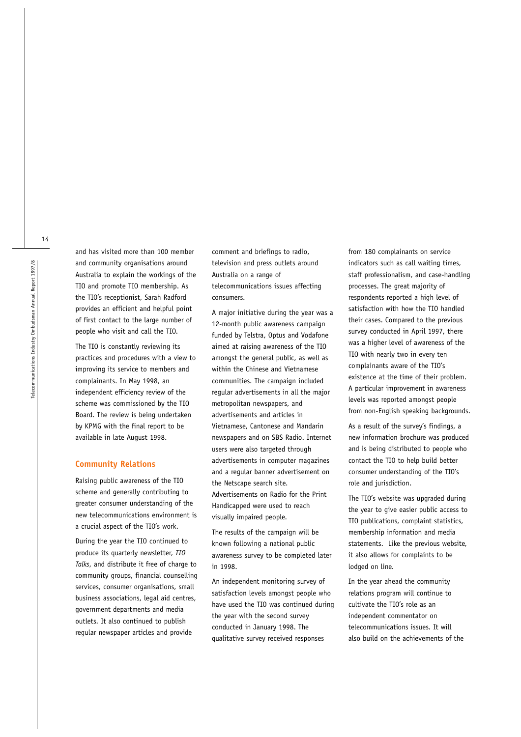and has visited more than 100 member and community organisations around Australia to explain the workings of the TIO and promote TIO membership. As the TIO's receptionist, Sarah Radford provides an efficient and helpful point of first contact to the large number of people who visit and call the TIO.

The TIO is constantly reviewing its practices and procedures with a view to improving its service to members and complainants. In May 1998, an independent efficiency review of the scheme was commissioned by the TIO Board. The review is being undertaken by KPMG with the final report to be available in late August 1998.

#### **Community Relations**

Raising public awareness of the TIO scheme and generally contributing to greater consumer understanding of the new telecommunications environment is a crucial aspect of the TIO's work.

During the year the TIO continued to produce its quarterly newsletter, *TIO Talks*, and distribute it free of charge to community groups, financial counselling services, consumer organisations, small business associations, legal aid centres, government departments and media outlets. It also continued to publish regular newspaper articles and provide

comment and briefings to radio, television and press outlets around Australia on a range of telecommunications issues affecting consumers.

A major initiative during the year was a 12-month public awareness campaign funded by Telstra, Optus and Vodafone aimed at raising awareness of the TIO amongst the general public, as well as within the Chinese and Vietnamese communities. The campaign included regular advertisements in all the major metropolitan newspapers, and advertisements and articles in Vietnamese, Cantonese and Mandarin newspapers and on SBS Radio. Internet users were also targeted through advertisements in computer magazines and a regular banner advertisement on the Netscape search site. Advertisements on Radio for the Print Handicapped were used to reach visually impaired people.

The results of the campaign will be known following a national public awareness survey to be completed later in 1998.

An independent monitoring survey of satisfaction levels amongst people who have used the TIO was continued during the year with the second survey conducted in January 1998. The qualitative survey received responses

from 180 complainants on service indicators such as call waiting times, staff professionalism, and case-handling processes. The great majority of respondents reported a high level of satisfaction with how the TIO handled their cases. Compared to the previous survey conducted in April 1997, there was a higher level of awareness of the TIO with nearly two in every ten complainants aware of the TIO's existence at the time of their problem. A particular improvement in awareness levels was reported amongst people from non-English speaking backgrounds.

As a result of the survey's findings, a new information brochure was produced and is being distributed to people who contact the TIO to help build better consumer understanding of the TIO's role and jurisdiction.

The TIO's website was upgraded during the year to give easier public access to TIO publications, complaint statistics, membership information and media statements. Like the previous website, it also allows for complaints to be lodged on line.

In the year ahead the community relations program will continue to cultivate the TIO's role as an independent commentator on telecommunications issues. It will also build on the achievements of the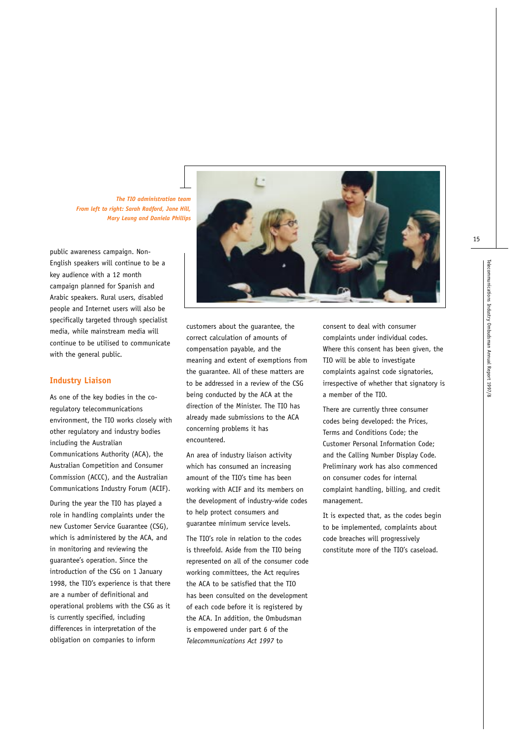*The TIO administration team From left to right: Sarah Radford, Jane Hill, Mary Leung and Daniela Phillips*

public awareness campaign. Non-English speakers will continue to be a key audience with a 12 month campaign planned for Spanish and Arabic speakers. Rural users, disabled people and Internet users will also be specifically targeted through specialist media, while mainstream media will continue to be utilised to communicate with the general public.

#### **Industry Liaison**

As one of the key bodies in the coregulatory telecommunications environment, the TIO works closely with other regulatory and industry bodies including the Australian Communications Authority (ACA), the Australian Competition and Consumer Commission (ACCC), and the Australian Communications Industry Forum (ACIF).

During the year the TIO has played a role in handling complaints under the new Customer Service Guarantee (CSG), which is administered by the ACA, and in monitoring and reviewing the guarantee's operation. Since the introduction of the CSG on 1 January 1998, the TIO's experience is that there are a number of definitional and operational problems with the CSG as it is currently specified, including differences in interpretation of the obligation on companies to inform



customers about the guarantee, the correct calculation of amounts of compensation payable, and the meaning and extent of exemptions from the guarantee. All of these matters are to be addressed in a review of the CSG being conducted by the ACA at the direction of the Minister. The TIO has already made submissions to the ACA concerning problems it has encountered.

An area of industry liaison activity which has consumed an increasing amount of the TIO's time has been working with ACIF and its members on the development of industry-wide codes to help protect consumers and guarantee minimum service levels.

The TIO's role in relation to the codes is threefold. Aside from the TIO being represented on all of the consumer code working committees, the Act requires the ACA to be satisfied that the TIO has been consulted on the development of each code before it is registered by the ACA. In addition, the Ombudsman is empowered under part 6 of the *Telecommunications Act 1997* to

consent to deal with consumer complaints under individual codes. Where this consent has been given, the TIO will be able to investigate complaints against code signatories, irrespective of whether that signatory is a member of the TIO.

There are currently three consumer codes being developed: the Prices, Terms and Conditions Code; the Customer Personal Information Code; and the Calling Number Display Code. Preliminary work has also commenced on consumer codes for internal complaint handling, billing, and credit management.

It is expected that, as the codes begin to be implemented, complaints about code breaches will progressively constitute more of the TIO's caseload.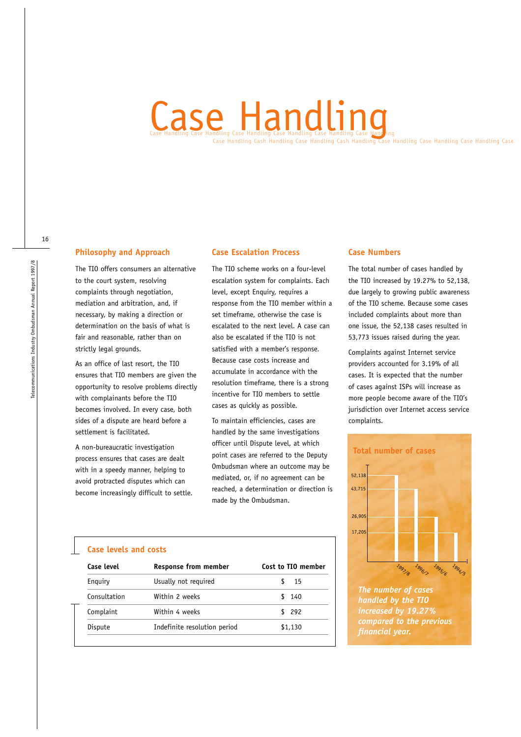# Case Handling Case Handling Case Handling Case Handling Case Handling Case Case Handling Cash Handling Case Handling Cash Handling Case Handling Case Handling Case Handling Case

# **Philosophy and Approach**

The TIO offers consumers an alternative to the court system, resolving complaints through negotiation, mediation and arbitration, and, if necessary, by making a direction or determination on the basis of what is fair and reasonable, rather than on strictly legal grounds.

As an office of last resort, the TIO ensures that TIO members are given the opportunity to resolve problems directly with complainants before the TIO becomes involved. In every case, both sides of a dispute are heard before a settlement is facilitated.

A non-bureaucratic investigation process ensures that cases are dealt with in a speedy manner, helping to avoid protracted disputes which can become increasingly difficult to settle.

## **Case Escalation Process**

The TIO scheme works on a four-level escalation system for complaints. Each level, except Enquiry, requires a response from the TIO member within a set timeframe, otherwise the case is escalated to the next level. A case can also be escalated if the TIO is not satisfied with a member's response. Because case costs increase and accumulate in accordance with the resolution timeframe, there is a strong incentive for TIO members to settle cases as quickly as possible.

To maintain efficiencies, cases are handled by the same investigations officer until Dispute level, at which point cases are referred to the Deputy Ombudsman where an outcome may be mediated, or, if no agreement can be reached, a determination or direction is made by the Ombudsman.

## **Case Numbers**

The total number of cases handled by the TIO increased by 19.27% to 52,138, due largely to growing public awareness of the TIO scheme. Because some cases included complaints about more than one issue, the 52,138 cases resulted in 53,773 issues raised during the year.

Complaints against Internet service providers accounted for 3.19% of all cases. It is expected that the number of cases against ISPs will increase as more people become aware of the TIO's jurisdiction over Internet access service complaints.



*The number of cases handled by the TIO increased by 19.27% compared to the previous financial year.*

#### **Case levels and costs**

| <b>Response from member</b>  | Cost to TIO member |
|------------------------------|--------------------|
| Usually not required         | 15                 |
| Within 2 weeks               | \$140              |
| Within 4 weeks               | \$292              |
| Indefinite resolution period | \$1,130            |
|                              |                    |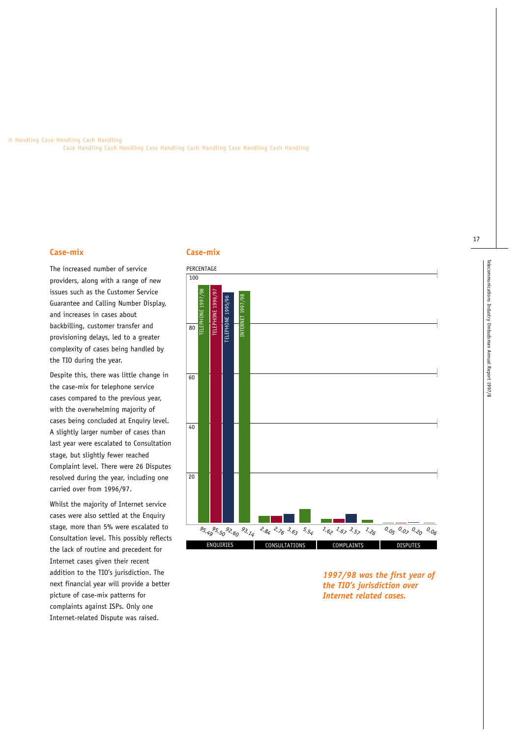sh Handling Case Handling Cash Handling Case Handling Cash Handling Case Handling Cash Handling Case Handling Cash Handling

#### **Case-mix**

The increased number of service providers, along with a range of new issues such as the Customer Service Guarantee and Calling Number Display, and increases in cases about backbilling, customer transfer and provisioning delays, led to a greater complexity of cases being handled by the TIO during the year.

Despite this, there was little change in the case-mix for telephone service cases compared to the previous year, with the overwhelming majority of cases being concluded at Enquiry level. A slightly larger number of cases than last year were escalated to Consultation stage, but slightly fewer reached Complaint level. There were 26 Disputes resolved during the year, including one carried over from 1996/97.

Whilst the majority of Internet service cases were also settled at the Enquiry stage, more than 5% were escalated to Consultation level. This possibly reflects the lack of routine and precedent for Internet cases given their recent addition to the TIO's jurisdiction. The next financial year will provide a better picture of case-mix patterns for complaints against ISPs. Only one Internet-related Dispute was raised.

# **Case-mix**



*1997/98 was the first year of the TIO's jurisdiction over Internet related cases.*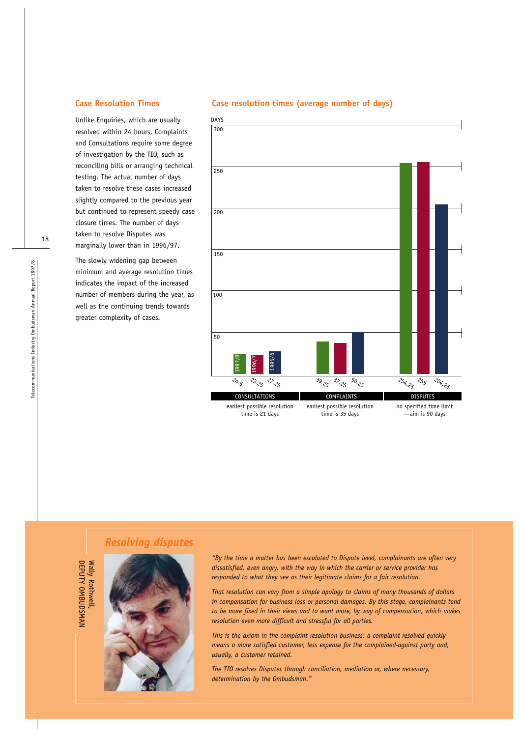Unlike Enquiries, which are usually resolved within 24 hours, Complaints and Consultations require some degree of investigation by the TIO, such as reconciling bills or arranging technical testing. The actual number of days taken to resolve these cases increased slightly compared to the previous year but continued to represent speedy case closure times. The number of days taken to resolve Disputes was marginally lower than in 1996/97.

The slowly widening gap between minimum and average resolution times indicates the impact of the increased number of members during the year, as well as the continuing trends towards greater complexity of cases.

# **Case Resolution Times Case resolution times (average number of days)**



# *Resolving disputes*



DEPUTY OMBUDSMAN

DEPUTY OMBUDSMAN

*"By the time a matter has been escalated to Dispute level, complainants are often very dissatisfied, even angry, with the way in which the carrier or service provider has responded to what they see as their legitimate claims for a fair resolution.* 

*That resolution can vary from a simple apology to claims of many thousands of dollars in compensation for business loss or personal damages. By this stage, complainants tend to be more fixed in their views and to want more, by way of compensation, which makes resolution even more difficult and stressful for all parties.*

*This is the axiom in the complaint resolution business: a complaint resolved quickly means a more satisfied customer, less expense for the complained-against party and, usually, a customer retained.*

*The TIO resolves Disputes through conciliation, mediation or, where necessary, determination by the Ombudsman."*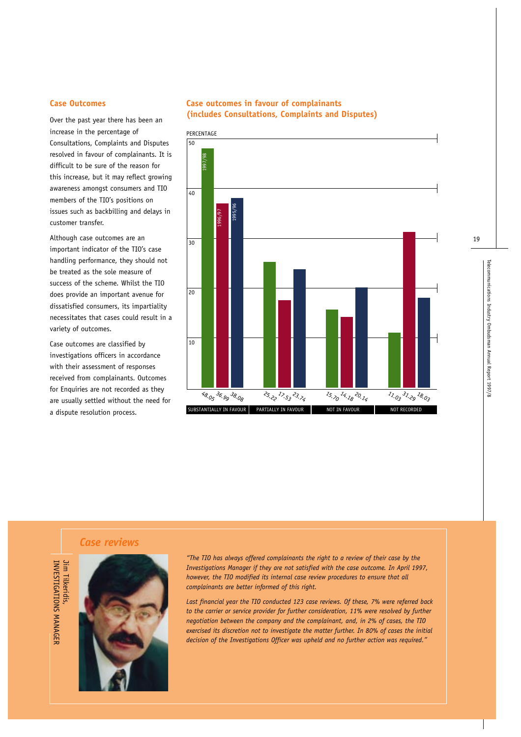#### **Case Outcomes**

Over the past year there has been an increase in the percentage of Consultations, Complaints and Disputes resolved in favour of complainants. It is difficult to be sure of the reason for this increase, but it may reflect growing awareness amongst consumers and TIO members of the TIO's positions on issues such as backbilling and delays in customer transfer.

Although case outcomes are an important indicator of the TIO's case handling performance, they should not be treated as the sole measure of success of the scheme. Whilst the TIO does provide an important avenue for dissatisfied consumers, its impartiality necessitates that cases could result in a variety of outcomes.

Case outcomes are classified by investigations officers in accordance with their assessment of responses received from complainants. Outcomes for Enquiries are not recorded as they are usually settled without the need for a dispute resolution process.

# **Case outcomes in favour of complainants (includes Consultations, Complaints and Disputes)**



# *Case reviews*



*"The TIO has always offered complainants the right to a review of their case by the Investigations Manager if they are not satisfied with the case outcome. In April 1997, however, the TIO modified its internal case review procedures to ensure that all complainants are better informed of this right.*

*Last financial year the TIO conducted 123 case reviews. Of these, 7% were referred back to the carrier or service provider for further consideration, 11% were resolved by further negotiation between the company and the complainant, and, in 2% of cases, the TIO exercised its discretion not to investigate the matter further. In 80% of cases the initial decision of the Investigations Officer was upheld and no further action was required."*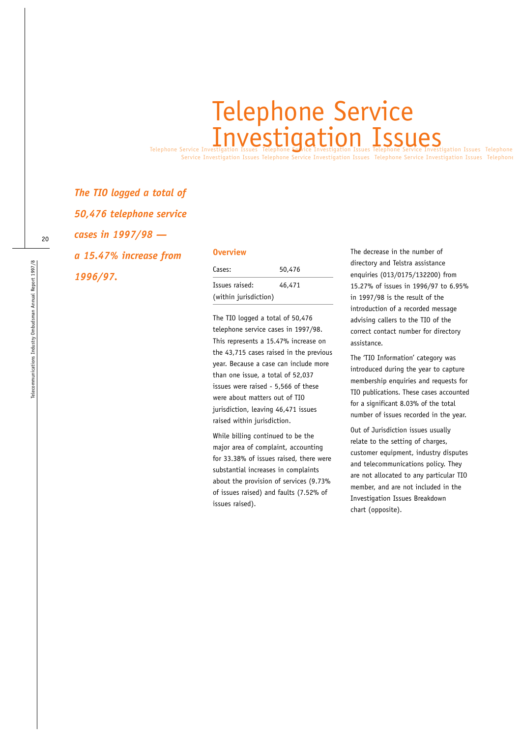# Telephone Service Investigation Issues Telephone Striet Investigation Issues Telephone Service Investigation Issues Telephone Telephone Service

Service Investigation Issues Telephone Service Investigation Issues Telephone Service Investigation Issues Telephone

*The TIO logged a total of 50,476 telephone service cases in 1997/98 a 15.47% increase from 1996/97.*

#### **Overview**

| Cases:                | 50,476 |  |
|-----------------------|--------|--|
| Issues raised:        | 46,471 |  |
| (within jurisdiction) |        |  |

The TIO logged a total of 50,476 telephone service cases in 1997/98. This represents a 15.47% increase on the 43,715 cases raised in the previous year. Because a case can include more than one issue, a total of 52,037 issues were raised - 5,566 of these were about matters out of TIO jurisdiction, leaving 46,471 issues raised within jurisdiction.

While billing continued to be the major area of complaint, accounting for 33.38% of issues raised, there were substantial increases in complaints about the provision of services (9.73% of issues raised) and faults (7.52% of issues raised).

The decrease in the number of directory and Telstra assistance enquiries (013/0175/132200) from 15.27% of issues in 1996/97 to 6.95% in 1997/98 is the result of the introduction of a recorded message advising callers to the TIO of the correct contact number for directory assistance.

The 'TIO Information' category was introduced during the year to capture membership enquiries and requests for TIO publications. These cases accounted for a significant 8.03% of the total number of issues recorded in the year.

Out of Jurisdiction issues usually relate to the setting of charges, customer equipment, industry disputes and telecommunications policy. They are not allocated to any particular TIO member, and are not included in the Investigation Issues Breakdown chart (opposite).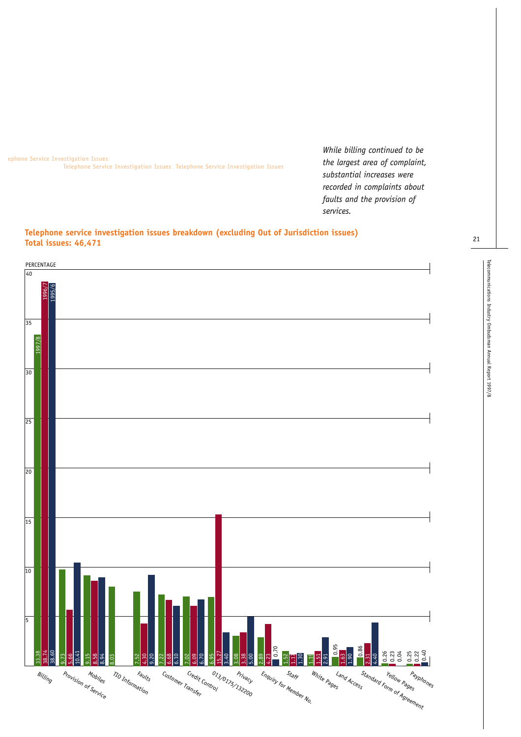ephone Service Investigation Issues Telephone Service Investigation Issues Telephone Service Investigation Issues

*While billing continued to be the largest area of complaint, substantial increases were recorded in complaints about faults and the provision of services.*

# **Telephone service investigation issues breakdown (excluding Out of Jurisdiction issues) Total issues: 46,471**

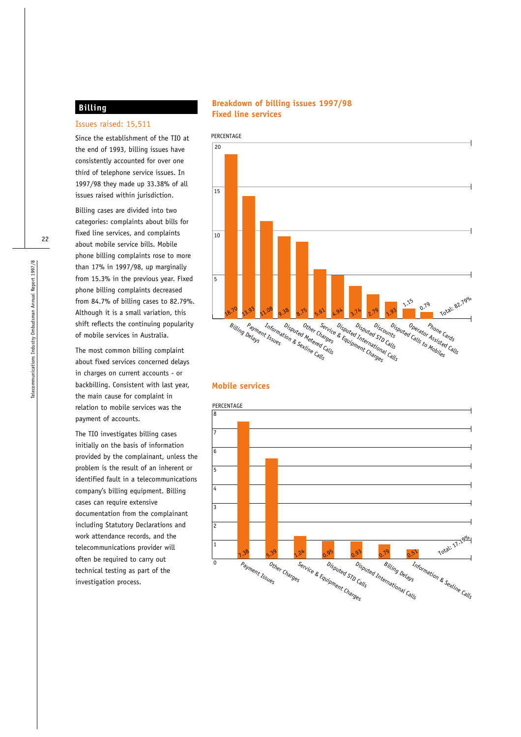# **Billing**

#### Issues raised: 15,511

Since the establishment of the TIO at the end of 1993, billing issues have consistently accounted for over one third of telephone service issues. In 1997/98 they made up 33.38% of all issues raised within jurisdiction.

Billing cases are divided into two categories: complaints about bills for fixed line services, and complaints about mobile service bills. Mobile phone billing complaints rose to more than 17% in 1997/98, up marginally from 15.3% in the previous year. Fixed phone billing complaints decreased from 84.7% of billing cases to 82.79%. Although it is a small variation, this shift reflects the continuing popularity of mobile services in Australia.

The most common billing complaint about fixed services concerned delays in charges on current accounts - or backbilling. Consistent with last year, the main cause for complaint in relation to mobile services was the payment of accounts.

The TIO investigates billing cases initially on the basis of information provided by the complainant, unless the problem is the result of an inherent or identified fault in a telecommunications company's billing equipment. Billing cases can require extensive documentation from the complainant including Statutory Declarations and work attendance records, and the telecommunications provider will often be required to carry out technical testing as part of the investigation process.

# **Breakdown of billing issues 1997/98 Fixed line services**



#### **Mobile services**

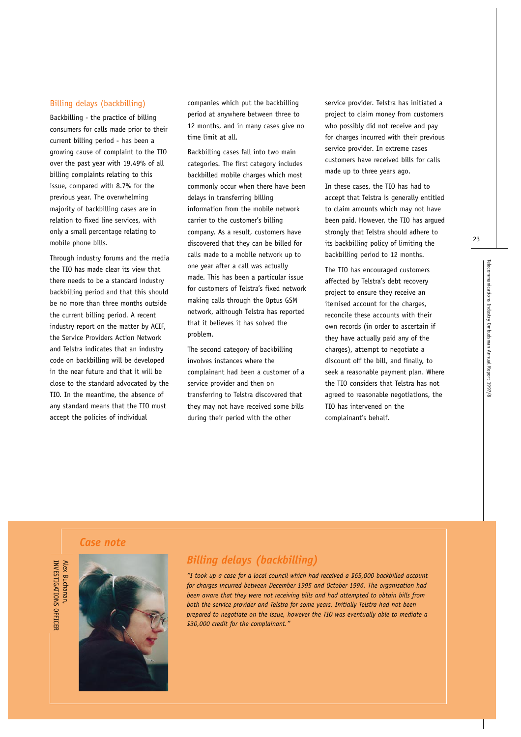#### Billing delays (backbilling)

Backbilling - the practice of billing consumers for calls made prior to their current billing period - has been a growing cause of complaint to the TIO over the past year with 19.49% of all billing complaints relating to this issue, compared with 8.7% for the previous year. The overwhelming majority of backbilling cases are in relation to fixed line services, with only a small percentage relating to mobile phone bills.

Through industry forums and the media the TIO has made clear its view that there needs to be a standard industry backbilling period and that this should be no more than three months outside the current billing period. A recent industry report on the matter by ACIF, the Service Providers Action Network and Telstra indicates that an industry code on backbilling will be developed in the near future and that it will be close to the standard advocated by the TIO. In the meantime, the absence of any standard means that the TIO must accept the policies of individual

companies which put the backbilling period at anywhere between three to 12 months, and in many cases give no time limit at all.

Backbilling cases fall into two main categories. The first category includes backbilled mobile charges which most commonly occur when there have been delays in transferring billing information from the mobile network carrier to the customer's billing company. As a result, customers have discovered that they can be billed for calls made to a mobile network up to one year after a call was actually made. This has been a particular issue for customers of Telstra's fixed network making calls through the Optus GSM network, although Telstra has reported that it believes it has solved the problem.

The second category of backbilling involves instances where the complainant had been a customer of a service provider and then on transferring to Telstra discovered that they may not have received some bills during their period with the other

service provider. Telstra has initiated a project to claim money from customers who possibly did not receive and pay for charges incurred with their previous service provider. In extreme cases customers have received bills for calls made up to three years ago.

In these cases, the TIO has had to accept that Telstra is generally entitled to claim amounts which may not have been paid. However, the TIO has argued strongly that Telstra should adhere to its backbilling policy of limiting the backbilling period to 12 months.

The TIO has encouraged customers affected by Telstra's debt recovery project to ensure they receive an itemised account for the charges, reconcile these accounts with their own records (in order to ascertain if they have actually paid any of the charges), attempt to negotiate a discount off the bill, and finally, to seek a reasonable payment plan. Where the TIO considers that Telstra has not agreed to reasonable negotiations, the TIO has intervened on the complainant's behalf.

23

*Case note*

INVESTIGATIONS OFFICEF **Alex Buchanan** INVESTIGATIONS OFFICER Alex Buchanan,



# *Billing delays (backbilling)*

*"I took up a case for a local council which had received a \$65,000 backbilled account for charges incurred between December 1995 and October 1996. The organisation had been aware that they were not receiving bills and had attempted to obtain bills from both the service provider and Telstra for some years. Initially Telstra had not been prepared to negotiate on the issue, however the TIO was eventually able to mediate a \$30,000 credit for the complainant."*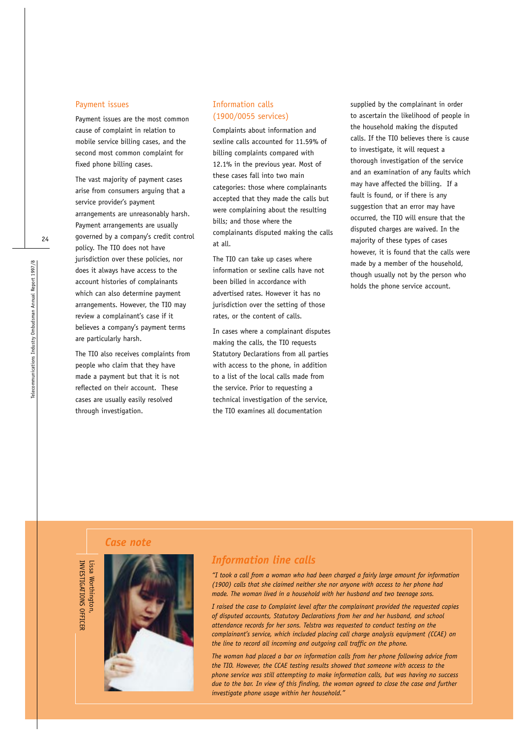#### Payment issues

Payment issues are the most common cause of complaint in relation to mobile service billing cases, and the second most common complaint for fixed phone billing cases.

The vast majority of payment cases arise from consumers arguing that a service provider's payment arrangements are unreasonably harsh. Payment arrangements are usually governed by a company's credit control policy. The TIO does not have jurisdiction over these policies, nor does it always have access to the account histories of complainants which can also determine payment arrangements. However, the TIO may review a complainant's case if it believes a company's payment terms are particularly harsh.

The TIO also receives complaints from people who claim that they have made a payment but that it is not reflected on their account. These cases are usually easily resolved through investigation.

# Information calls (1900/0055 services)

Complaints about information and sexline calls accounted for 11.59% of billing complaints compared with 12.1% in the previous year. Most of these cases fall into two main categories: those where complainants accepted that they made the calls but were complaining about the resulting bills; and those where the complainants disputed making the calls at all.

The TIO can take up cases where information or sexline calls have not been billed in accordance with advertised rates. However it has no jurisdiction over the setting of those rates, or the content of calls.

In cases where a complainant disputes making the calls, the TIO requests Statutory Declarations from all parties with access to the phone, in addition to a list of the local calls made from the service. Prior to requesting a technical investigation of the service, the TIO examines all documentation

supplied by the complainant in order to ascertain the likelihood of people in the household making the disputed calls. If the TIO believes there is cause to investigate, it will request a thorough investigation of the service and an examination of any faults which may have affected the billing. If a fault is found, or if there is any suggestion that an error may have occurred, the TIO will ensure that the disputed charges are waived. In the majority of these types of cases however, it is found that the calls were made by a member of the household, though usually not by the person who holds the phone service account.

# *Case note*

INVESTIGATIONS OFFICER

INVESTIGATIONS OFFICER



# *Information line calls*

*"I took a call from a woman who had been charged a fairly large amount for information (1900) calls that she claimed neither she nor anyone with access to her phone had made. The woman lived in a household with her husband and two teenage sons.*

*I raised the case to Complaint level after the complainant provided the requested copies of disputed accounts, Statutory Declarations from her and her husband, and school attendance records for her sons. Telstra was requested to conduct testing on the complainant's service, which included placing call charge analysis equipment (CCAE) on the line to record all incoming and outgoing call traffic on the phone.*

*The woman had placed a bar on information calls from her phone following advice from the TIO. However, the CCAE testing results showed that someone with access to the phone service was still attempting to make information calls, but was having no success due to the bar. In view of this finding, the woman agreed to close the case and further investigate phone usage within her household."*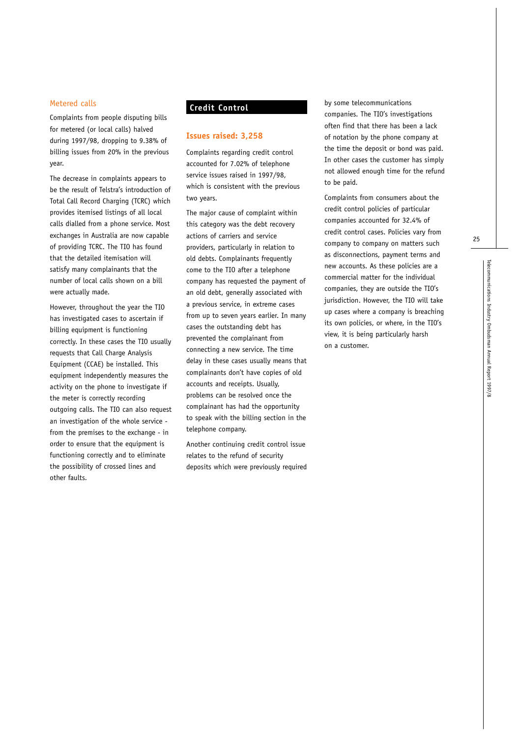#### Metered calls

Complaints from people disputing bills for metered (or local calls) halved during 1997/98, dropping to 9.38% of billing issues from 20% in the previous year.

The decrease in complaints appears to be the result of Telstra's introduction of Total Call Record Charging (TCRC) which provides itemised listings of all local calls dialled from a phone service. Most exchanges in Australia are now capable of providing TCRC. The TIO has found that the detailed itemisation will satisfy many complainants that the number of local calls shown on a bill were actually made.

However, throughout the year the TIO has investigated cases to ascertain if billing equipment is functioning correctly. In these cases the TIO usually requests that Call Charge Analysis Equipment (CCAE) be installed. This equipment independently measures the activity on the phone to investigate if the meter is correctly recording outgoing calls. The TIO can also request an investigation of the whole service from the premises to the exchange - in order to ensure that the equipment is functioning correctly and to eliminate the possibility of crossed lines and other faults.

# **Credit Control**

#### **Issues raised: 3,258**

Complaints regarding credit control accounted for 7.02% of telephone service issues raised in 1997/98, which is consistent with the previous two years.

The major cause of complaint within this category was the debt recovery actions of carriers and service providers, particularly in relation to old debts. Complainants frequently come to the TIO after a telephone company has requested the payment of an old debt, generally associated with a previous service, in extreme cases from up to seven years earlier. In many cases the outstanding debt has prevented the complainant from connecting a new service. The time delay in these cases usually means that complainants don't have copies of old accounts and receipts. Usually, problems can be resolved once the complainant has had the opportunity to speak with the billing section in the telephone company.

Another continuing credit control issue relates to the refund of security deposits which were previously required by some telecommunications companies. The TIO's investigations often find that there has been a lack of notation by the phone company at the time the deposit or bond was paid. In other cases the customer has simply not allowed enough time for the refund to be paid.

Complaints from consumers about the credit control policies of particular companies accounted for 32.4% of credit control cases. Policies vary from company to company on matters such as disconnections, payment terms and new accounts. As these policies are a commercial matter for the individual companies, they are outside the TIO's jurisdiction. However, the TIO will take up cases where a company is breaching its own policies, or where, in the TIO's view, it is being particularly harsh on a customer.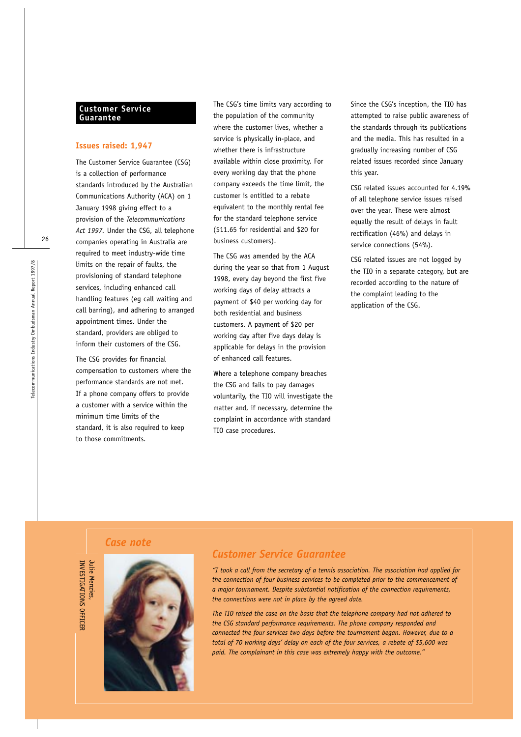#### **Customer Service Guarantee**

#### **Issues raised: 1,947**

The Customer Service Guarantee (CSG) is a collection of performance standards introduced by the Australian Communications Authority (ACA) on 1 January 1998 giving effect to a provision of the *Telecommunications Act 1997.* Under the CSG, all telephone companies operating in Australia are required to meet industry-wide time limits on the repair of faults, the provisioning of standard telephone services, including enhanced call handling features (eg call waiting and call barring), and adhering to arranged appointment times. Under the standard, providers are obliged to inform their customers of the CSG.

The CSG provides for financial compensation to customers where the performance standards are not met. If a phone company offers to provide a customer with a service within the minimum time limits of the standard, it is also required to keep to those commitments.

The CSG's time limits vary according to the population of the community where the customer lives, whether a service is physically in-place, and whether there is infrastructure available within close proximity. For every working day that the phone company exceeds the time limit, the customer is entitled to a rebate equivalent to the monthly rental fee for the standard telephone service (\$11.65 for residential and \$20 for business customers).

The CSG was amended by the ACA during the year so that from 1 August 1998, every day beyond the first five working days of delay attracts a payment of \$40 per working day for both residential and business customers. A payment of \$20 per working day after five days delay is applicable for delays in the provision of enhanced call features.

Where a telephone company breaches the CSG and fails to pay damages voluntarily, the TIO will investigate the matter and, if necessary, determine the complaint in accordance with standard TIO case procedures.

Since the CSG's inception, the TIO has attempted to raise public awareness of the standards through its publications and the media. This has resulted in a gradually increasing number of CSG related issues recorded since January this year.

CSG related issues accounted for 4.19% of all telephone service issues raised over the year. These were almost equally the result of delays in fault rectification (46%) and delays in service connections (54%).

CSG related issues are not logged by the TIO in a separate category, but are recorded according to the nature of the complaint leading to the application of the CSG.

#### *Case note*



INVESTIGATIONS OFFICER

INVESTIGATIONS OFFICEF



# *Customer Service Guarantee*

*"I took a call from the secretary of a tennis association. The association had applied for the connection of four business services to be completed prior to the commencement of a major tournament. Despite substantial notification of the connection requirements, the connections were not in place by the agreed date.*

*The TIO raised the case on the basis that the telephone company had not adhered to the CSG standard performance requirements. The phone company responded and connected the four services two days before the tournament began. However, due to a total of 70 working days' delay on each of the four services, a rebate of \$5,600 was paid. The complainant in this case was extremely happy with the outcome."*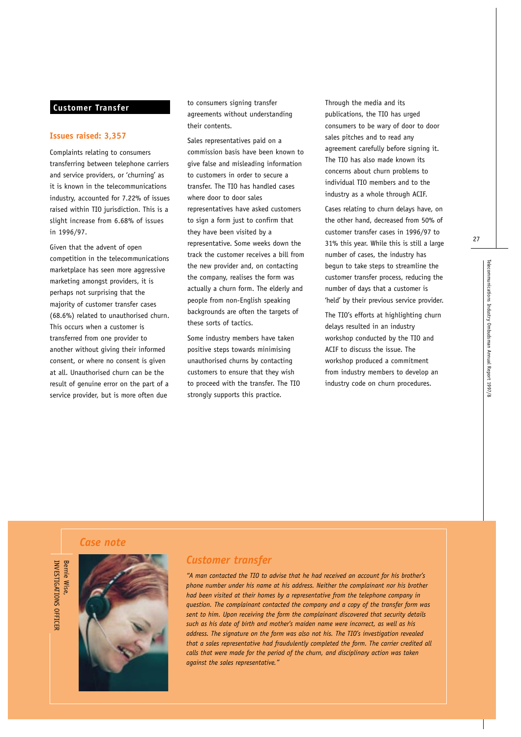## **Customer Transfer**

#### **Issues raised: 3,357**

Complaints relating to consumers transferring between telephone carriers and service providers, or 'churning' as it is known in the telecommunications industry, accounted for 7.22% of issues raised within TIO jurisdiction. This is a slight increase from 6.68% of issues in 1996/97.

Given that the advent of open competition in the telecommunications marketplace has seen more aggressive marketing amongst providers, it is perhaps not surprising that the majority of customer transfer cases (68.6%) related to unauthorised churn. This occurs when a customer is transferred from one provider to another without giving their informed consent, or where no consent is given at all. Unauthorised churn can be the result of genuine error on the part of a service provider, but is more often due

to consumers signing transfer agreements without understanding their contents.

Sales representatives paid on a commission basis have been known to give false and misleading information to customers in order to secure a transfer. The TIO has handled cases where door to door sales representatives have asked customers to sign a form just to confirm that they have been visited by a representative. Some weeks down the track the customer receives a bill from the new provider and, on contacting the company, realises the form was actually a churn form. The elderly and people from non-English speaking backgrounds are often the targets of these sorts of tactics.

Some industry members have taken positive steps towards minimising unauthorised churns by contacting customers to ensure that they wish to proceed with the transfer. The TIO strongly supports this practice.

Through the media and its publications, the TIO has urged consumers to be wary of door to door sales pitches and to read any agreement carefully before signing it. The TIO has also made known its concerns about churn problems to individual TIO members and to the industry as a whole through ACIF.

Cases relating to churn delays have, on the other hand, decreased from 50% of customer transfer cases in 1996/97 to 31% this year. While this is still a large number of cases, the industry has begun to take steps to streamline the customer transfer process, reducing the number of days that a customer is 'held' by their previous service provider.

The TIO's efforts at highlighting churn delays resulted in an industry workshop conducted by the TIO and ACIF to discuss the issue. The workshop produced a commitment from industry members to develop an industry code on churn procedures.

*Case note*





## *Customer transfer*

*"A man contacted the TIO to advise that he had received an account for his brother's phone number under his name at his address. Neither the complainant nor his brother had been visited at their homes by a representative from the telephone company in question. The complainant contacted the company and a copy of the transfer form was sent to him. Upon receiving the form the complainant discovered that security details such as his date of birth and mother's maiden name were incorrect, as well as his address. The signature on the form was also not his. The TIO's investigation revealed that a sales representative had fraudulently completed the form. The carrier credited all calls that were made for the period of the churn, and disciplinary action was taken against the sales representative."*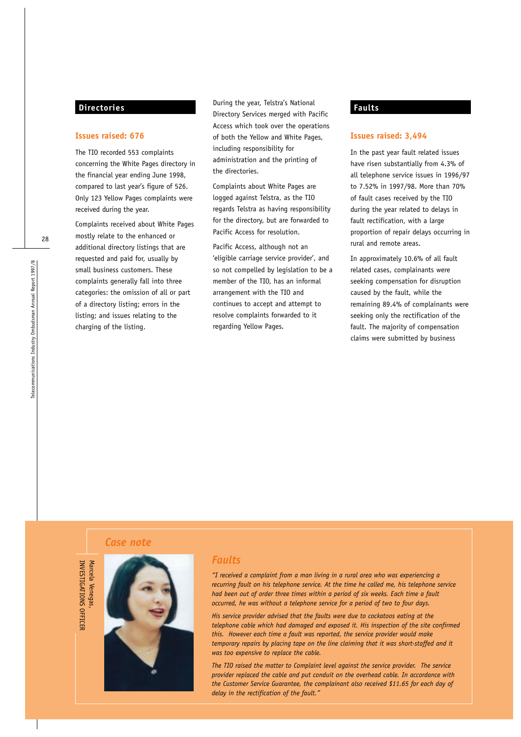# **Directories**

#### **Issues raised: 676**

The TIO recorded 553 complaints concerning the White Pages directory in the financial year ending June 1998, compared to last year's figure of 526. Only 123 Yellow Pages complaints were received during the year.

Complaints received about White Pages mostly relate to the enhanced or additional directory listings that are requested and paid for, usually by small business customers. These complaints generally fall into three categories: the omission of all or part of a directory listing; errors in the listing; and issues relating to the charging of the listing.

During the year, Telstra's National Directory Services merged with Pacific Access which took over the operations of both the Yellow and White Pages, including responsibility for administration and the printing of the directories.

Complaints about White Pages are logged against Telstra, as the TIO regards Telstra as having responsibility for the directory, but are forwarded to Pacific Access for resolution.

Pacific Access, although not an 'eligible carriage service provider', and so not compelled by legislation to be a member of the TIO, has an informal arrangement with the TIO and continues to accept and attempt to resolve complaints forwarded to it regarding Yellow Pages.

# **Faults**

#### **Issues raised: 3,494**

In the past year fault related issues have risen substantially from 4.3% of all telephone service issues in 1996/97 to 7.52% in 1997/98. More than 70% of fault cases received by the TIO during the year related to delays in fault rectification, with a large proportion of repair delays occurring in rural and remote areas.

In approximately 10.6% of all fault related cases, complainants were seeking compensation for disruption caused by the fault, while the remaining 89.4% of complainants were seeking only the rectification of the fault. The majority of compensation claims were submitted by business

# *Case note*





# *Faults*

*"I received a complaint from a man living in a rural area who was experiencing a recurring fault on his telephone service. At the time he called me, his telephone service had been out of order three times within a period of six weeks. Each time a fault occurred, he was without a telephone service for a period of two to four days.*

*His service provider advised that the faults were due to cockatoos eating at the telephone cable which had damaged and exposed it. His inspection of the site confirmed this. However each time a fault was reported, the service provider would make temporary repairs by placing tape on the line claiming that it was short-staffed and it was too expensive to replace the cable.*

*The TIO raised the matter to Complaint level against the service provider. The service provider replaced the cable and put conduit on the overhead cable. In accordance with the Customer Service Guarantee, the complainant also received \$11.65 for each day of delay in the rectification of the fault."*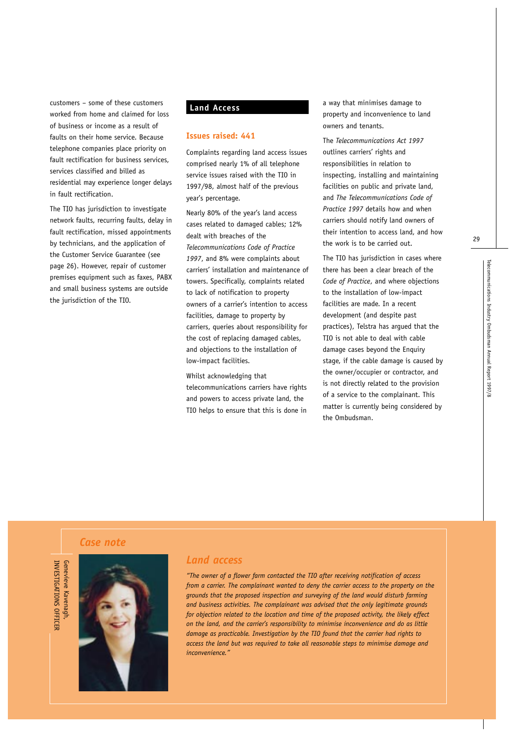customers – some of these customers worked from home and claimed for loss of business or income as a result of faults on their home service. Because telephone companies place priority on fault rectification for business services, services classified and billed as residential may experience longer delays in fault rectification.

The TIO has jurisdiction to investigate network faults, recurring faults, delay in fault rectification, missed appointments by technicians, and the application of the Customer Service Guarantee (see page 26). However, repair of customer premises equipment such as faxes, PABX and small business systems are outside the jurisdiction of the TIO.

# **Land Access**

#### **Issues raised: 441**

Complaints regarding land access issues comprised nearly 1% of all telephone service issues raised with the TIO in 1997/98, almost half of the previous year's percentage.

Nearly 80% of the year's land access cases related to damaged cables; 12% dealt with breaches of the *Telecommunications Code of Practice 1997*, and 8% were complaints about carriers' installation and maintenance of towers. Specifically, complaints related to lack of notification to property owners of a carrier's intention to access facilities, damage to property by carriers, queries about responsibility for the cost of replacing damaged cables, and objections to the installation of low-impact facilities.

Whilst acknowledging that

telecommunications carriers have rights and powers to access private land, the TIO helps to ensure that this is done in a way that minimises damage to property and inconvenience to land owners and tenants.

The *Telecommunications Act 1997* outlines carriers' rights and responsibilities in relation to inspecting, installing and maintaining facilities on public and private land, and *The Telecommunications Code of Practice 1997* details how and when carriers should notify land owners of their intention to access land, and how the work is to be carried out.

The TIO has jurisdiction in cases where there has been a clear breach of the *Code of Practice*, and where objections to the installation of low-impact facilities are made. In a recent development (and despite past practices), Telstra has argued that the TIO is not able to deal with cable damage cases beyond the Enquiry stage, if the cable damage is caused by the owner/occupier or contractor, and is not directly related to the provision of a service to the complainant. This matter is currently being considered by the Ombudsman.

29

*Case note*



# *Land access*

*"The owner of a flower farm contacted the TIO after receiving notification of access from a carrier. The complainant wanted to deny the carrier access to the property on the grounds that the proposed inspection and surveying of the land would disturb farming and business activities. The complainant was advised that the only legitimate grounds for objection related to the location and time of the proposed activity, the likely effect on the land, and the carrier's responsibility to minimise inconvenience and do as little damage as practicable. Investigation by the TIO found that the carrier had rights to access the land but was required to take all reasonable steps to minimise damage and inconvenience."*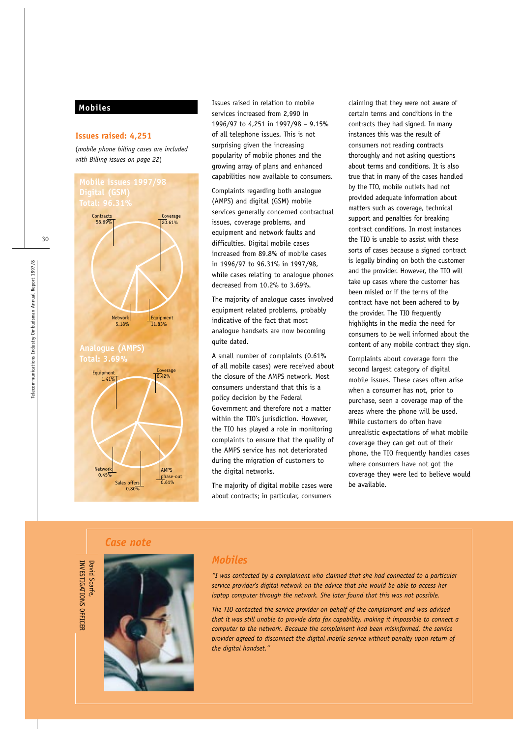#### **Mobiles**

#### **Issues raised: 4,251**

(*mobile phone billing cases are included with Billing issues on page 22*)



Issues raised in relation to mobile services increased from 2,990 in 1996/97 to 4,251 in 1997/98 – 9.15% of all telephone issues. This is not surprising given the increasing popularity of mobile phones and the growing array of plans and enhanced capabilities now available to consumers.

Complaints regarding both analogue (AMPS) and digital (GSM) mobile services generally concerned contractual issues, coverage problems, and equipment and network faults and difficulties. Digital mobile cases increased from 89.8% of mobile cases in 1996/97 to 96.31% in 1997/98, while cases relating to analogue phones decreased from 10.2% to 3.69%.

The majority of analogue cases involved equipment related problems, probably indicative of the fact that most analogue handsets are now becoming quite dated.

A small number of complaints (0.61% of all mobile cases) were received about the closure of the AMPS network. Most consumers understand that this is a policy decision by the Federal Government and therefore not a matter within the TIO's jurisdiction. However, the TIO has played a role in monitoring complaints to ensure that the quality of the AMPS service has not deteriorated during the migration of customers to the digital networks.

The majority of digital mobile cases were about contracts; in particular, consumers

claiming that they were not aware of certain terms and conditions in the contracts they had signed. In many instances this was the result of consumers not reading contracts thoroughly and not asking questions about terms and conditions. It is also true that in many of the cases handled by the TIO, mobile outlets had not provided adequate information about matters such as coverage, technical support and penalties for breaking contract conditions. In most instances the TIO is unable to assist with these sorts of cases because a signed contract is legally binding on both the customer and the provider. However, the TIO will take up cases where the customer has been misled or if the terms of the contract have not been adhered to by the provider. The TIO frequently highlights in the media the need for consumers to be well informed about the content of any mobile contract they sign.

Complaints about coverage form the second largest category of digital mobile issues. These cases often arise when a consumer has not, prior to purchase, seen a coverage map of the areas where the phone will be used. While customers do often have unrealistic expectations of what mobile coverage they can get out of their phone, the TIO frequently handles cases where consumers have not got the coverage they were led to believe would be available.

*Case note*

INVESTIGATIONS OFFICER

INVESTIGATIONS OFFICEF

David Scarfe,

David Scarfe



# *Mobiles*

*"I was contacted by a complainant who claimed that she had connected to a particular service provider's digital network on the advice that she would be able to access her laptop computer through the network. She later found that this was not possible.*

*The TIO contacted the service provider on behalf of the complainant and was advised that it was still unable to provide data fax capability, making it impossible to connect a computer to the network. Because the complainant had been misinformed, the service provider agreed to disconnect the digital mobile service without penalty upon return of the digital handset."*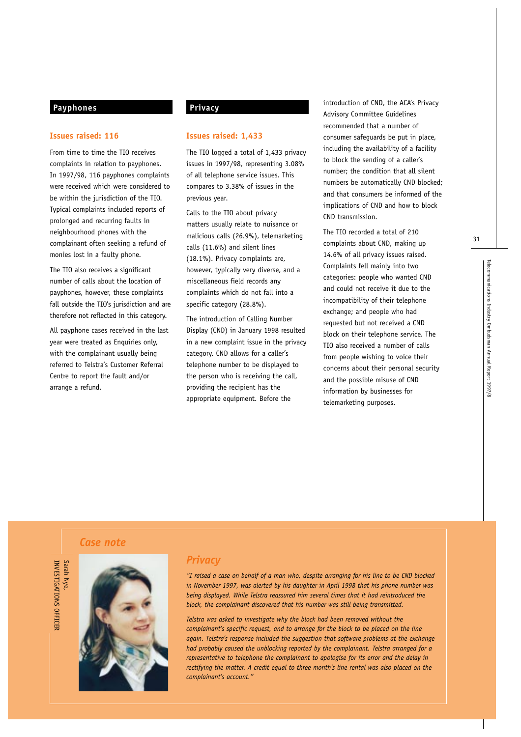# **Payphones**

#### **Issues raised: 116**

From time to time the TIO receives complaints in relation to payphones. In 1997/98, 116 payphones complaints were received which were considered to be within the jurisdiction of the TIO. Typical complaints included reports of prolonged and recurring faults in neighbourhood phones with the complainant often seeking a refund of monies lost in a faulty phone.

The TIO also receives a significant number of calls about the location of payphones, however, these complaints fall outside the TIO's jurisdiction and are therefore not reflected in this category.

All payphone cases received in the last year were treated as Enquiries only, with the complainant usually being referred to Telstra's Customer Referral Centre to report the fault and/or arrange a refund.

# **Privacy**

#### **Issues raised: 1,433**

The TIO logged a total of 1,433 privacy issues in 1997/98, representing 3.08% of all telephone service issues. This compares to 3.38% of issues in the previous year.

Calls to the TIO about privacy matters usually relate to nuisance or malicious calls (26.9%), telemarketing calls (11.6%) and silent lines (18.1%). Privacy complaints are, however, typically very diverse, and a miscellaneous field records any complaints which do not fall into a specific category (28.8%).

The introduction of Calling Number Display (CND) in January 1998 resulted in a new complaint issue in the privacy category. CND allows for a caller's telephone number to be displayed to the person who is receiving the call, providing the recipient has the appropriate equipment. Before the

introduction of CND, the ACA's Privacy Advisory Committee Guidelines recommended that a number of consumer safeguards be put in place, including the availability of a facility to block the sending of a caller's number; the condition that all silent numbers be automatically CND blocked; and that consumers be informed of the implications of CND and how to block CND transmission.

The TIO recorded a total of 210 complaints about CND, making up 14.6% of all privacy issues raised. Complaints fell mainly into two categories: people who wanted CND and could not receive it due to the incompatibility of their telephone exchange; and people who had requested but not received a CND block on their telephone service. The TIO also received a number of calls from people wishing to voice their concerns about their personal security and the possible misuse of CND information by businesses for telemarketing purposes.

31

# *Case note*

Sarah Nye,<br>INVESTIGATIONS OFFICER



# *Privacy*

*"I raised a case on behalf of a man who, despite arranging for his line to be CND blocked in November 1997, was alerted by his daughter in April 1998 that his phone number was being displayed. While Telstra reassured him several times that it had reintroduced the block, the complainant discovered that his number was still being transmitted.*

*Telstra was asked to investigate why the block had been removed without the complainant's specific request, and to arrange for the block to be placed on the line again. Telstra's response included the suggestion that software problems at the exchange had probably caused the unblocking reported by the complainant. Telstra arranged for a representative to telephone the complainant to apologise for its error and the delay in rectifying the matter. A credit equal to three month's line rental was also placed on the complainant's account."*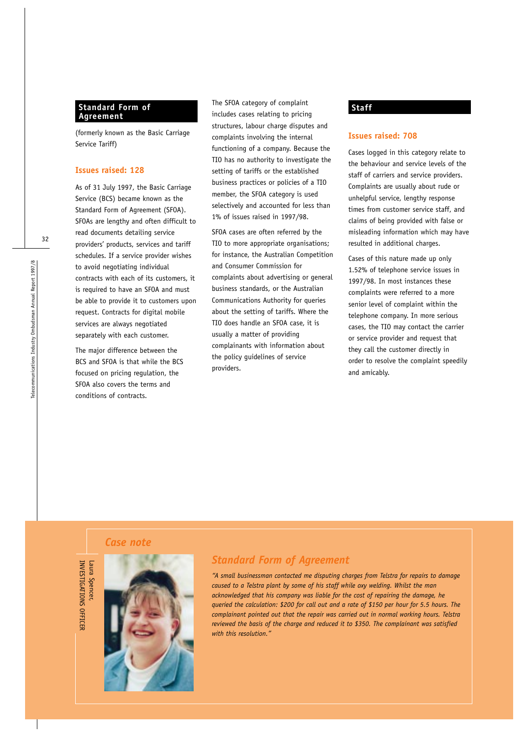# **Standard Form of Agreement**

(formerly known as the Basic Carriage Service Tariff)

#### **Issues raised: 128**

As of 31 July 1997, the Basic Carriage Service (BCS) became known as the Standard Form of Agreement (SFOA). SFOAs are lengthy and often difficult to read documents detailing service providers' products, services and tariff schedules. If a service provider wishes to avoid negotiating individual contracts with each of its customers, it is required to have an SFOA and must be able to provide it to customers upon request. Contracts for digital mobile services are always negotiated separately with each customer.

The major difference between the BCS and SFOA is that while the BCS focused on pricing regulation, the SFOA also covers the terms and conditions of contracts.

The SFOA category of complaint includes cases relating to pricing structures, labour charge disputes and complaints involving the internal functioning of a company. Because the TIO has no authority to investigate the setting of tariffs or the established business practices or policies of a TIO member, the SFOA category is used selectively and accounted for less than 1% of issues raised in 1997/98.

SFOA cases are often referred by the TIO to more appropriate organisations; for instance, the Australian Competition and Consumer Commission for complaints about advertising or general business standards, or the Australian Communications Authority for queries about the setting of tariffs. Where the TIO does handle an SFOA case, it is usually a matter of providing complainants with information about the policy guidelines of service providers.

#### **Staff**

#### **Issues raised: 708**

Cases logged in this category relate to the behaviour and service levels of the staff of carriers and service providers. Complaints are usually about rude or unhelpful service, lengthy response times from customer service staff, and claims of being provided with false or misleading information which may have resulted in additional charges.

Cases of this nature made up only 1.52% of telephone service issues in 1997/98. In most instances these complaints were referred to a more senior level of complaint within the telephone company. In more serious cases, the TIO may contact the carrier or service provider and request that they call the customer directly in order to resolve the complaint speedily and amicably.

# *Case note*



# *Standard Form of Agreement*

*"A small businessman contacted me disputing charges from Telstra for repairs to damage caused to a Telstra plant by some of his staff while oxy welding. Whilst the man acknowledged that his company was liable for the cost of repairing the damage, he queried the calculation: \$200 for call out and a rate of \$150 per hour for 5.5 hours. The complainant pointed out that the repair was carried out in normal working hours. Telstra reviewed the basis of the charge and reduced it to \$350. The complainant was satisfied with this resolution."*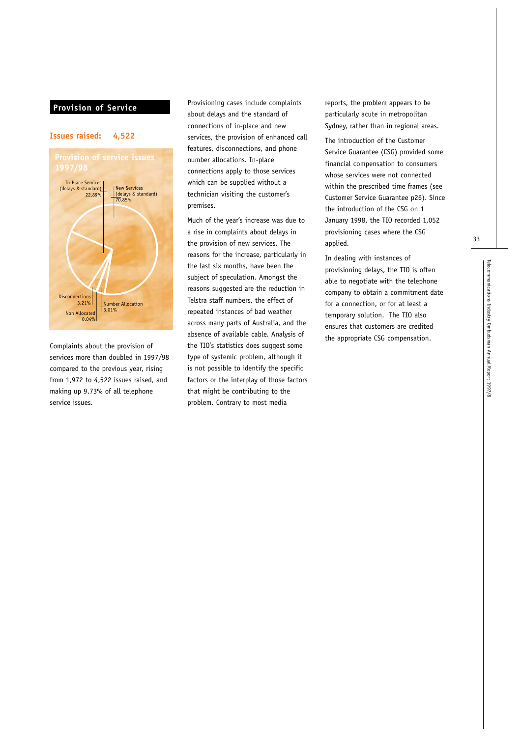# **Provision of Service**

#### **Issues raised: 4,522**



Complaints about the provision of services more than doubled in 1997/98 compared to the previous year, rising from 1,972 to 4,522 issues raised, and making up 9.73% of all telephone service issues.

Provisioning cases include complaints about delays and the standard of connections of in-place and new services, the provision of enhanced call features, disconnections, and phone number allocations. In-place connections apply to those services which can be supplied without a technician visiting the customer's premises.

Much of the year's increase was due to a rise in complaints about delays in the provision of new services. The reasons for the increase, particularly in the last six months, have been the subject of speculation. Amongst the reasons suggested are the reduction in Telstra staff numbers, the effect of repeated instances of bad weather across many parts of Australia, and the absence of available cable. Analysis of the TIO's statistics does suggest some type of systemic problem, although it is not possible to identify the specific factors or the interplay of those factors that might be contributing to the problem. Contrary to most media

reports, the problem appears to be particularly acute in metropolitan Sydney, rather than in regional areas.

The introduction of the Customer Service Guarantee (CSG) provided some financial compensation to consumers whose services were not connected within the prescribed time frames (see Customer Service Guarantee p26). Since the introduction of the CSG on 1 January 1998, the TIO recorded 1,052 provisioning cases where the CSG applied.

In dealing with instances of provisioning delays, the TIO is often able to negotiate with the telephone company to obtain a commitment date for a connection, or for at least a temporary solution. The TIO also ensures that customers are credited the appropriate CSG compensation.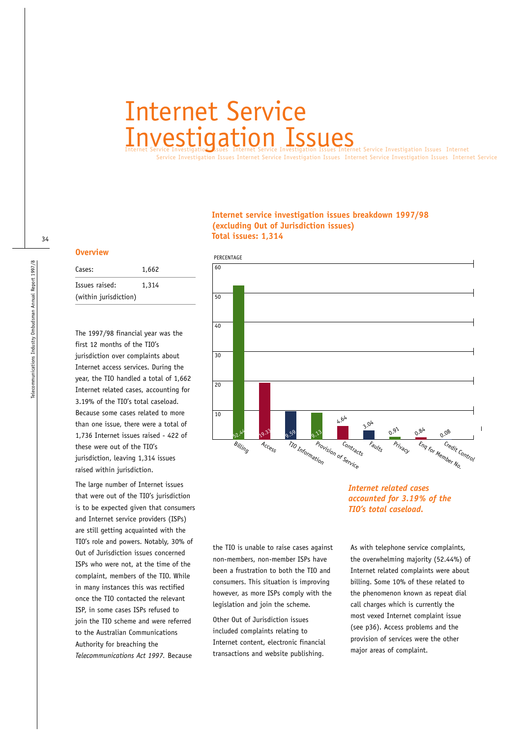# Internet Service Investigation Issues

s Internet Service Investigation Issues Internet Service

#### **Internet service investigation issues breakdown 1997/98 (excluding Out of Jurisdiction issues) Total issues: 1,314**

#### **Overview**

| Cases:                | 1,662 |
|-----------------------|-------|
| Issues raised:        | 1,314 |
| (within jurisdiction) |       |

The 1997/98 financial year was the first 12 months of the TIO's jurisdiction over complaints about Internet access services. During the year, the TIO handled a total of 1,662 Internet related cases, accounting for 3.19% of the TIO's total caseload. Because some cases related to more than one issue, there were a total of 1,736 Internet issues raised - 422 of these were out of the TIO's jurisdiction, leaving 1,314 issues raised within jurisdiction.

The large number of Internet issues that were out of the TIO's jurisdiction is to be expected given that consumers and Internet service providers (ISPs) are still getting acquainted with the TIO's role and powers. Notably, 30% of Out of Jurisdiction issues concerned ISPs who were not, at the time of the complaint, members of the TIO. While in many instances this was rectified once the TIO contacted the relevant ISP, in some cases ISPs refused to join the TIO scheme and were referred to the Australian Communications Authority for breaching the *Telecommunications Act 1997.* Because



the TIO is unable to raise cases against non-members, non-member ISPs have been a frustration to both the TIO and consumers. This situation is improving however, as more ISPs comply with the legislation and join the scheme.

Other Out of Jurisdiction issues included complaints relating to Internet content, electronic financial transactions and website publishing.

# *Internet related cases accounted for 3.19% of the TIO's total caseload.*

**Service Investigation Issues Internet** 

As with telephone service complaints, the overwhelming majority (52.44%) of Internet related complaints were about billing. Some 10% of these related to the phenomenon known as repeat dial call charges which is currently the most vexed Internet complaint issue (see p36). Access problems and the provision of services were the other major areas of complaint.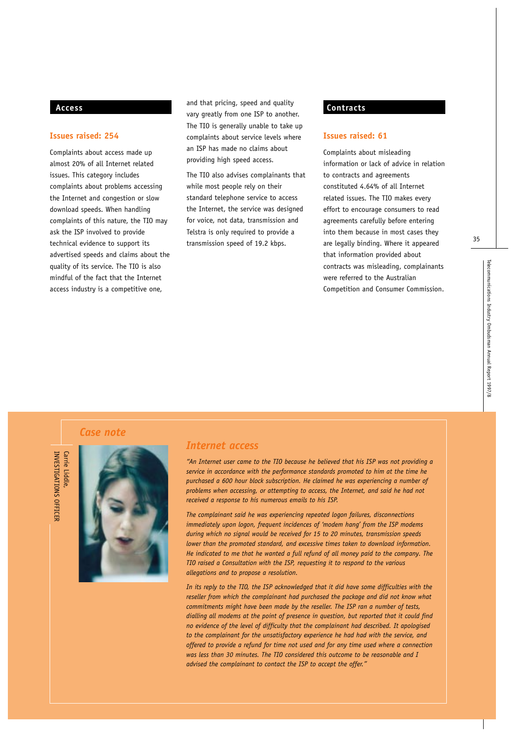# **Access**

#### **Issues raised: 254**

Complaints about access made up almost 20% of all Internet related issues. This category includes complaints about problems accessing the Internet and congestion or slow download speeds. When handling complaints of this nature, the TIO may ask the ISP involved to provide technical evidence to support its advertised speeds and claims about the quality of its service. The TIO is also mindful of the fact that the Internet access industry is a competitive one,

and that pricing, speed and quality vary greatly from one ISP to another. The TIO is generally unable to take up complaints about service levels where an ISP has made no claims about providing high speed access.

The TIO also advises complainants that while most people rely on their standard telephone service to access the Internet, the service was designed for voice, not data, transmission and Telstra is only required to provide a transmission speed of 19.2 kbps.

# **Contracts**

#### **Issues raised: 61**

Complaints about misleading information or lack of advice in relation to contracts and agreements constituted 4.64% of all Internet related issues. The TIO makes every effort to encourage consumers to read agreements carefully before entering into them because in most cases they are legally binding. Where it appeared that information provided about contracts was misleading, complainants were referred to the Australian Competition and Consumer Commission.

*Case note*

INVESTIGATIONS OFFICER Carrie Liddle INVESTIGATIONS OFFICER Carrie Liddle,



#### *Internet access*

*"An Internet user came to the TIO because he believed that his ISP was not providing a service in accordance with the performance standards promoted to him at the time he purchased a 600 hour block subscription. He claimed he was experiencing a number of problems when accessing, or attempting to access, the Internet, and said he had not received a response to his numerous emails to his ISP.*

*The complainant said he was experiencing repeated logon failures, disconnections immediately upon logon, frequent incidences of 'modem hang' from the ISP modems during which no signal would be received for 15 to 20 minutes, transmission speeds lower than the promoted standard, and excessive times taken to download information. He indicated to me that he wanted a full refund of all money paid to the company. The TIO raised a Consultation with the ISP, requesting it to respond to the various allegations and to propose a resolution.*

*In its reply to the TIO, the ISP acknowledged that it did have some difficulties with the reseller from which the complainant had purchased the package and did not know what commitments might have been made by the reseller. The ISP ran a number of tests, dialling all modems at the point of presence in question, but reported that it could find no evidence of the level of difficulty that the complainant had described. It apologised to the complainant for the unsatisfactory experience he had had with the service, and offered to provide a refund for time not used and for any time used where a connection was less than 30 minutes. The TIO considered this outcome to be reasonable and I advised the complainant to contact the ISP to accept the offer."*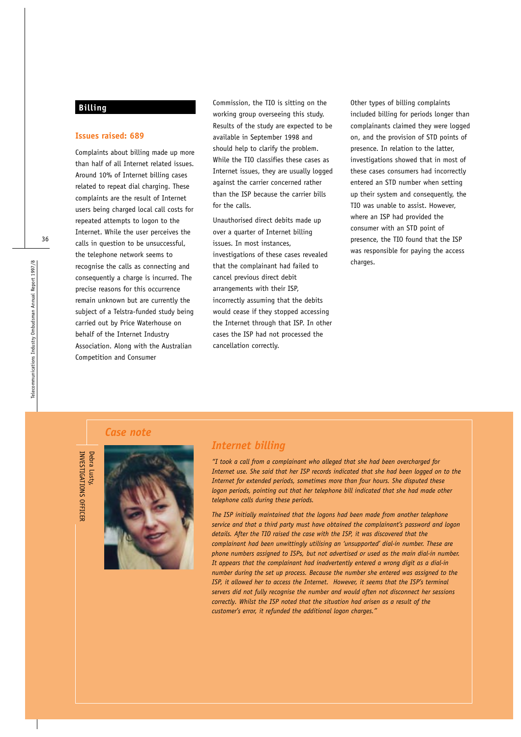# **Billing**

#### **Issues raised: 689**

Complaints about billing made up more than half of all Internet related issues. Around 10% of Internet billing cases related to repeat dial charging. These complaints are the result of Internet users being charged local call costs for repeated attempts to logon to the Internet. While the user perceives the calls in question to be unsuccessful, the telephone network seems to recognise the calls as connecting and consequently a charge is incurred. The precise reasons for this occurrence remain unknown but are currently the subject of a Telstra-funded study being carried out by Price Waterhouse on behalf of the Internet Industry Association. Along with the Australian Competition and Consumer

Commission, the TIO is sitting on the working group overseeing this study. Results of the study are expected to be available in September 1998 and should help to clarify the problem. While the TIO classifies these cases as Internet issues, they are usually logged against the carrier concerned rather than the ISP because the carrier bills for the calls.

Unauthorised direct debits made up over a quarter of Internet billing issues. In most instances, investigations of these cases revealed that the complainant had failed to cancel previous direct debit arrangements with their ISP, incorrectly assuming that the debits would cease if they stopped accessing the Internet through that ISP. In other cases the ISP had not processed the cancellation correctly.

Other types of billing complaints included billing for periods longer than complainants claimed they were logged on, and the provision of STD points of presence. In relation to the latter, investigations showed that in most of these cases consumers had incorrectly entered an STD number when setting up their system and consequently, the TIO was unable to assist. However, where an ISP had provided the consumer with an STD point of presence, the TIO found that the ISP was responsible for paying the access charges.

# *Case note*

INVESTIGATIONS OFFICER

INVESTIGATIONS OFFICER



# *Internet billing*

*"I took a call from a complainant who alleged that she had been overcharged for Internet use. She said that her ISP records indicated that she had been logged on to the Internet for extended periods, sometimes more than four hours. She disputed these logon periods, pointing out that her telephone bill indicated that she had made other telephone calls during these periods.* 

*The ISP initially maintained that the logons had been made from another telephone service and that a third party must have obtained the complainant's password and logon details. After the TIO raised the case with the ISP, it was discovered that the complainant had been unwittingly utilising an 'unsupported' dial-in number. These are phone numbers assigned to ISPs, but not advertised or used as the main dial-in number. It appears that the complainant had inadvertently entered a wrong digit as a dial-in number during the set up process. Because the number she entered was assigned to the ISP, it allowed her to access the Internet. However, it seems that the ISP's terminal servers did not fully recognise the number and would often not disconnect her sessions correctly. Whilst the ISP noted that the situation had arisen as a result of the customer's error, it refunded the additional logon charges."*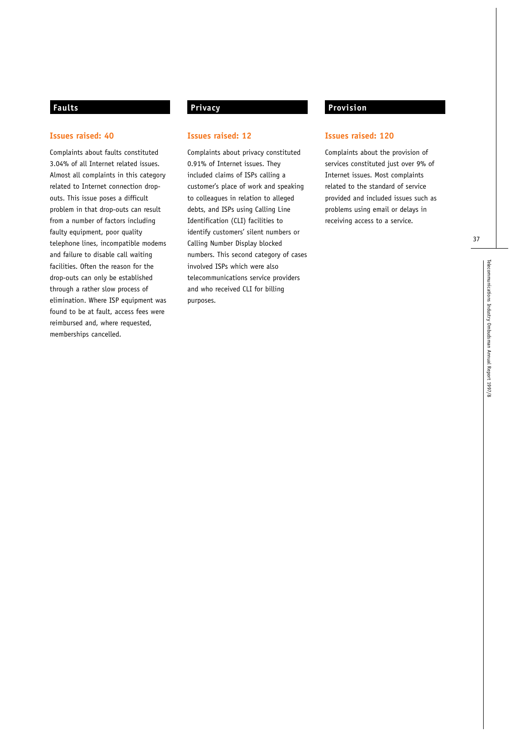# **Faults**

#### **Issues raised: 40**

Complaints about faults constituted 3.04% of all Internet related issues. Almost all complaints in this category related to Internet connection dropouts. This issue poses a difficult problem in that drop-outs can result from a number of factors including faulty equipment, poor quality telephone lines, incompatible modems and failure to disable call waiting facilities. Often the reason for the drop-outs can only be established through a rather slow process of elimination. Where ISP equipment was found to be at fault, access fees were reimbursed and, where requested, memberships cancelled.

# **Privacy**

#### **Issues raised: 12**

Complaints about privacy constituted 0.91% of Internet issues. They included claims of ISPs calling a customer's place of work and speaking to colleagues in relation to alleged debts, and ISPs using Calling Line Identification (CLI) facilities to identify customers' silent numbers or Calling Number Display blocked numbers. This second category of cases involved ISPs which were also telecommunications service providers and who received CLI for billing purposes.

# **Provision**

#### **Issues raised: 120**

Complaints about the provision of services constituted just over 9% of Internet issues. Most complaints related to the standard of service provided and included issues such as problems using email or delays in receiving access to a service.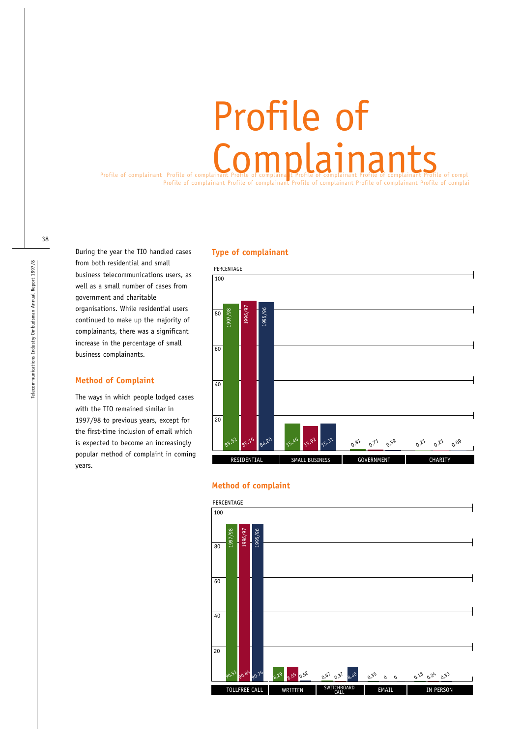# Profile of complainant Profile of complainant Profile of complainant Profile of Complainant Profile of complete of complete of complete of complete of complete of complete of complete of complete  $\mathcal{L}_{\mathbf{C}}$ Profile of complainant Profile of complainant Profile of complainant Profile of complainant Profile of complai Profile of

During the year the TIO handled cases from both residential and small business telecommunications users, as well as a small number of cases from government and charitable organisations. While residential users continued to make up the majority of complainants, there was a significant increase in the percentage of small business complainants.

# **Method of Complaint**

The ways in which people lodged cases with the TIO remained similar in 1997/98 to previous years, except for the first-time inclusion of email which is expected to become an increasingly popular method of complaint in coming years.

#### **Type of complainant**



# **Method of complaint**

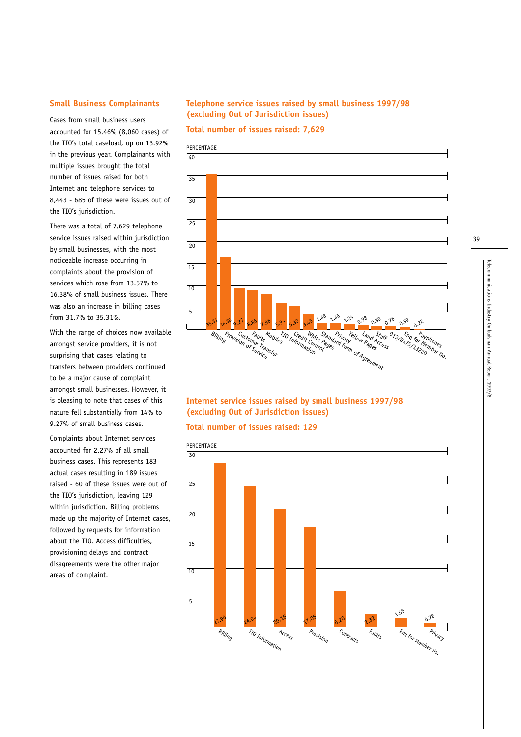## **Small Business Complainants**

Cases from small business users accounted for 15.46% (8,060 cases) of the TIO's total caseload, up on 13.92% in the previous year. Complainants with multiple issues brought the total number of issues raised for both Internet and telephone services to 8,443 - 685 of these were issues out of the TIO's jurisdiction.

There was a total of 7,629 telephone service issues raised within jurisdiction by small businesses, with the most noticeable increase occurring in complaints about the provision of services which rose from 13.57% to 16.38% of small business issues. There was also an increase in billing cases from 31.7% to 35.31%.

With the range of choices now available amongst service providers, it is not surprising that cases relating to transfers between providers continued to be a major cause of complaint amongst small businesses. However, it is pleasing to note that cases of this nature fell substantially from 14% to 9.27% of small business cases.

Complaints about Internet services accounted for 2.27% of all small business cases. This represents 183 actual cases resulting in 189 issues raised - 60 of these issues were out of the TIO's jurisdiction, leaving 129 within jurisdiction. Billing problems made up the majority of Internet cases, followed by requests for information about the TIO. Access difficulties, provisioning delays and contract disagreements were the other major areas of complaint.

# **Telephone service issues raised by small business 1997/98 (excluding Out of Jurisdiction issues)**

**Total number of issues raised: 7,629**



# **Internet service issues raised by small business 1997/98 (excluding Out of Jurisdiction issues)**

#### **Total number of issues raised: 129**

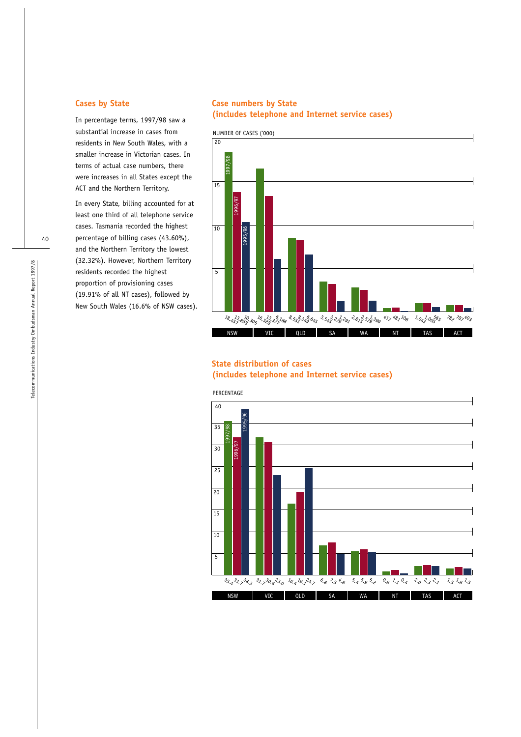# **Cases by State**

In percentage terms, 1997/98 saw a substantial increase in cases from residents in New South Wales, with a smaller increase in Victorian cases. In terms of actual case numbers, there were increases in all States except the ACT and the Northern Territory.

In every State, billing accounted for at least one third of all telephone service cases. Tasmania recorded the highest percentage of billing cases (43.60%), and the Northern Territory the lowest (32.32%). However, Northern Territory residents recorded the highest proportion of provisioning cases (19.91% of all NT cases), followed by New South Wales (16.6% of NSW cases).

# **Case numbers by State (includes telephone and Internet service cases)**



# **State distribution of cases**

**(includes telephone and Internet service cases)**

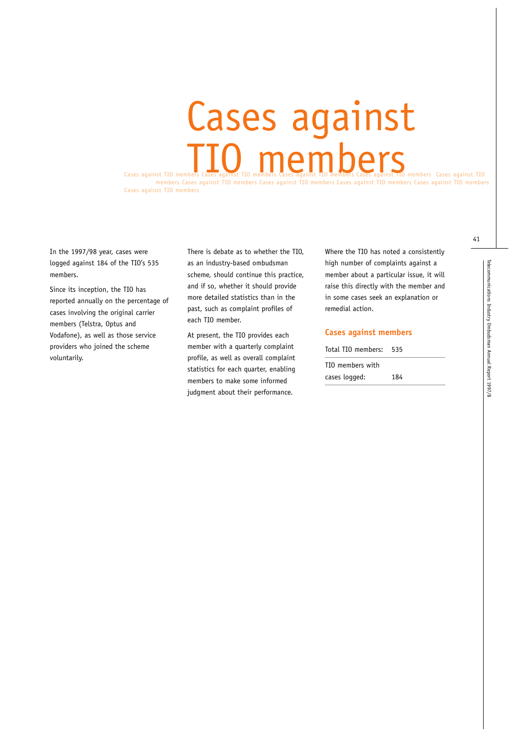# Cases against TIO members Cases against TIO members Cases against TIO members Cases against TIO members Cases against TIO Cases against members

members Cases against TIO members Cases against TIO members Cases against TIO members Cases against TIO members Cases against TIO members

In the 1997/98 year, cases were logged against 184 of the TIO's 535 members.

Since its inception, the TIO has reported annually on the percentage of cases involving the original carrier members (Telstra, Optus and Vodafone), as well as those service providers who joined the scheme voluntarily.

There is debate as to whether the TIO, as an industry-based ombudsman scheme, should continue this practice, and if so, whether it should provide more detailed statistics than in the past, such as complaint profiles of each TIO member.

At present, the TIO provides each member with a quarterly complaint profile, as well as overall complaint statistics for each quarter, enabling members to make some informed judgment about their performance.

Where the TIO has noted a consistently high number of complaints against a member about a particular issue, it will raise this directly with the member and in some cases seek an explanation or remedial action.

#### **Cases against members**

| Total TIO members: | 535 |
|--------------------|-----|
| TIO members with   |     |
| cases logged:      | 184 |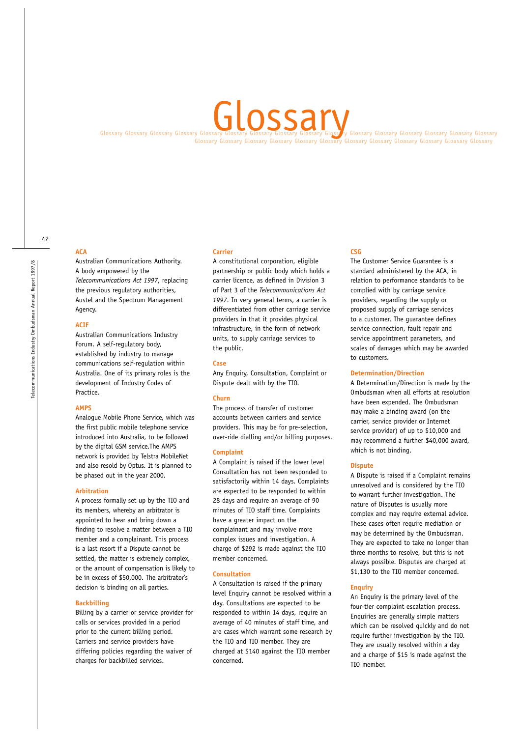# Glossary

Glossary Glossary Glossary Glossary Glossary Glossary Glossary Glossary Glossary Glossary Glossary Glossary Gloasary Gloasary Glossary Glossary Glossary Glossary Glossary Glossary Glossary Glossary Glossary Glossary Glossa Glossary Glossary Glossary Glossary Glossary Glossary Glossary Glossary Gloasary Glossary Gloasary Glossary

# 42

**ACA**

Australian Communications Authority. A body empowered by the *Telecommunications Act 1997*, replacing the previous regulatory authorities, Austel and the Spectrum Management Agency.

#### **ACIF**

Australian Communications Industry Forum. A self-regulatory body, established by industry to manage communications self-regulation within Australia. One of its primary roles is the development of Industry Codes of Practice.

#### **AMPS**

Analogue Mobile Phone Service, which was the first public mobile telephone service introduced into Australia, to be followed by the digital GSM service.The AMPS network is provided by Telstra MobileNet and also resold by Optus. It is planned to be phased out in the year 2000.

#### **Arbitration**

A process formally set up by the TIO and its members, whereby an arbitrator is appointed to hear and bring down a finding to resolve a matter between a TIO member and a complainant. This process is a last resort if a Dispute cannot be settled, the matter is extremely complex, or the amount of compensation is likely to be in excess of \$50,000. The arbitrator's decision is binding on all parties.

#### **Backbilling**

Billing by a carrier or service provider for calls or services provided in a period prior to the current billing period. Carriers and service providers have differing policies regarding the waiver of charges for backbilled services.

#### **Carrier**

A constitutional corporation, eligible partnership or public body which holds a carrier licence, as defined in Division 3 of Part 3 of the *Telecommunications Act 1997*. In very general terms, a carrier is differentiated from other carriage service providers in that it provides physical infrastructure, in the form of network units, to supply carriage services to the public.

**Case**

Any Enquiry, Consultation, Complaint or Dispute dealt with by the TIO.

#### **Churn**

The process of transfer of customer accounts between carriers and service providers. This may be for pre-selection, over-ride dialling and/or billing purposes.

#### **Complaint**

A Complaint is raised if the lower level Consultation has not been responded to satisfactorily within 14 days. Complaints are expected to be responded to within 28 days and require an average of 90 minutes of TIO staff time. Complaints have a greater impact on the complainant and may involve more complex issues and investigation. A charge of \$292 is made against the TIO member concerned.

#### **Consultation**

A Consultation is raised if the primary level Enquiry cannot be resolved within a day. Consultations are expected to be responded to within 14 days, require an average of 40 minutes of staff time, and are cases which warrant some research by the TIO and TIO member. They are charged at \$140 against the TIO member concerned.

#### **CSG**

The Customer Service Guarantee is a standard administered by the ACA, in relation to performance standards to be complied with by carriage service providers, regarding the supply or proposed supply of carriage services to a customer. The guarantee defines service connection, fault repair and service appointment parameters, and scales of damages which may be awarded to customers.

#### **Determination/Direction**

A Determination/Direction is made by the Ombudsman when all efforts at resolution have been expended. The Ombudsman may make a binding award (on the carrier, service provider or Internet service provider) of up to \$10,000 and may recommend a further \$40,000 award, which is not binding.

#### **Dispute**

A Dispute is raised if a Complaint remains unresolved and is considered by the TIO to warrant further investigation. The nature of Disputes is usually more complex and may require external advice. These cases often require mediation or may be determined by the Ombudsman. They are expected to take no longer than three months to resolve, but this is not always possible. Disputes are charged at \$1,130 to the TIO member concerned.

#### **Enquiry**

An Enquiry is the primary level of the four-tier complaint escalation process. Enquiries are generally simple matters which can be resolved quickly and do not require further investigation by the TIO. They are usually resolved within a day and a charge of \$15 is made against the TIO member.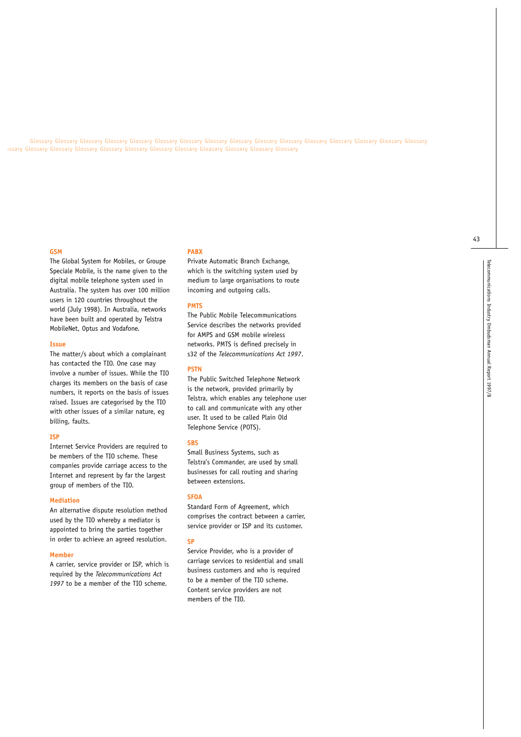Glossary Glossary Glossary Glossary Glossary Glossary Glossary Glossary Glossary Glossary Glossary Glossary Gloasary Glossary Glossary Glossary Glossary Glossary Glossary Glossary Glossary Glossary Glossary Glossary Glossa ossary Glossary Glossary Glossary Glossary Glossary Glossary Glossary Gloasary Glossary Gloasary Glossary

#### **GSM**

The Global System for Mobiles, or Groupe Speciale Mobile, is the name given to the digital mobile telephone system used in Australia. The system has over 100 million users in 120 countries throughout the world (July 1998). In Australia, networks have been built and operated by Telstra MobileNet, Optus and Vodafone.

#### **Issue**

The matter/s about which a complainant has contacted the TIO. One case may involve a number of issues. While the TIO charges its members on the basis of case numbers, it reports on the basis of issues raised. Issues are categorised by the TIO with other issues of a similar nature, eg billing, faults.

#### **ISP**

Internet Service Providers are required to be members of the TIO scheme. These companies provide carriage access to the Internet and represent by far the largest group of members of the TIO.

#### **Mediation**

An alternative dispute resolution method used by the TIO whereby a mediator is appointed to bring the parties together in order to achieve an agreed resolution.

#### **Member**

A carrier, service provider or ISP, which is required by the *Telecommunications Act 1997* to be a member of the TIO scheme.

#### **PABX**

Private Automatic Branch Exchange, which is the switching system used by medium to large organisations to route incoming and outgoing calls.

#### **PMTS**

The Public Mobile Telecommunications Service describes the networks provided for AMPS and GSM mobile wireless networks. PMTS is defined precisely in s32 of the *Telecommunications Act 1997*.

#### **PSTN**

The Public Switched Telephone Network is the network, provided primarily by Telstra, which enables any telephone user to call and communicate with any other user. It used to be called Plain Old Telephone Service (POTS).

#### **SBS**

Small Business Systems, such as Telstra's Commander, are used by small businesses for call routing and sharing between extensions.

#### **SFOA**

Standard Form of Agreement, which comprises the contract between a carrier, service provider or ISP and its customer.

#### **SP**

Service Provider, who is a provider of carriage services to residential and small business customers and who is required to be a member of the TIO scheme. Content service providers are not members of the TIO.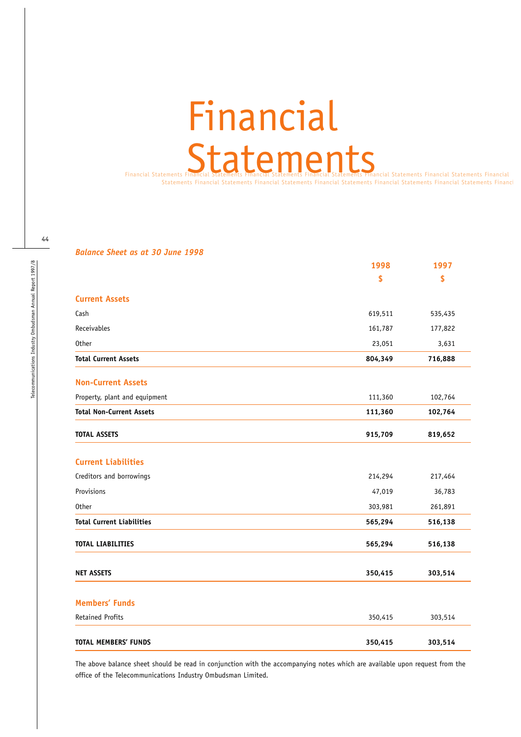# Financial **Statements**

Financial Statements Financial Statements Financial Statements Financial Statements Financial Statements Financial Statements Financial ents Financial Statements Financial Statements Financial Statements Financial Statements Financial Statements Financ

| <b>Balance Sheet as at 30 June 1998</b> |  |  |  |  |  |  |
|-----------------------------------------|--|--|--|--|--|--|
|-----------------------------------------|--|--|--|--|--|--|

|                                  | 1998    | 1997    |
|----------------------------------|---------|---------|
|                                  | \$      | \$      |
| <b>Current Assets</b>            |         |         |
| Cash                             | 619,511 | 535,435 |
| Receivables                      | 161,787 | 177,822 |
| <b>Other</b>                     | 23,051  | 3,631   |
| <b>Total Current Assets</b>      | 804,349 | 716,888 |
| <b>Non-Current Assets</b>        |         |         |
| Property, plant and equipment    | 111,360 | 102,764 |
| <b>Total Non-Current Assets</b>  | 111,360 | 102,764 |
| <b>TOTAL ASSETS</b>              | 915,709 | 819,652 |
| <b>Current Liabilities</b>       |         |         |
| Creditors and borrowings         | 214,294 | 217,464 |
| Provisions                       | 47,019  | 36,783  |
| <b>Other</b>                     | 303,981 | 261,891 |
| <b>Total Current Liabilities</b> | 565,294 | 516,138 |
| <b>TOTAL LIABILITIES</b>         | 565,294 | 516,138 |
| <b>NET ASSETS</b>                | 350,415 | 303,514 |
| <b>Members' Funds</b>            |         |         |
| <b>Retained Profits</b>          | 350,415 | 303,514 |
| <b>TOTAL MEMBERS' FUNDS</b>      | 350,415 | 303,514 |

The above balance sheet should be read in conjunction with the accompanying notes which are available upon request from the office of the Telecommunications Industry Ombudsman Limited.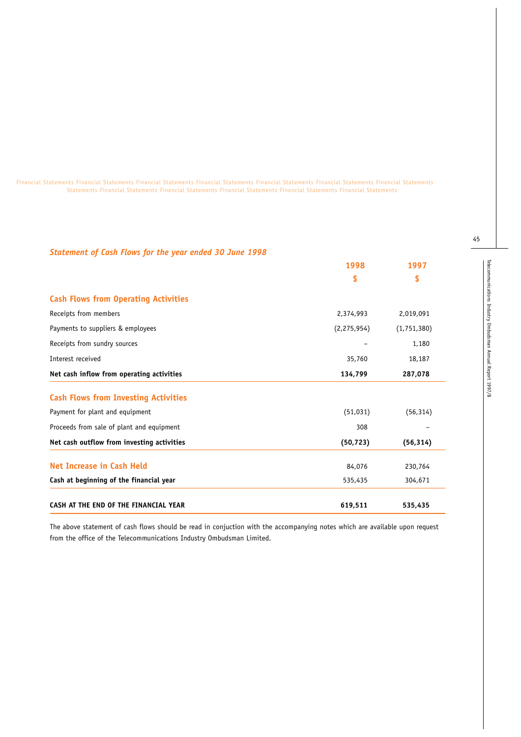Financial Statements Financial Statements Financial Statements Financial Statements Financial Statements Financial Statements Financial Statements Statements Financial Statements Financial Statements Financial Statements Financial Statements Financial Statements

| <b>Statement of Cash Flows for the year ended 30 June 1998</b> |               |             |
|----------------------------------------------------------------|---------------|-------------|
|                                                                | 1998          | 1997        |
|                                                                | \$            | \$          |
| <b>Cash Flows from Operating Activities</b>                    |               |             |
| Receipts from members                                          | 2,374,993     | 2,019,091   |
| Payments to suppliers & employees                              | (2, 275, 954) | (1,751,380) |
| Receipts from sundry sources                                   |               | 1,180       |
| Interest received                                              | 35,760        | 18,187      |
| Net cash inflow from operating activities                      | 134,799       | 287,078     |
| <b>Cash Flows from Investing Activities</b>                    |               |             |
| Payment for plant and equipment                                | (51, 031)     | (56, 314)   |
| Proceeds from sale of plant and equipment                      | 308           |             |
| Net cash outflow from investing activities                     | (50, 723)     | (56, 314)   |
| Net Increase in Cash Held                                      | 84,076        | 230,764     |
| Cash at beginning of the financial year                        | 535,435       | 304,671     |

The above statement of cash flows should be read in conjuction with the accompanying notes which are available upon request from the office of the Telecommunications Industry Ombudsman Limited.

CASH AT THE END OF THE FINANCIAL YEAR **619,511 619,511** 535,435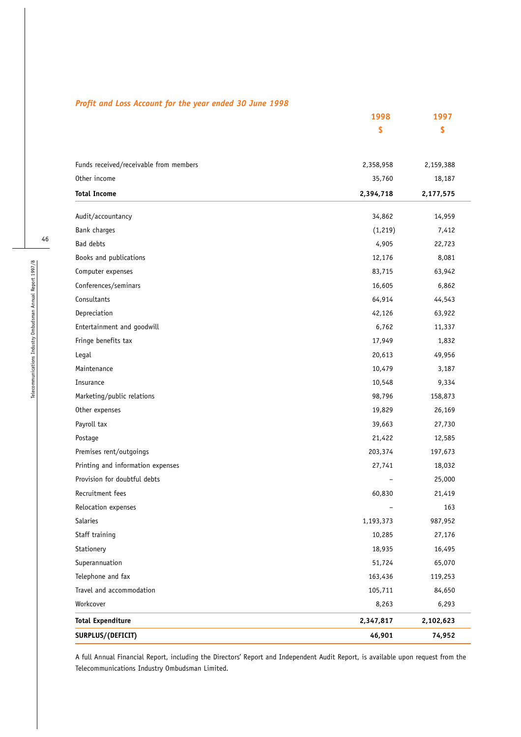|  | Profit and Loss Account for the year ended 30 June 1998 |  |  |  |  |
|--|---------------------------------------------------------|--|--|--|--|
|--|---------------------------------------------------------|--|--|--|--|

| \$<br>\$<br>Funds received/receivable from members<br>2,358,958<br>2,159,388<br>Other income<br>35,760<br>18,187<br><b>Total Income</b><br>2,394,718<br>2,177,575<br>34,862<br>14,959<br>Audit/accountancy<br>Bank charges<br>(1, 219)<br>7,412<br>Bad debts<br>4,905<br>22,723<br>Books and publications<br>12,176<br>8,081<br>Computer expenses<br>83,715<br>63,942<br>Conferences/seminars<br>16,605<br>6,862<br>Consultants<br>64,914<br>44,543<br>Depreciation<br>63,922<br>42,126<br>Entertainment and goodwill<br>6,762<br>11,337<br>Fringe benefits tax<br>17,949<br>1,832<br>Legal<br>20,613<br>49,956<br>Maintenance<br>10,479<br>3,187<br>Insurance<br>10,548<br>9,334<br>Marketing/public relations<br>98,796<br>158,873<br>Other expenses<br>19,829<br>26,169<br>Payroll tax<br>39,663<br>27,730<br>21,422<br>Postage<br>12,585<br>Premises rent/outgoings<br>203,374<br>197,673<br>Printing and information expenses<br>27,741<br>18,032<br>Provision for doubtful debts<br>25,000<br>Recruitment fees<br>60,830<br>21,419<br>Relocation expenses<br>163<br>Salaries<br>987,952<br>1,193,373<br>Staff training<br>27,176<br>10,285<br>Stationery<br>18,935<br>16,495<br>Superannuation<br>51,724<br>65,070<br>Telephone and fax<br>163,436<br>119,253<br>Travel and accommodation<br>84,650<br>105,711<br>Workcover<br>8,263<br>6,293<br><b>Total Expenditure</b><br>2,347,817<br>2,102,623<br>SURPLUS/(DEFICIT)<br>46,901<br>74,952 | 1998 | 1997 |
|----------------------------------------------------------------------------------------------------------------------------------------------------------------------------------------------------------------------------------------------------------------------------------------------------------------------------------------------------------------------------------------------------------------------------------------------------------------------------------------------------------------------------------------------------------------------------------------------------------------------------------------------------------------------------------------------------------------------------------------------------------------------------------------------------------------------------------------------------------------------------------------------------------------------------------------------------------------------------------------------------------------------------------------------------------------------------------------------------------------------------------------------------------------------------------------------------------------------------------------------------------------------------------------------------------------------------------------------------------------------------------------------------------------------------------------------------|------|------|
|                                                                                                                                                                                                                                                                                                                                                                                                                                                                                                                                                                                                                                                                                                                                                                                                                                                                                                                                                                                                                                                                                                                                                                                                                                                                                                                                                                                                                                                    |      |      |
|                                                                                                                                                                                                                                                                                                                                                                                                                                                                                                                                                                                                                                                                                                                                                                                                                                                                                                                                                                                                                                                                                                                                                                                                                                                                                                                                                                                                                                                    |      |      |
|                                                                                                                                                                                                                                                                                                                                                                                                                                                                                                                                                                                                                                                                                                                                                                                                                                                                                                                                                                                                                                                                                                                                                                                                                                                                                                                                                                                                                                                    |      |      |
|                                                                                                                                                                                                                                                                                                                                                                                                                                                                                                                                                                                                                                                                                                                                                                                                                                                                                                                                                                                                                                                                                                                                                                                                                                                                                                                                                                                                                                                    |      |      |
|                                                                                                                                                                                                                                                                                                                                                                                                                                                                                                                                                                                                                                                                                                                                                                                                                                                                                                                                                                                                                                                                                                                                                                                                                                                                                                                                                                                                                                                    |      |      |
|                                                                                                                                                                                                                                                                                                                                                                                                                                                                                                                                                                                                                                                                                                                                                                                                                                                                                                                                                                                                                                                                                                                                                                                                                                                                                                                                                                                                                                                    |      |      |
|                                                                                                                                                                                                                                                                                                                                                                                                                                                                                                                                                                                                                                                                                                                                                                                                                                                                                                                                                                                                                                                                                                                                                                                                                                                                                                                                                                                                                                                    |      |      |
|                                                                                                                                                                                                                                                                                                                                                                                                                                                                                                                                                                                                                                                                                                                                                                                                                                                                                                                                                                                                                                                                                                                                                                                                                                                                                                                                                                                                                                                    |      |      |
|                                                                                                                                                                                                                                                                                                                                                                                                                                                                                                                                                                                                                                                                                                                                                                                                                                                                                                                                                                                                                                                                                                                                                                                                                                                                                                                                                                                                                                                    |      |      |
|                                                                                                                                                                                                                                                                                                                                                                                                                                                                                                                                                                                                                                                                                                                                                                                                                                                                                                                                                                                                                                                                                                                                                                                                                                                                                                                                                                                                                                                    |      |      |
|                                                                                                                                                                                                                                                                                                                                                                                                                                                                                                                                                                                                                                                                                                                                                                                                                                                                                                                                                                                                                                                                                                                                                                                                                                                                                                                                                                                                                                                    |      |      |
|                                                                                                                                                                                                                                                                                                                                                                                                                                                                                                                                                                                                                                                                                                                                                                                                                                                                                                                                                                                                                                                                                                                                                                                                                                                                                                                                                                                                                                                    |      |      |
|                                                                                                                                                                                                                                                                                                                                                                                                                                                                                                                                                                                                                                                                                                                                                                                                                                                                                                                                                                                                                                                                                                                                                                                                                                                                                                                                                                                                                                                    |      |      |
|                                                                                                                                                                                                                                                                                                                                                                                                                                                                                                                                                                                                                                                                                                                                                                                                                                                                                                                                                                                                                                                                                                                                                                                                                                                                                                                                                                                                                                                    |      |      |
|                                                                                                                                                                                                                                                                                                                                                                                                                                                                                                                                                                                                                                                                                                                                                                                                                                                                                                                                                                                                                                                                                                                                                                                                                                                                                                                                                                                                                                                    |      |      |
|                                                                                                                                                                                                                                                                                                                                                                                                                                                                                                                                                                                                                                                                                                                                                                                                                                                                                                                                                                                                                                                                                                                                                                                                                                                                                                                                                                                                                                                    |      |      |
|                                                                                                                                                                                                                                                                                                                                                                                                                                                                                                                                                                                                                                                                                                                                                                                                                                                                                                                                                                                                                                                                                                                                                                                                                                                                                                                                                                                                                                                    |      |      |
|                                                                                                                                                                                                                                                                                                                                                                                                                                                                                                                                                                                                                                                                                                                                                                                                                                                                                                                                                                                                                                                                                                                                                                                                                                                                                                                                                                                                                                                    |      |      |
|                                                                                                                                                                                                                                                                                                                                                                                                                                                                                                                                                                                                                                                                                                                                                                                                                                                                                                                                                                                                                                                                                                                                                                                                                                                                                                                                                                                                                                                    |      |      |
|                                                                                                                                                                                                                                                                                                                                                                                                                                                                                                                                                                                                                                                                                                                                                                                                                                                                                                                                                                                                                                                                                                                                                                                                                                                                                                                                                                                                                                                    |      |      |
|                                                                                                                                                                                                                                                                                                                                                                                                                                                                                                                                                                                                                                                                                                                                                                                                                                                                                                                                                                                                                                                                                                                                                                                                                                                                                                                                                                                                                                                    |      |      |
|                                                                                                                                                                                                                                                                                                                                                                                                                                                                                                                                                                                                                                                                                                                                                                                                                                                                                                                                                                                                                                                                                                                                                                                                                                                                                                                                                                                                                                                    |      |      |
|                                                                                                                                                                                                                                                                                                                                                                                                                                                                                                                                                                                                                                                                                                                                                                                                                                                                                                                                                                                                                                                                                                                                                                                                                                                                                                                                                                                                                                                    |      |      |
|                                                                                                                                                                                                                                                                                                                                                                                                                                                                                                                                                                                                                                                                                                                                                                                                                                                                                                                                                                                                                                                                                                                                                                                                                                                                                                                                                                                                                                                    |      |      |
|                                                                                                                                                                                                                                                                                                                                                                                                                                                                                                                                                                                                                                                                                                                                                                                                                                                                                                                                                                                                                                                                                                                                                                                                                                                                                                                                                                                                                                                    |      |      |
|                                                                                                                                                                                                                                                                                                                                                                                                                                                                                                                                                                                                                                                                                                                                                                                                                                                                                                                                                                                                                                                                                                                                                                                                                                                                                                                                                                                                                                                    |      |      |
|                                                                                                                                                                                                                                                                                                                                                                                                                                                                                                                                                                                                                                                                                                                                                                                                                                                                                                                                                                                                                                                                                                                                                                                                                                                                                                                                                                                                                                                    |      |      |
|                                                                                                                                                                                                                                                                                                                                                                                                                                                                                                                                                                                                                                                                                                                                                                                                                                                                                                                                                                                                                                                                                                                                                                                                                                                                                                                                                                                                                                                    |      |      |
|                                                                                                                                                                                                                                                                                                                                                                                                                                                                                                                                                                                                                                                                                                                                                                                                                                                                                                                                                                                                                                                                                                                                                                                                                                                                                                                                                                                                                                                    |      |      |
|                                                                                                                                                                                                                                                                                                                                                                                                                                                                                                                                                                                                                                                                                                                                                                                                                                                                                                                                                                                                                                                                                                                                                                                                                                                                                                                                                                                                                                                    |      |      |
|                                                                                                                                                                                                                                                                                                                                                                                                                                                                                                                                                                                                                                                                                                                                                                                                                                                                                                                                                                                                                                                                                                                                                                                                                                                                                                                                                                                                                                                    |      |      |
|                                                                                                                                                                                                                                                                                                                                                                                                                                                                                                                                                                                                                                                                                                                                                                                                                                                                                                                                                                                                                                                                                                                                                                                                                                                                                                                                                                                                                                                    |      |      |
|                                                                                                                                                                                                                                                                                                                                                                                                                                                                                                                                                                                                                                                                                                                                                                                                                                                                                                                                                                                                                                                                                                                                                                                                                                                                                                                                                                                                                                                    |      |      |
|                                                                                                                                                                                                                                                                                                                                                                                                                                                                                                                                                                                                                                                                                                                                                                                                                                                                                                                                                                                                                                                                                                                                                                                                                                                                                                                                                                                                                                                    |      |      |
|                                                                                                                                                                                                                                                                                                                                                                                                                                                                                                                                                                                                                                                                                                                                                                                                                                                                                                                                                                                                                                                                                                                                                                                                                                                                                                                                                                                                                                                    |      |      |
|                                                                                                                                                                                                                                                                                                                                                                                                                                                                                                                                                                                                                                                                                                                                                                                                                                                                                                                                                                                                                                                                                                                                                                                                                                                                                                                                                                                                                                                    |      |      |
|                                                                                                                                                                                                                                                                                                                                                                                                                                                                                                                                                                                                                                                                                                                                                                                                                                                                                                                                                                                                                                                                                                                                                                                                                                                                                                                                                                                                                                                    |      |      |

A full Annual Financial Report, including the Directors' Report and Independent Audit Report, is available upon request from the Telecommunications Industry Ombudsman Limited.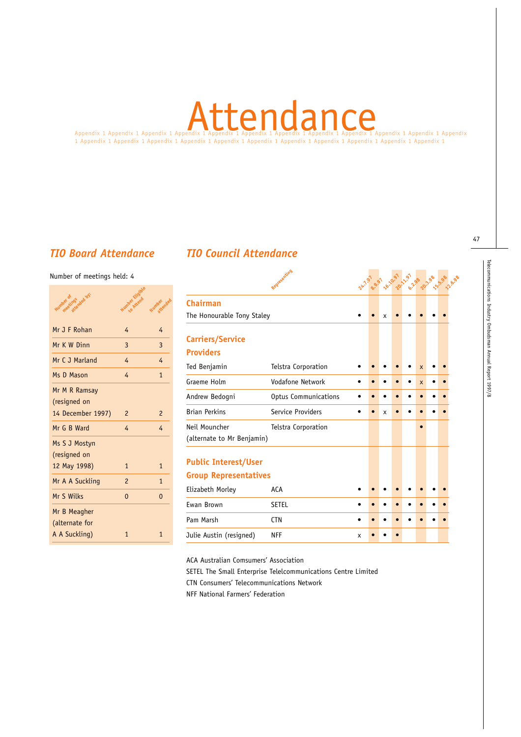# Appendix 1 Appendix 1 Appendix 1 Appendix 1 Appendix 1 Appendix 1 Appendix 1 Appendix 1 Appendix 1 Appendix 1 Appendix 1 Appendix Attendance

1 Appendix 1 Appendix 1 Appendix 1 Appendix 1 Appendix 1 Appendix 1 Appendix 1 Appendix 1 Appendix 1 Appendix 1 Appendix 1

# *TIO Board Attendance TIO Council Attendance*

#### Number of meetings held: 4

| ings ded by:<br><b>Number of</b> | Number Etiopie | attended<br>Number |
|----------------------------------|----------------|--------------------|
| Mr J F Rohan                     | 4              | 4                  |
| Mr K W Dinn                      | 3              | 3                  |
| Mr C J Marland                   | 4              | 4                  |
| Ms D Mason                       | 4              | $\mathbf{1}$       |
| Mr M R Ramsay<br>(resigned on    | $\overline{c}$ | $\overline{c}$     |
| 14 December 1997)<br>Mr G B Ward | 4              | $\overline{4}$     |
| Ms S J Mostyn<br>(resigned on    |                |                    |
| 12 May 1998)                     | $\mathbf{1}$   | $\mathbf{1}$       |
| Mr A A Suckling                  | $\overline{c}$ | $\mathbf{1}$       |
| Mr S Wilks                       | $\Omega$       | $\Omega$           |
| Mr B Meagher<br>(alternate for   |                |                    |
| A A Suckling)                    | $\mathbf{1}$   | $\mathbf{1}$       |

|                                             | Representing         |   |                           | 24.7 97 9.97 42.097 12.97 |                         | 17.6.98 |
|---------------------------------------------|----------------------|---|---------------------------|---------------------------|-------------------------|---------|
| <b>Chairman</b>                             |                      |   |                           |                           |                         |         |
| The Honourable Tony Staley                  |                      |   | X                         |                           |                         |         |
| Carriers/Service                            |                      |   |                           |                           |                         |         |
| <b>Providers</b>                            |                      |   |                           |                           |                         |         |
| Ted Benjamin                                | Telstra Corporation  |   |                           |                           | $\overline{\mathsf{x}}$ |         |
| Graeme Holm                                 | Vodafone Network     |   |                           |                           | $\mathsf{x}$            |         |
| Andrew Bedogni                              | Optus Communications |   |                           |                           |                         |         |
| <b>Brian Perkins</b>                        | Service Providers    |   | $\boldsymbol{\mathsf{x}}$ |                           |                         |         |
| Neil Mouncher<br>(alternate to Mr Benjamin) | Telstra Corporation  |   |                           |                           |                         |         |
| <b>Public Interest/User</b>                 |                      |   |                           |                           |                         |         |
| <b>Group Representatives</b>                |                      |   |                           |                           |                         |         |
| Elizabeth Morley                            | <b>ACA</b>           |   |                           |                           |                         |         |
| Ewan Brown                                  | <b>SETEL</b>         |   |                           |                           |                         |         |
| Pam Marsh                                   | <b>CTN</b>           |   |                           |                           |                         |         |
| Julie Austin (resigned)                     | <b>NFF</b>           | x |                           |                           |                         |         |
|                                             |                      |   |                           |                           |                         |         |

ACA Australian Comsumers' Association

SETEL The Small Enterprise Telelcommunications Centre Limited

CTN Consumers' Telecommunications Network

NFF National Farmers' Federation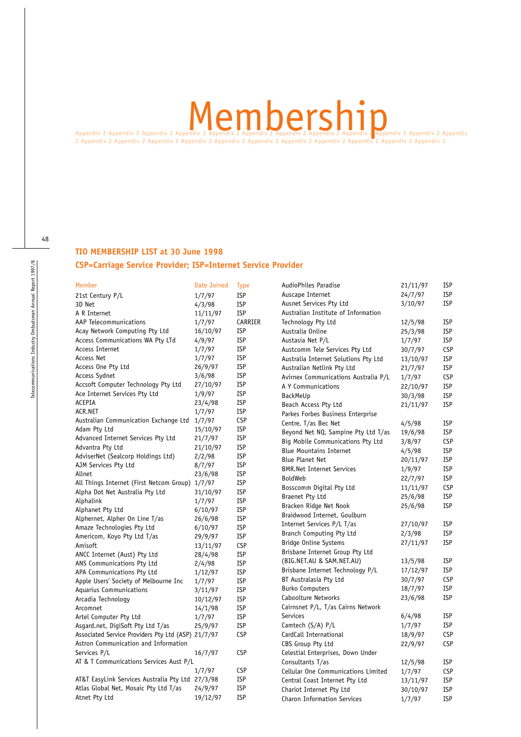# Appendix 2 Appendix 2 Appendix 2 Appendix 2 Appendix 2 Appendix 2 Appendix 2 Appendix 2 Appendix 2 Appendix 2 Appendix 2 Appendix 2 Appendix 2 Appendix 2 Appendix 2 Appendix 2 Appendix 2 Appendix 2 Appendix 2 Appendix 2 Ap

2 Appendix 2 Appendix 2 Appendix 2 Appendix 2 Appendix 2 Appendix 2 Appendix 2 Appendix 2 Appendix 2 Appendix 2 Appendix 2

# **TIO MEMBERSHIP LIST at 30 June 1998 CSP=Carriage Service Provider; ISP=Internet Service Provider**

Member **Date Joined** Type 21st Century P/L 1/7/97 ISP 3D Net 4/3/98 ISP A R Internet 11/11/97 ISP AAP Telecommunications 1/7/97 CARRIER Acay Network Computing Pty Ltd 16/10/97 ISP Access Communications WA Pty LTd 4/9/97 ISP Access Internet 1/7/97 ISP Access Net 1/7/97 ISP Access One Pty Ltd 26/9/97 ISP Access Sydnet 3/6/98 ISP Accsoft Computer Technology Pty Ltd 27/10/97 ISP Ace Internet Services Pty Ltd 1/9/97 ISP ACEPIA 23/4/98 ISP ACR.NET 1/7/97 ISP Australian Communication Exchange Ltd 1/7/97 CSP Adam Pty Ltd 15/10/97 ISP Advanced Internet Services Pty Ltd 21/7/97 ISP Advantra Pty Ltd 21/10/97 ISP AdviserNet (Sealcorp Holdings Ltd) 2/2/98 ISP AJM Services Pty Ltd 8/7/97 ISP Allnet 23/6/98 ISP All Things Internet (First Netcom Group) 1/7/97 ISP Alpha Dot Net Australia Pty Ltd 31/10/97 ISP Alphalink 1/7/97 ISP Alphanet Pty Ltd 6/10/97 ISP Alphernet, Alpher On Line T/as 26/6/98 ISP Amaze Technologies Pty Ltd 6/10/97 ISP Americom, Koyo Pty Ltd T/as 29/9/97 ISP Amisoft 13/11/97 CSP ANCC Internet (Aust) Pty Ltd 28/4/98 ISP ANS Communications Pty Ltd  $2/4/98$  ISP<br>APA Communications Pty Ltd  $1/12/97$  ISP APA Communications Pty Ltd  $1/12/97$ Apple Users' Society of Melbourne Inc 1/7/97 ISP Aquarius Communications 3/11/97 ISP Arcadia Technology 10/12/97 ISP Arcomnet 14/1/98 ISP Artel Computer Pty Ltd 1/7/97 ISP Asgard.net, DigiSoft Pty Ltd T/as 25/9/97 ISP Associated Service Providers Pty Ltd (ASP) 21/7/97 CSP Astron Communication and Information Services P/L 16/7/97 CSP AT & T Communications Services Aust P/L 1/7/97 CSP AT&T EasyLink Services Australia Pty Ltd 27/3/98 ISP Atlas Global Net, Mosaic Pty Ltd T/as 24/9/97 ISP Atnet Pty Ltd 19/12/97 ISP AudioPhiles Paradise 21/11/97 ISP Auscape Internet 24/7/97 ISP Ausnet Services Pty Ltd 3/10/97 ISP Australian Institute of Information Technology Pty Ltd 12/5/98 ISP Australia Online 25/3/98 ISP Austasia Net P/L 1/7/97 ISP Austcomm Tele Services Pty Ltd 30/7/97 CSP Australia Internet Solutions Pty Ltd 13/10/97 ISP Australian Netlink Pty Ltd 21/7/97 ISP Avirnex Communications Australia P/L 1/7/97 CSP A Y Communications 22/10/97 ISP BackMeUp 30/3/98 ISP Beach Access Pty Ltd 21/11/97 ISP Parkes Forbes Business Enterprise Centre, T/as Bec Net 4/5/98 ISP Beyond Net NQ, Sampine Pty Ltd T/as 19/6/98 ISP Big Mobile Communications Pty Ltd 3/8/97 CSP Blue Mountains Internet 4/5/98 ISP Blue Planet Net 20/11/97 ISP BMR.Net Internet Services 1/9/97 ISP BoldWeb 22/7/97 ISP Bosscomm Digital Pty Ltd 11/11/97 CSP Braenet Pty Ltd 25/6/98 ISP Bracken Ridge Net Nook 25/6/98 ISP Braidwood Internet, Goulburn Internet Services P/L T/as 27/10/97 ISP Branch Computing Pty Ltd 2/3/98 ISP Bridge Online Systems 27/11/97 ISP Brisbane Internet Group Pty Ltd (BIG.NET.AU & SAM.NET.AU) 13/5/98 ISP Brisbane Internet Technology P/L 17/12/97 ISP BT Australasia Pty Ltd 30/7/97 CSP Burko Computers 18/7/97 ISP Caboolture Networks 23/6/98 ISP Cairnsnet P/L, T/as Cairns Network Services 6/4/98 ISP Camtech  $(S/A)$  P/L 1/7/97 ISP CardCall International 18/9/97 CSP CBS Group Pty Ltd 22/9/97 CSP Celestial Enterprises, Down Under Consultants T/as 12/5/98 ISP Cellular One Communications Limited 1/7/97 CSP Central Coast Internet Pty Ltd 13/11/97 ISP<br>Chariot Internet Pty Ltd 30/10/97 ISP Chariot Internet Pty Ltd 30/10/97 ISP Charon Information Services 1/7/97 ISP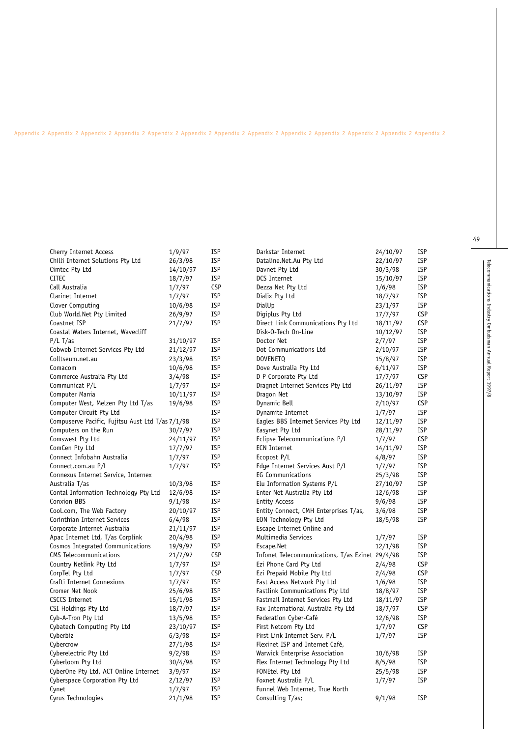#### Appendix 2 Appendix 2 Appendix 2 Appendix 2 Appendix 2 Appendix 2 Appendix 2 Appendix 2 Appendix 2 Appendix 2 Appendix 2 Appendix 2 Appendix 2

| Cherry Internet Access                           | 1/9/97   | ISP        |
|--------------------------------------------------|----------|------------|
| Chilli Internet Solutions Pty Ltd                | 26/3/98  | ISP        |
| Cimtec Pty Ltd                                   | 14/10/97 | <b>ISP</b> |
| <b>CITEC</b>                                     | 18/7/97  | <b>ISP</b> |
| Call Australia                                   | 1/7/97   | <b>CSP</b> |
| Clarinet Internet                                | 1/7/97   | <b>ISP</b> |
| Clover Computing                                 | 10/6/98  | <b>ISP</b> |
| Club World.Net Pty Limited                       | 26/9/97  | ISP        |
| Coastnet ISP                                     | 21/7/97  | ISP        |
| Coastal Waters Internet, Wavecliff               |          |            |
| P/L T/as                                         | 31/10/97 | <b>ISP</b> |
| Cobweb Internet Services Pty Ltd                 | 21/12/97 | ISP        |
| Colltseum.net.au                                 | 23/3/98  | <b>ISP</b> |
| Comacom                                          | 10/6/98  | <b>ISP</b> |
| Commerce Australia Pty Ltd                       | 3/4/98   | <b>ISP</b> |
| Communicat P/L                                   | 1/7/97   | ISP        |
| Computer Mania                                   | 10/11/97 | <b>ISP</b> |
| Computer West, Melzen Pty Ltd T/as               | 19/6/98  | ISP        |
| Computer Circuit Pty Ltd                         |          | <b>ISP</b> |
| Compuserve Pacific, Fujitsu Aust Ltd T/as 7/1/98 |          | <b>ISP</b> |
| Computers on the Run                             | 30/7/97  | <b>ISP</b> |
| Comswest Pty Ltd                                 | 24/11/97 | <b>ISP</b> |
| ComCen Pty Ltd                                   | 17/7/97  | <b>ISP</b> |
| Connect Infobahn Australia                       | 1/7/97   | <b>ISP</b> |
| Connect.com.au P/L                               | 1/7/97   | <b>ISP</b> |
| Connexus Internet Service, Internex              |          |            |
| Australia T/as                                   | 10/3/98  | ISP        |
| Contal Information Technology Pty Ltd            | 12/6/98  | <b>ISP</b> |
| <b>Conxion BBS</b>                               | 9/1/98   | <b>ISP</b> |
| Cool.com, The Web Factory                        | 20/10/97 | <b>ISP</b> |
| Corinthian Internet Services                     | 6/4/98   | <b>ISP</b> |
| Corporate Internet Australia                     | 21/11/97 | <b>ISP</b> |
| Apac Internet Ltd, T/as Corplink                 | 20/4/98  | ISP        |
| Cosmos Integrated Communications                 | 19/9/97  | <b>ISP</b> |
| CMS Telecommunications                           | 21/7/97  | <b>CSP</b> |
| Country Netlink Pty Ltd                          | 1/7/97   | <b>ISP</b> |
| CorpTel Pty Ltd                                  | 1/7/97   | <b>CSP</b> |
| Crafti Internet Connexions                       | 1/7/97   | <b>ISP</b> |
| Cromer Net Nook                                  | 25/6/98  | <b>ISP</b> |
| <b>CSCCS Internet</b>                            | 15/1/98  | <b>ISP</b> |
| CSI Holdings Pty Ltd                             | 18/7/97  | <b>ISP</b> |
| Cyb-A-Tron Pty Ltd                               | 13/5/98  | <b>ISP</b> |
| Cybatech Computing Pty Ltd                       | 23/10/97 | <b>ISP</b> |
| Cyberbiz                                         | 6/3/98   | <b>ISP</b> |
| Cybercrow                                        | 27/1/98  | <b>ISP</b> |
| Cyberelectric Pty Ltd                            | 9/2/98   | <b>ISP</b> |
| Cyberloom Pty Ltd                                | 30/4/98  | <b>ISP</b> |
| CyberOne Pty Ltd, ACT Online Internet            | 3/9/97   | <b>ISP</b> |
| Cyberspace Corporation Pty Ltd                   | 2/12/97  | <b>ISP</b> |
| Cynet                                            | 1/7/97   | ISP        |
| Cyrus Technologies                               | 21/1/98  | <b>ISP</b> |
|                                                  |          |            |

| Darkstar Internet                               | 24/10/97 | ISP        |
|-------------------------------------------------|----------|------------|
| Dataline.Net.Au Pty Ltd                         | 22/10/97 | <b>ISP</b> |
| Davnet Pty Ltd                                  | 30/3/98  | <b>ISP</b> |
| DCS Internet                                    | 15/10/97 | <b>ISP</b> |
| Dezza Net Pty Ltd                               | 1/6/98   | <b>ISP</b> |
| Dialix Pty Ltd                                  | 18/7/97  | <b>ISP</b> |
| DialUp                                          | 23/1/97  | <b>ISP</b> |
| Digiplus Pty Ltd                                | 17/7/97  | <b>CSP</b> |
| Direct Link Communications Pty Ltd              | 18/11/97 | <b>CSP</b> |
| Disk-O-Tech On-Line                             | 10/12/97 | <b>ISP</b> |
| Doctor Net                                      | 2/7/97   | <b>ISP</b> |
| Dot Communications Ltd                          | 2/10/97  | <b>ISP</b> |
| DOVENETQ                                        | 15/8/97  | <b>ISP</b> |
| Dove Australia Pty Ltd                          | 6/11/97  | <b>ISP</b> |
| D P Corporate Pty Ltd                           | 17/7/97  | <b>CSP</b> |
| Dragnet Internet Services Pty Ltd               | 26/11/97 | <b>ISP</b> |
| Dragon Net                                      | 13/10/97 | <b>ISP</b> |
| Dynamic Bell                                    | 2/10/97  | <b>CSP</b> |
| Dynamite Internet                               | 1/7/97   | <b>ISP</b> |
| Eagles BBS Internet Services Pty Ltd            | 12/11/97 | <b>ISP</b> |
| Easynet Pty Ltd                                 | 28/11/97 | <b>ISP</b> |
| Eclipse Telecommunications P/L                  | 1/7/97   | <b>CSP</b> |
| <b>ECN Internet</b>                             | 14/11/97 | <b>ISP</b> |
| Ecopost P/L                                     | 4/8/97   | <b>ISP</b> |
| Edge Internet Services Aust P/L                 | 1/7/97   | <b>ISP</b> |
| <b>EG Communications</b>                        | 25/3/98  | ISP        |
| Elu Information Systems P/L                     | 27/10/97 | <b>ISP</b> |
| Enter Net Australia Pty Ltd                     | 12/6/98  | <b>ISP</b> |
| <b>Entity Access</b>                            | 9/6/98   | <b>ISP</b> |
| Entity Connect, CMH Enterprises T/as,           | 3/6/98   | <b>ISP</b> |
| <b>EON Technology Pty Ltd</b>                   | 18/5/98  | <b>ISP</b> |
| Escape Internet Online and                      |          |            |
| Multimedia Services                             | 1/7/97   | <b>ISP</b> |
| Escape.Net                                      | 12/1/98  | <b>ISP</b> |
| Infonet Telecommunications, T/as Ezinet 29/4/98 |          | <b>ISP</b> |
| Ezi Phone Card Pty Ltd                          | 2/4/98   | <b>CSP</b> |
| Ezi Prepaid Mobile Pty Ltd                      | 2/4/98   | <b>CSP</b> |
| Fast Access Network Pty Ltd                     | 1/6/98   | <b>ISP</b> |
| Fastlink Communications Pty Ltd                 | 18/8/97  | <b>ISP</b> |
| Fastmail Internet Services Pty Ltd              | 18/11/97 | <b>ISP</b> |
| Fax International Australia Pty Ltd             | 18/7/97  | <b>CSP</b> |
| Federation Cyber-Café                           | 12/6/98  | <b>ISP</b> |
| First Netcom Pty Ltd                            | 1/7/97   | <b>CSP</b> |
| First Link Internet Serv. P/L                   | 1/7/97   | <b>ISP</b> |
| Flexinet ISP and Internet Café,                 |          |            |
| Warwick Enterprise Association                  | 10/6/98  | <b>ISP</b> |
| Flex Internet Technology Pty Ltd                | 8/5/98   | <b>ISP</b> |
| FONEtel Pty Ltd                                 | 25/5/98  | <b>ISP</b> |
| Foxnet Australia P/L                            | 1/7/97   | <b>ISP</b> |
| Funnel Web Internet, True North                 |          |            |
| Consulting T/as;                                | 9/1/98   | <b>ISP</b> |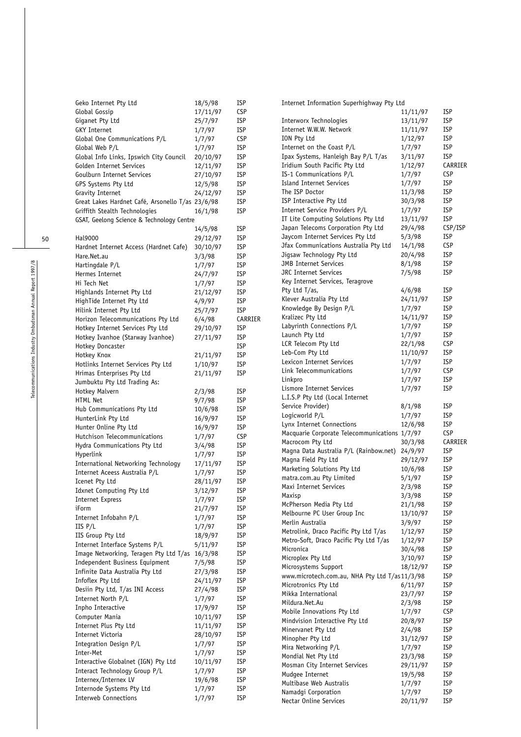| Geko Internet Pty Ltd                               | 18/5/98  | <b>ISP</b> | Internet Information Superhighway Pty Ltd      |          |            |
|-----------------------------------------------------|----------|------------|------------------------------------------------|----------|------------|
| Global Gossip                                       | 17/11/97 | <b>CSP</b> |                                                | 11/11/97 | <b>ISP</b> |
| Giganet Pty Ltd                                     | 25/7/97  | <b>ISP</b> | Interworx Technologies                         | 13/11/97 | <b>ISP</b> |
| <b>GKY Internet</b>                                 | 1/7/97   | <b>ISP</b> | Internet W.W.W. Network                        | 11/11/97 | <b>ISP</b> |
| Global One Communications P/L                       | 1/7/97   | <b>CSP</b> | ION Pty Ltd                                    | 1/12/97  | <b>ISP</b> |
| Global Web P/L                                      | 1/7/97   | <b>ISP</b> | Internet on the Coast P/L                      | 1/7/97   | <b>ISP</b> |
| Global Info Links, Ipswich City Council             | 20/10/97 | <b>ISP</b> | Ipax Systems, Hanleigh Bay P/L T/as            | 3/11/97  | <b>ISP</b> |
| Golden Internet Services                            | 12/11/97 | <b>ISP</b> | Iridium South Pacific Pty Ltd                  | 1/12/97  | CARRIER    |
| Goulburn Internet Services                          | 27/10/97 | <b>ISP</b> | IS-1 Communications P/L                        | 1/7/97   | <b>CSP</b> |
| GPS Systems Pty Ltd                                 | 12/5/98  | <b>ISP</b> | Island Internet Services                       | 1/7/97   | <b>ISP</b> |
| Gravity Internet                                    | 24/12/97 | <b>ISP</b> | The ISP Doctor                                 | 11/3/98  | <b>ISP</b> |
| Great Lakes Hardnet Café, Arsonello T/as 23/6/98    |          | <b>ISP</b> | ISP Interactive Pty Ltd                        | 30/3/98  | <b>ISP</b> |
| Griffith Stealth Technologies                       | 16/1/98  | <b>ISP</b> | Internet Service Providers P/L                 | 1/7/97   | <b>ISP</b> |
| GSAT, Geelong Science & Technology Centre           |          |            | IT Lite Computing Solutions Pty Ltd            | 13/11/97 | <b>ISP</b> |
|                                                     | 14/5/98  | <b>ISP</b> | Japan Telecoms Corporation Pty Ltd             | 29/4/98  | CSP/ISP    |
| Hal9000                                             |          | <b>ISP</b> | Jaycom Internet Services Pty Ltd               | 5/3/98   | <b>ISP</b> |
|                                                     | 29/12/97 |            | Jfax Communications Australia Pty Ltd          | 14/1/98  | <b>CSP</b> |
| Hardnet Internet Access (Hardnet Cafe)              | 30/10/97 | <b>ISP</b> | Jigsaw Technology Pty Ltd                      | 20/4/98  | <b>ISP</b> |
| Hare.Net.au                                         | 3/3/98   | <b>ISP</b> | <b>JMB</b> Internet Services                   | 8/1/98   | <b>ISP</b> |
| Hartingdale P/L                                     | 1/7/97   | <b>ISP</b> | JRC Internet Services                          | 7/5/98   | <b>ISP</b> |
| Hermes Internet                                     | 24/7/97  | <b>ISP</b> | Key Internet Services, Teragrove               |          |            |
| Hi Tech Net                                         | 1/7/97   | <b>ISP</b> |                                                |          | <b>ISP</b> |
| Highlands Internet Pty Ltd                          | 21/12/97 | <b>ISP</b> | Pty Ltd T/as,                                  | 4/6/98   |            |
| HighTide Internet Pty Ltd                           | 4/9/97   | <b>ISP</b> | Klever Australia Pty Ltd                       | 24/11/97 | <b>ISP</b> |
| Hilink Internet Pty Ltd                             | 25/7/97  | <b>ISP</b> | Knowledge By Design P/L                        | 1/7/97   | <b>ISP</b> |
| Horizon Telecommunications Pty Ltd                  | 6/4/98   | CARRIER    | Kralizec Pty Ltd                               | 14/11/97 | <b>ISP</b> |
| Hotkey Internet Services Pty Ltd                    | 29/10/97 | <b>ISP</b> | Labyrinth Connections P/L                      | 1/7/97   | <b>ISP</b> |
| Hotkey Ivanhoe (Starway Ivanhoe)                    | 27/11/97 | <b>ISP</b> | Launch Pty Ltd                                 | 1/7/97   | <b>ISP</b> |
| Hotkey Doncaster                                    |          | <b>ISP</b> | LCR Telecom Pty Ltd                            | 22/1/98  | <b>CSP</b> |
| Hotkey Knox                                         | 21/11/97 | <b>ISP</b> | Leb-Com Pty Ltd                                | 11/10/97 | <b>ISP</b> |
| Hotlinks Internet Services Pty Ltd                  | 1/10/97  | <b>ISP</b> | Lexicon Internet Services                      | 1/7/97   | <b>ISP</b> |
| Hrimas Enterprises Pty Ltd                          | 21/11/97 | <b>ISP</b> | Link Telecommunications                        | 1/7/97   | <b>CSP</b> |
| Jumbuktu Pty Ltd Trading As:                        |          |            | Linkpro                                        | 1/7/97   | <b>ISP</b> |
| Hotkey Malvern                                      | 2/3/98   | <b>ISP</b> | Lismore Internet Services                      | 1/7/97   | <b>ISP</b> |
| HTML Net                                            | 9/7/98   | <b>ISP</b> | L.I.S.P Pty Ltd (Local Internet                |          |            |
| Hub Communications Pty Ltd                          | 10/6/98  | <b>ISP</b> | Service Provider)                              | 8/1/98   | <b>ISP</b> |
| HunterLink Pty Ltd                                  | 16/9/97  | <b>ISP</b> | Logicworld P/L                                 | 1/7/97   | <b>ISP</b> |
| Hunter Online Pty Ltd                               | 16/9/97  | <b>ISP</b> | Lynx Internet Connections                      | 12/6/98  | <b>ISP</b> |
| Hutchison Telecommunications                        | 1/7/97   | <b>CSP</b> | Macquarie Corporate Telecommunications 1/7/97  |          | <b>CSP</b> |
| Hydra Communications Pty Ltd                        | 3/4/98   | <b>ISP</b> | Macrocom Pty Ltd                               | 30/3/98  | CARRIER    |
| Hyperlink                                           | 1/7/97   | <b>ISP</b> | Magna Data Australia P/L (Rainbow.net) 24/9/97 |          | <b>ISP</b> |
| International Networking Technology                 | 17/11/97 | <b>ISP</b> | Magna Field Pty Ltd                            | 29/12/97 | <b>ISP</b> |
| Internet Aceess Australia P/L                       | 1/7/97   | <b>ISP</b> | Marketing Solutions Pty Ltd                    | 10/6/98  | <b>ISP</b> |
| Icenet Pty Ltd                                      | 28/11/97 | <b>ISP</b> | matra.com.au Pty Limited                       | 5/1/97   | <b>ISP</b> |
| Idxnet Computing Pty Ltd                            | 3/12/97  | <b>ISP</b> | Maxi Internet Services                         | 2/3/98   | <b>ISP</b> |
| Internet Express                                    | 1/7/97   | <b>ISP</b> | Maxisp                                         | 3/3/98   | <b>ISP</b> |
| iForm                                               | 21/7/97  | <b>ISP</b> | McPherson Media Pty Ltd                        | 21/1/98  | <b>ISP</b> |
| Internet Infobahn P/L                               | 1/7/97   | <b>ISP</b> | Melbourne PC User Group Inc                    | 13/10/97 | <b>ISP</b> |
| IIS P/L                                             | 1/7/97   | <b>ISP</b> | Merlin Australia                               | 3/9/97   | <b>ISP</b> |
|                                                     |          |            | Metrolink, Draco Pacific Pty Ltd T/as          | 1/12/97  | <b>ISP</b> |
| IIS Group Pty Ltd<br>Internet Interface Systems P/L | 18/9/97  | <b>ISP</b> | Metro-Soft, Draco Pacific Pty Ltd T/as         | 1/12/97  | <b>ISP</b> |
|                                                     | 5/11/97  | <b>ISP</b> | Micronica                                      | 30/4/98  | <b>ISP</b> |
| Image Networking, Teragen Pty Ltd T/as 16/3/98      |          | <b>ISP</b> | Microplex Pty Ltd                              | 3/10/97  | <b>ISP</b> |
| Independent Business Equipment                      | 7/5/98   | <b>ISP</b> | Microsystems Support                           | 18/12/97 | <b>ISP</b> |
| Infinite Data Australia Pty Ltd                     | 27/3/98  | <b>ISP</b> | www.microtech.com.au, NHA Pty Ltd T/as11/3/98  |          | <b>ISP</b> |
| Infoflex Pty Ltd                                    | 24/11/97 | <b>ISP</b> | Microtronics Pty Ltd                           | 6/11/97  | <b>ISP</b> |
| Desiin Pty Ltd, T/as INI Access                     | 27/4/98  | <b>ISP</b> | Mikka International                            | 23/7/97  | <b>ISP</b> |
| Internet North P/L                                  | 1/7/97   | <b>ISP</b> | Mildura.Net.Au                                 | 2/3/98   | <b>ISP</b> |
| Inpho Interactive                                   | 17/9/97  | <b>ISP</b> | Mobile Innovations Pty Ltd                     | 1/7/97   | <b>CSP</b> |
| Computer Mania                                      | 10/11/97 | <b>ISP</b> | Mindvision Interactive Pty Ltd                 | 20/8/97  | <b>ISP</b> |
| Internet Plus Pty Ltd                               | 11/11/97 | <b>ISP</b> | Minervanet Pty Ltd                             | 2/4/98   | <b>ISP</b> |
| Internet Victoria                                   | 28/10/97 | <b>ISP</b> | Minopher Pty Ltd                               | 31/12/97 | <b>ISP</b> |
| Integration Design P/L                              | 1/7/97   | <b>ISP</b> | Mira Networking P/L                            | 1/7/97   | <b>ISP</b> |
| Inter-Met                                           | 1/7/97   | <b>ISP</b> | Mondial Net Pty Ltd                            | 23/3/98  | <b>ISP</b> |
| Interactive Globalnet (IGN) Pty Ltd                 | 10/11/97 | <b>ISP</b> | Mosman City Internet Services                  | 29/11/97 | <b>ISP</b> |
| Interact Technology Group P/L                       | 1/7/97   | <b>ISP</b> | Mudgee Internet                                | 19/5/98  | <b>ISP</b> |
| Internex/Internex LV                                | 19/6/98  | <b>ISP</b> | Multibase Web Australis                        | 1/7/97   | <b>ISP</b> |
| Internode Systems Pty Ltd                           | 1/7/97   | <b>ISP</b> | Namadgi Corporation                            | 1/7/97   | <b>ISP</b> |
| <b>Interweb Connections</b>                         | 1/7/97   | <b>ISP</b> | Nectar Online Services                         | 20/11/97 | <b>ISP</b> |
|                                                     |          |            |                                                |          |            |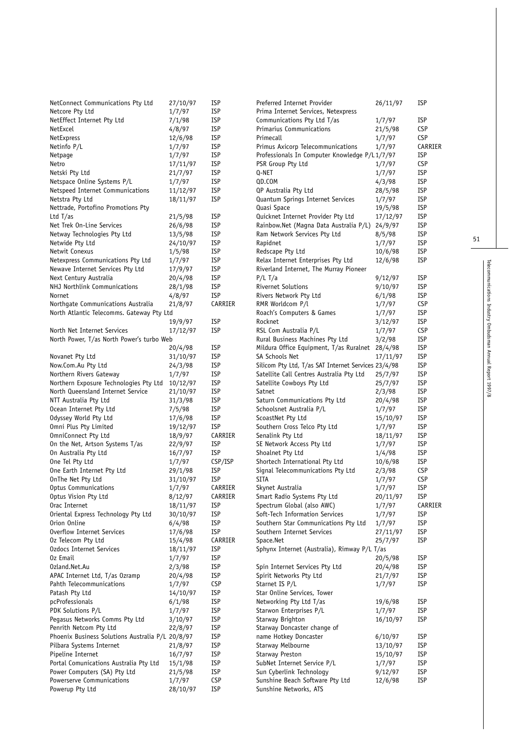| NetConnect Communications Pty Ltd                | 27/10/97 | <b>ISP</b> | Preferred Internet Provider                         | 26/11/97 | ISP        |
|--------------------------------------------------|----------|------------|-----------------------------------------------------|----------|------------|
| Netcore Pty Ltd                                  | 1/7/97   | <b>ISP</b> | Prima Internet Services, Netexpress                 |          |            |
| NetEffect Internet Pty Ltd                       | 7/1/98   | <b>ISP</b> | Communications Pty Ltd T/as                         | 1/7/97   | <b>ISP</b> |
| NetExcel                                         | 4/8/97   | <b>ISP</b> | Primarius Communications                            | 21/5/98  | <b>CSP</b> |
| NetExpress                                       | 12/6/98  | <b>ISP</b> | Primecall                                           | 1/7/97   | <b>CSP</b> |
| Netinfo P/L                                      | 1/7/97   | <b>ISP</b> | Primus Axicorp Telecommunications                   | 1/7/97   | CARRIER    |
| Netpage                                          | 1/7/97   | <b>ISP</b> | Professionals In Computer Knowledge P/L1/7/97       |          | ISP        |
| Netro                                            | 17/11/97 | <b>ISP</b> | PSR Group Pty Ltd                                   | 1/7/97   | <b>CSP</b> |
| Netski Pty Ltd                                   | 21/7/97  | <b>ISP</b> | Q-NET                                               | 1/7/97   | <b>ISP</b> |
| Netspace Online Systems P/L                      | 1/7/97   | <b>ISP</b> | QD.COM                                              | 4/3/98   | <b>ISP</b> |
| Netspeed Internet Communications                 | 11/12/97 | <b>ISP</b> | QP Australia Pty Ltd                                | 28/5/98  | <b>ISP</b> |
| Netstra Pty Ltd                                  | 18/11/97 | <b>ISP</b> | Quantum Springs Internet Services                   | 1/7/97   | <b>ISP</b> |
| Nettrade, Portofino Promotions Pty               |          |            | Quasi Space                                         | 19/5/98  | <b>ISP</b> |
| Ltd $T/as$                                       | 21/5/98  | <b>ISP</b> | Quicknet Internet Provider Pty Ltd                  | 17/12/97 | <b>ISP</b> |
| Net Trek On-Line Services                        | 26/6/98  | <b>ISP</b> | Rainbow.Net (Magna Data Australia P/L)              | 24/9/97  | <b>ISP</b> |
| Netway Technologies Pty Ltd                      | 13/5/98  | <b>ISP</b> | Ram Network Services Pty Ltd                        | 8/5/98   | <b>ISP</b> |
| Netwide Pty Ltd                                  | 24/10/97 | <b>ISP</b> | Rapidnet                                            | 1/7/97   | <b>ISP</b> |
| Netwit Conexus                                   | 1/5/98   | <b>ISP</b> | Redscape Pty Ltd                                    | 10/6/98  | <b>ISP</b> |
| Netexpress Communications Pty Ltd                | 1/7/97   | <b>ISP</b> | Relax Internet Enterprises Pty Ltd                  | 12/6/98  | <b>ISP</b> |
| Newave Internet Services Pty Ltd                 | 17/9/97  | <b>ISP</b> | Riverland Internet, The Murray Pioneer              |          |            |
| Next Century Australia                           | 20/4/98  | <b>ISP</b> | $P/L$ T/a                                           | 9/12/97  | <b>ISP</b> |
| NHJ Northlink Communications                     | 28/1/98  | <b>ISP</b> | Rivernet Solutions                                  | 9/10/97  | <b>ISP</b> |
| Nornet                                           | 4/8/97   | <b>ISP</b> | Rivers Network Pty Ltd                              | 6/1/98   | <b>ISP</b> |
| Northgate Communications Australia               | 21/8/97  | CARRIER    | RMR Worldcom P/L                                    | 1/7/97   | <b>CSP</b> |
| North Atlantic Telecomms. Gateway Pty Ltd        |          |            | Roach's Computers & Games                           | 1/7/97   | <b>ISP</b> |
|                                                  | 19/9/97  | <b>ISP</b> | Rocknet                                             | 3/12/97  | <b>ISP</b> |
| North Net Internet Services                      | 17/12/97 | <b>ISP</b> | RSL Com Australia P/L                               | 1/7/97   | <b>CSP</b> |
| North Power, T/as North Power's turbo Web        |          |            | Rural Business Machines Pty Ltd                     | 3/2/98   | <b>ISP</b> |
|                                                  | 20/4/98  | <b>ISP</b> | Mildura Office Equipment, T/as Ruralnet 28/4/98     |          | <b>ISP</b> |
| Novanet Pty Ltd                                  | 31/10/97 | <b>ISP</b> | SA Schools Net                                      | 17/11/97 | <b>ISP</b> |
| Now.Com.Au Pty Ltd                               | 24/3/98  | <b>ISP</b> | Silicom Pty Ltd, T/as SAT Internet Services 23/4/98 |          | <b>ISP</b> |
| Northern Rivers Gateway                          | 1/7/97   | <b>ISP</b> | Satellite Call Centres Australia Pty Ltd            | 25/7/97  | <b>ISP</b> |
| Northern Exposure Technologies Pty Ltd           | 10/12/97 | <b>ISP</b> | Satellite Cowboys Pty Ltd                           | 25/7/97  | <b>ISP</b> |
| North Queensland Internet Service                | 21/10/97 | <b>ISP</b> | Satnet                                              | 2/3/98   | <b>ISP</b> |
| NTT Australia Pty Ltd                            | 31/3/98  | <b>ISP</b> | Saturn Communications Pty Ltd                       | 20/4/98  | <b>ISP</b> |
| Ocean Internet Pty Ltd                           | 7/5/98   | <b>ISP</b> | Schoolsnet Australia P/L                            | 1/7/97   | <b>ISP</b> |
| Odyssey World Pty Ltd                            | 17/6/98  | <b>ISP</b> | ScoastNet Pty Ltd                                   | 15/10/97 | <b>ISP</b> |
| Omni Plus Pty Limited                            | 19/12/97 | <b>ISP</b> | Southern Cross Telco Pty Ltd                        | 1/7/97   | <b>ISP</b> |
| OmniConnect Pty Ltd                              | 18/9/97  | CARRIER    | Senalink Pty Ltd                                    | 18/11/97 | <b>ISP</b> |
| On the Net, Artson Systems T/as                  | 22/9/97  | <b>ISP</b> | SE Network Access Pty Ltd                           | 1/7/97   | <b>ISP</b> |
| On Australia Pty Ltd                             | 16/7/97  | <b>ISP</b> | Shoalnet Pty Ltd                                    | 1/4/98   | <b>ISP</b> |
| One Tel Pty Ltd                                  | 1/7/97   | CSP/ISP    | Shortech International Pty Ltd                      | 10/6/98  | <b>ISP</b> |
| One Earth Internet Pty Ltd                       | 29/1/98  | <b>ISP</b> | Signal Telecommunications Pty Ltd                   | 2/3/98   | <b>CSP</b> |
| OnThe Net Pty Ltd                                | 31/10/97 | <b>ISP</b> | <b>SITA</b>                                         | 1/7/97   | <b>CSP</b> |
| Optus Communications                             | 1/7/97   | CARRIER    | Skynet Australia                                    | 1/7/97   | <b>ISP</b> |
| Optus Vision Pty Ltd                             | 8/12/97  | CARRIER    | Smart Radio Systems Pty Ltd                         | 20/11/97 | <b>ISP</b> |
| Orac Internet                                    | 18/11/97 | <b>ISP</b> | Spectrum Global (also AWC)                          | 1/7/97   | CARRIER    |
| Oriental Express Technology Pty Ltd              | 30/10/97 | <b>ISP</b> | Soft-Tech Information Services                      | 1/7/97   | ISP        |
| Orion Online                                     | 6/4/98   | <b>ISP</b> | Southern Star Communications Pty Ltd                | 1/7/97   | ISP        |
| Overflow Internet Services                       | 17/6/98  | <b>ISP</b> | Southern Internet Services                          | 27/11/97 | <b>ISP</b> |
| Oz Telecom Pty Ltd                               | 15/4/98  | CARRIER    | Space.Net                                           | 25/7/97  | <b>ISP</b> |
| Ozdocs Internet Services                         | 18/11/97 | <b>ISP</b> | Sphynx Internet (Australia), Rimway P/L T/as        |          |            |
| Oz Email                                         | 1/7/97   | <b>ISP</b> |                                                     | 20/5/98  | ISP        |
| Ozland.Net.Au                                    | 2/3/98   | <b>ISP</b> | Spin Internet Services Pty Ltd                      | 20/4/98  | <b>ISP</b> |
| APAC Internet Ltd, T/as Ozramp                   | 20/4/98  | <b>ISP</b> | Spirit Networks Pty Ltd                             | 21/7/97  | ISP        |
| Pahth Telecommunications                         | 1/7/97   | <b>CSP</b> | Starnet IS P/L                                      | 1/7/97   | <b>ISP</b> |
| Patash Pty Ltd                                   | 14/10/97 | <b>ISP</b> | Star Online Services, Tower                         |          |            |
| pcProfessionals                                  | 6/1/98   | <b>ISP</b> | Networking Pty Ltd T/as                             | 19/6/98  | ISP        |
| PDK Solutions P/L                                | 1/7/97   | <b>ISP</b> | Starwon Enterprises P/L                             | 1/7/97   | <b>ISP</b> |
| Pegasus Networks Comms Pty Ltd                   | 3/10/97  | <b>ISP</b> | Starway Brighton                                    | 16/10/97 | <b>ISP</b> |
| Penrith Netcom Pty Ltd                           | 22/8/97  | <b>ISP</b> | Starway Doncaster change of                         |          |            |
| Phoenix Business Solutions Australia P/L 20/8/97 |          | <b>ISP</b> | name Hotkey Doncaster                               | 6/10/97  | ISP        |
| Pilbara Systems Internet                         | 21/8/97  | <b>ISP</b> | Starway Melbourne                                   | 13/10/97 | <b>ISP</b> |
| Pipeline Internet                                | 16/7/97  | <b>ISP</b> | Starway Preston                                     | 15/10/97 | ISP        |
| Portal Comunications Australia Pty Ltd           | 15/1/98  | <b>ISP</b> | SubNet Internet Service P/L                         | 1/7/97   | <b>ISP</b> |
| Power Computers (SA) Pty Ltd                     | 21/5/98  | <b>ISP</b> | Sun Cyberlink Technology                            | 9/12/97  | <b>ISP</b> |
| Powerserve Communications                        | 1/7/97   | <b>CSP</b> | Sunshine Beach Software Pty Ltd                     | 12/6/98  | ISP        |
| Powerup Pty Ltd                                  | 28/10/97 | <b>ISP</b> | Sunshine Networks, ATS                              |          |            |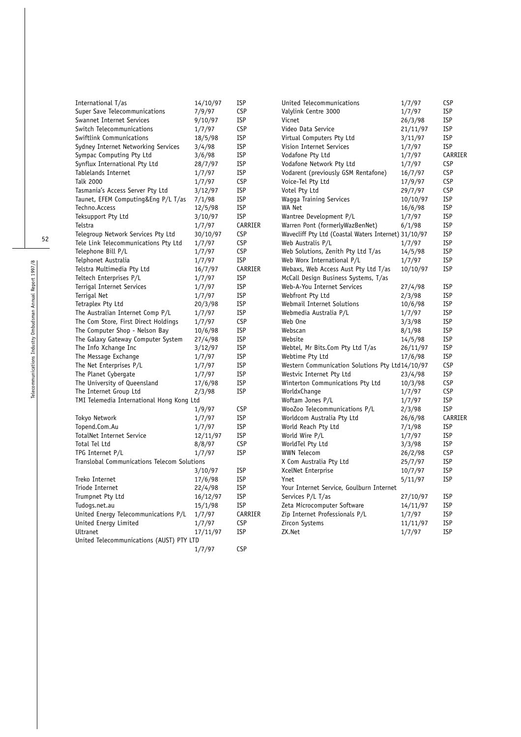|                                                                 |          |                          | United Telecommunications                            |                   | <b>CSP</b> |
|-----------------------------------------------------------------|----------|--------------------------|------------------------------------------------------|-------------------|------------|
| International T/as                                              | 14/10/97 | <b>ISP</b><br><b>CSP</b> | Valylink Centre 3000                                 | 1/7/97            | <b>ISP</b> |
| Super Save Telecommunications<br>Swannet Internet Services      | 7/9/97   | <b>ISP</b>               | Vicnet                                               | 1/7/97<br>26/3/98 | <b>ISP</b> |
| Switch Telecommunications                                       | 9/10/97  | <b>CSP</b>               | Video Data Service                                   |                   | <b>ISP</b> |
|                                                                 | 1/7/97   | <b>ISP</b>               |                                                      | 21/11/97          | <b>ISP</b> |
| Swiftlink Communications                                        | 18/5/98  |                          | Virtual Computers Pty Ltd                            | 3/11/97           | <b>ISP</b> |
| Sydney Internet Networking Services<br>Sympac Computing Pty Ltd | 3/4/98   | <b>ISP</b><br><b>ISP</b> | Vision Internet Services                             | 1/7/97            | CARRIER    |
|                                                                 | 3/6/98   |                          | Vodafone Pty Ltd                                     | 1/7/97            |            |
| Synflux International Pty Ltd                                   | 28/7/97  | <b>ISP</b>               | Vodafone Network Pty Ltd                             | 1/7/97            | <b>CSP</b> |
| Tablelands Internet                                             | 1/7/97   | <b>ISP</b>               | Vodarent (previously GSM Rentafone)                  | 16/7/97           | <b>CSP</b> |
| Talk 2000                                                       | 1/7/97   | <b>CSP</b>               | Voice-Tel Pty Ltd                                    | 17/9/97           | <b>CSP</b> |
| Tasmania's Access Server Pty Ltd                                | 3/12/97  | <b>ISP</b>               | Votel Pty Ltd                                        | 29/7/97           | <b>CSP</b> |
| Taunet, EFEM Computing&Eng P/L T/as                             | 7/1/98   | <b>ISP</b>               | <b>Wagga Training Services</b>                       | 10/10/97          | <b>ISP</b> |
| Techno.Access                                                   | 12/5/98  | <b>ISP</b>               | WA Net                                               | 16/6/98           | <b>ISP</b> |
| Teksupport Pty Ltd                                              | 3/10/97  | <b>ISP</b>               | Wantree Development P/L                              | 1/7/97            | <b>ISP</b> |
| Telstra                                                         | 1/7/97   | CARRIER                  | Warren Pont (formerlyWazBenNet)                      | 6/1/98            | <b>ISP</b> |
| Telegroup Network Services Pty Ltd                              | 30/10/97 | <b>CSP</b>               | Wavecliff Pty Ltd (Coastal Waters Internet) 31/10/97 |                   | <b>ISP</b> |
| Tele Link Telecommunications Pty Ltd                            | 1/7/97   | <b>CSP</b>               | Web Australis P/L                                    | 1/7/97            | <b>ISP</b> |
| Telephone Bill P/L                                              | 1/7/97   | <b>CSP</b>               | Web Solutions, Zenith Pty Ltd T/as                   | 14/5/98           | <b>ISP</b> |
| Telphonet Australia                                             | 1/7/97   | <b>ISP</b>               | Web Worx International P/L                           | 1/7/97            | <b>ISP</b> |
| Telstra Multimedia Pty Ltd                                      | 16/7/97  | CARRIER                  | Webaxs, Web Access Aust Pty Ltd T/as                 | 10/10/97          | <b>ISP</b> |
| Teltech Enterprises P/L                                         | 1/7/97   | <b>ISP</b>               | McCall Design Business Systems, T/as                 |                   |            |
| Terrigal Internet Services                                      | 1/7/97   | <b>ISP</b>               | Web-A-You Internet Services                          | 27/4/98           | <b>ISP</b> |
| Terrigal Net                                                    | 1/7/97   | <b>ISP</b>               | Webfront Pty Ltd                                     | 2/3/98            | <b>ISP</b> |
| Tetraplex Pty Ltd                                               | 20/3/98  | <b>ISP</b>               | Webmail Internet Solutions                           | 10/6/98           | <b>ISP</b> |
| The Australian Internet Comp P/L                                | 1/7/97   | <b>ISP</b>               | Webmedia Australia P/L                               | 1/7/97            | <b>ISP</b> |
| The Com Store, First Direct Holdings                            | 1/7/97   | <b>CSP</b>               | Web One                                              | 3/3/98            | <b>ISP</b> |
| The Computer Shop - Nelson Bay                                  | 10/6/98  | <b>ISP</b>               | Webscan                                              | 8/1/98            | <b>ISP</b> |
| The Galaxy Gateway Computer System                              | 27/4/98  | <b>ISP</b>               | Website                                              | 14/5/98           | <b>ISP</b> |
| The Info Xchange Inc                                            | 3/12/97  | <b>ISP</b>               | Webtel, Mr Bits.Com Pty Ltd T/as                     | 26/11/97          | <b>ISP</b> |
| The Message Exchange                                            | 1/7/97   | <b>ISP</b>               | Webtime Pty Ltd                                      | 17/6/98           | <b>ISP</b> |
| The Net Enterprises P/L                                         | 1/7/97   | <b>ISP</b>               | Western Communication Solutions Pty Ltd14/10/97      |                   | <b>CSP</b> |
| The Planet Cybergate                                            | 1/7/97   | <b>ISP</b>               | Westvic Internet Pty Ltd                             | 23/4/98           | <b>ISP</b> |
| The University of Queensland                                    | 17/6/98  | <b>ISP</b>               | Winterton Communications Pty Ltd                     | 10/3/98           | <b>CSP</b> |
| The Internet Group Ltd                                          | 2/3/98   | <b>ISP</b>               | WorldxChange                                         | 1/7/97            | <b>CSP</b> |
| TMI Telemedia International Hong Kong Ltd                       |          |                          | Woftam Jones P/L                                     | 1/7/97            | <b>ISP</b> |
|                                                                 | 1/9/97   | <b>CSP</b>               | WooZoo Telecommunications P/L                        | 2/3/98            | <b>ISP</b> |
| Tokyo Network                                                   | 1/7/97   | <b>ISP</b>               | Worldcom Australia Pty Ltd                           | 26/6/98           | CARRIER    |
| Topend.Com.Au                                                   | 1/7/97   | <b>ISP</b>               | World Reach Pty Ltd                                  | 7/1/98            | <b>ISP</b> |
| TotalNet Internet Service                                       | 12/11/97 | <b>ISP</b>               | World Wire P/L                                       | 1/7/97            | <b>ISP</b> |
| Total Tel Ltd                                                   | 8/8/97   | <b>CSP</b>               | WorldTel Pty Ltd                                     | 3/3/98            | <b>ISP</b> |
| TPG Internet P/L                                                | 1/7/97   | <b>ISP</b>               | <b>WWN Telecom</b>                                   | 26/2/98           | <b>CSP</b> |
| Translobal Communications Telecom Solutions                     |          |                          | X Com Australia Pty Ltd                              | 25/7/97           | <b>ISP</b> |
|                                                                 | 3/10/97  | <b>ISP</b>               | XcelNet Enterprise                                   | 10/7/97           | <b>ISP</b> |
| Treko Internet                                                  | 17/6/98  | <b>ISP</b>               | Ynet                                                 | 5/11/97           | <b>ISP</b> |
| Triode Internet                                                 | 22/4/98  | <b>ISP</b>               | Your Internet Service, Goulburn Internet             |                   |            |
| Trumpnet Pty Ltd                                                | 16/12/97 | ISP                      | Services P/L T/as                                    | 27/10/97          | <b>ISP</b> |
| Tudogs.net.au                                                   | 15/1/98  | <b>ISP</b>               | Zeta Microcomputer Software                          | 14/11/97          | <b>ISP</b> |
| United Energy Telecommunications P/L                            | 1/7/97   | CARRIER                  | Zip Internet Professionals P/L                       | 1/7/97            | <b>ISP</b> |
| United Energy Limited                                           | 1/7/97   | <b>CSP</b>               | Zircon Systems                                       | 11/11/97          | <b>ISP</b> |
| Ultranet                                                        | 17/11/97 | <b>ISP</b>               | ZX.Net                                               | 1/7/97            | <b>ISP</b> |
| United Telecommunications (AUST) PTY LTD                        |          |                          |                                                      |                   |            |
|                                                                 | 1/7/97   | <b>CSP</b>               |                                                      |                   |            |
|                                                                 |          |                          |                                                      |                   |            |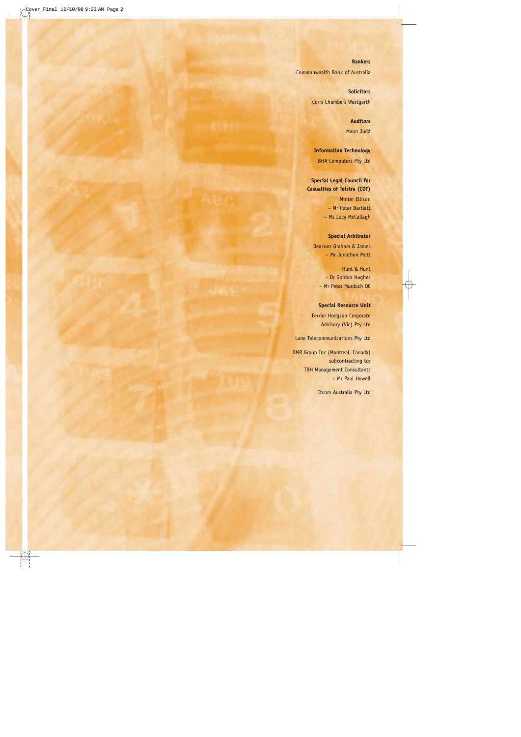#### **Bankers**

Commonwealth Bank of Australia

# **Solicitors**

Corrs Chambers Westgarth

# **Auditors** Mann Judd

**Information Technology** BHA Computers Pty Ltd

# **Special Legal Council for Casualties of Telstra (COT)**

Minter Ellison – Mr Peter Bartlett – Ms Lucy McCullagh

# **Special Arbitrator**

Deacons Graham & James – Mr Jonathon Mott

Hunt & Hunt – Dr Gordon Hughes – Mr Peter Murdoch QC

# **Special Resource Unit**

Ferrier Hodgson Corporate Advisory (Vic) Pty Ltd

Lane Telecommunications Pty Ltd

DMR Group Inc (Montreal, Canada) subcontracting to: TBH Management Consultants – Mr Paul Howell

Itcom Australia Pty Ltd